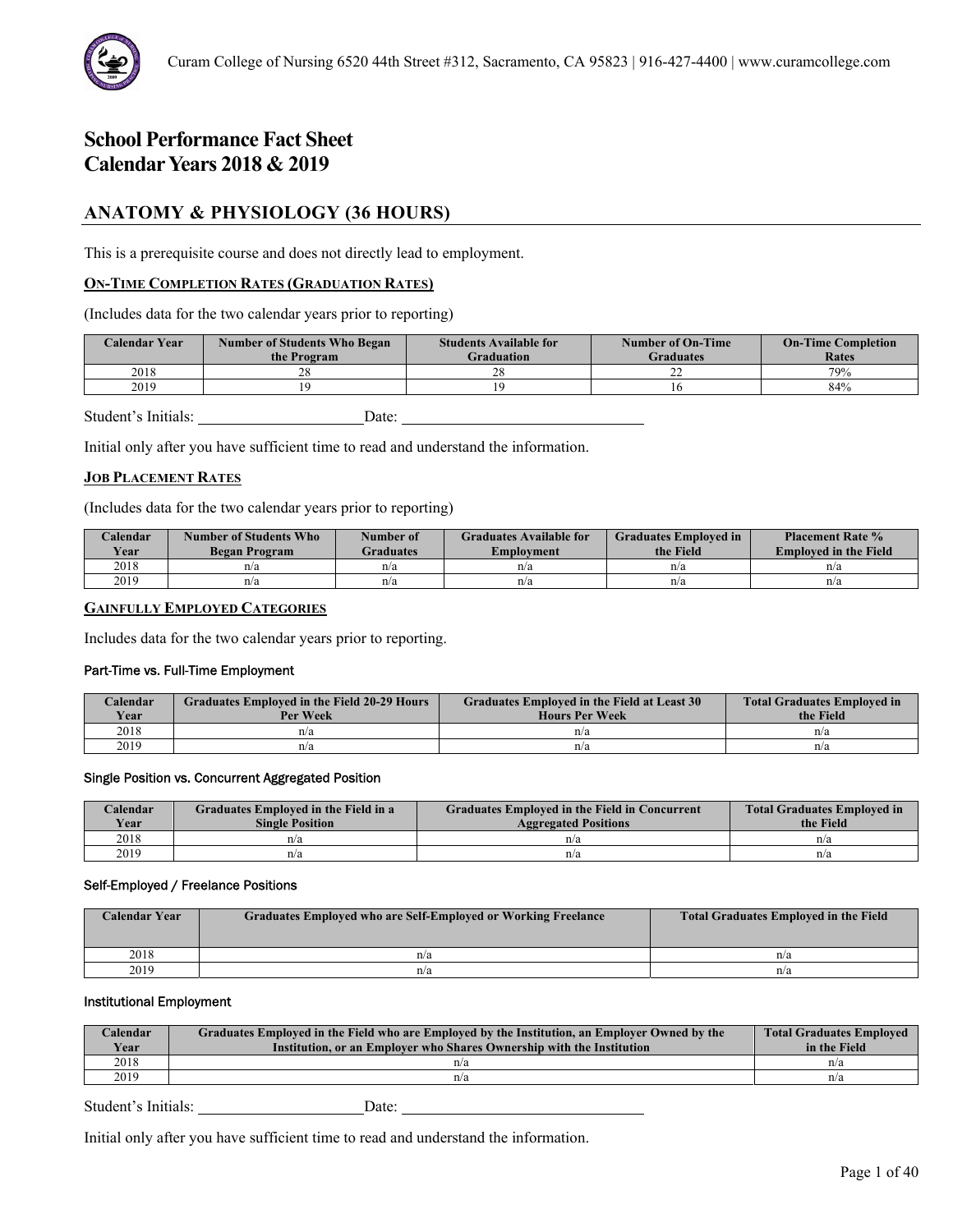# **ANATOMY & PHYSIOLOGY (36 HOURS)**

This is a prerequisite course and does not directly lead to employment.

# **ON-TIME COMPLETION RATES (GRADUATION RATES)**

(Includes data for the two calendar years prior to reporting)

| <b>Calendar Year</b> | <b>Number of Students Who Began</b><br>the Program | <b>Students Available for</b><br><b>Graduation</b> | <b>Number of On-Time</b><br><b>Graduates</b> | <b>On-Time Completion</b><br>Rates |
|----------------------|----------------------------------------------------|----------------------------------------------------|----------------------------------------------|------------------------------------|
| 2018                 |                                                    | 28                                                 | ∠∠                                           | 79%                                |
| 2019                 |                                                    |                                                    |                                              | 84%                                |
|                      |                                                    |                                                    |                                              |                                    |

Student's Initials: Date: Date:

Initial only after you have sufficient time to read and understand the information.

# **JOB PLACEMENT RATES**

(Includes data for the two calendar years prior to reporting)

| Calendar<br><b>Vear</b> | Number of Students Who<br>Began Program | Number of<br><b>Graduates</b> | <b>Graduates Available for</b><br><b>Employment</b> | <b>Graduates Employed in</b><br>the Field | <b>Placement Rate %</b><br><b>Employed in the Field</b> |
|-------------------------|-----------------------------------------|-------------------------------|-----------------------------------------------------|-------------------------------------------|---------------------------------------------------------|
| 2018                    | n/a                                     | n/a                           | n/a                                                 | n/a                                       | n/a                                                     |
| 2019                    | n/a                                     | n/a                           | n/a                                                 | n/a                                       | n/a                                                     |

# **GAINFULLY EMPLOYED CATEGORIES**

Includes data for the two calendar years prior to reporting.

### Part-Time vs. Full-Time Employment

| Calendar<br><b>Vear</b> | <b>Graduates Employed in the Field 20-29 Hours</b><br>Per Week | <b>Graduates Employed in the Field at Least 30</b><br><b>Hours Per Week</b> | <b>Total Graduates Employed in</b><br>the Field |
|-------------------------|----------------------------------------------------------------|-----------------------------------------------------------------------------|-------------------------------------------------|
| 2018                    | n/a                                                            | n/a                                                                         | n/a                                             |
| 2019                    | n/a                                                            | n/a                                                                         | n/a                                             |

# Single Position vs. Concurrent Aggregated Position

| Calendar | Graduates Employed in the Field in a | <b>Graduates Employed in the Field in Concurrent</b> | <b>Total Graduates Employed in</b> |
|----------|--------------------------------------|------------------------------------------------------|------------------------------------|
| Year     | <b>Single Position</b>               | <b>Aggregated Positions</b>                          | the Field                          |
| 2018     | n/a                                  | n/a                                                  | n/a                                |
| 2019     | n/a                                  | n/a                                                  | n/a                                |

#### Self-Employed / Freelance Positions

| Calendar Year | Graduates Employed who are Self-Employed or Working Freelance | <b>Total Graduates Employed in the Field</b> |
|---------------|---------------------------------------------------------------|----------------------------------------------|
| 2018          | n/a                                                           | n/a                                          |
| 2019          | n/a                                                           | n/a                                          |

#### Institutional Employment

| Calendar<br>Year | Graduates Employed in the Field who are Employed by the Institution, an Employer Owned by the<br>Institution, or an Employer who Shares Ownership with the Institution | <b>Total Graduates Employed</b><br>in the Field |
|------------------|------------------------------------------------------------------------------------------------------------------------------------------------------------------------|-------------------------------------------------|
| 2018             | n/a                                                                                                                                                                    | n/a                                             |
| 2019             | n/a                                                                                                                                                                    | n/a                                             |
|                  |                                                                                                                                                                        |                                                 |

Student's Initials: Date: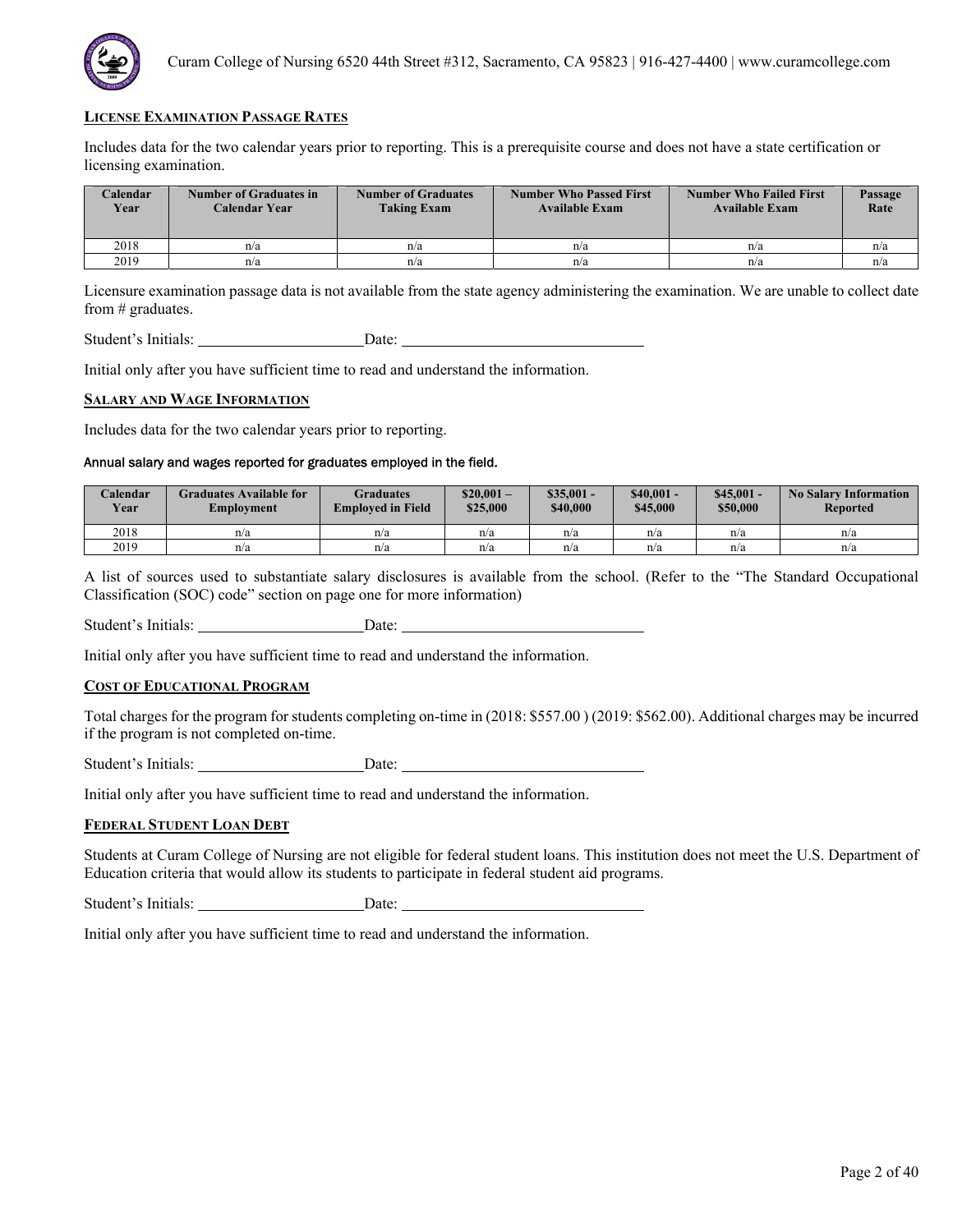

Includes data for the two calendar years prior to reporting. This is a prerequisite course and does not have a state certification or licensing examination.

| <b>Calendar</b><br>Year | Number of Graduates in<br>Calendar Year | <b>Number of Graduates</b><br><b>Taking Exam</b> | <b>Number Who Passed First</b><br><b>Available Exam</b> | <b>Number Who Failed First</b><br><b>Available Exam</b> | Passage<br>Rate |
|-------------------------|-----------------------------------------|--------------------------------------------------|---------------------------------------------------------|---------------------------------------------------------|-----------------|
| 2018                    | n/a                                     | n/a                                              | n/a                                                     | n/a                                                     | n/a             |
| 2019                    | n/a                                     | n/a                                              | n/a                                                     | n/a                                                     | n/a             |

Licensure examination passage data is not available from the state agency administering the examination. We are unable to collect date from # graduates.

Student's Initials: Date: Date:

Initial only after you have sufficient time to read and understand the information.

#### **SALARY AND WAGE INFORMATION**

Includes data for the two calendar years prior to reporting.

# Annual salary and wages reported for graduates employed in the field.

| Calendar<br><b>Year</b> | Graduates Available for<br>Emplovment | Graduates<br><b>Employed in Field</b> | $$20.001-$<br>\$25,000 | $$35,001 -$<br>\$40,000 | $$40.001 -$<br>\$45,000 | \$45,001<br>\$50,000 | <b>No Salary Information</b><br><b>Reported</b> |
|-------------------------|---------------------------------------|---------------------------------------|------------------------|-------------------------|-------------------------|----------------------|-------------------------------------------------|
| 2018                    | n/a                                   | n/a                                   | n/a                    | n/a                     | n/a                     | n/a                  | n/a                                             |
| 2019                    | n/a                                   | n/a                                   | n/a                    | n/a                     | n/a                     | n/a                  | n/a                                             |

A list of sources used to substantiate salary disclosures is available from the school. (Refer to the "The Standard Occupational Classification (SOC) code" section on page one for more information)

Student's Initials: Date:

Initial only after you have sufficient time to read and understand the information.

# **COST OF EDUCATIONAL PROGRAM**

Total charges for the program for students completing on-time in (2018: \$557.00 ) (2019: \$562.00). Additional charges may be incurred if the program is not completed on-time.

Student's Initials: Date:

Initial only after you have sufficient time to read and understand the information.

#### **FEDERAL STUDENT LOAN DEBT**

Students at Curam College of Nursing are not eligible for federal student loans. This institution does not meet the U.S. Department of Education criteria that would allow its students to participate in federal student aid programs.

Student's Initials: Date: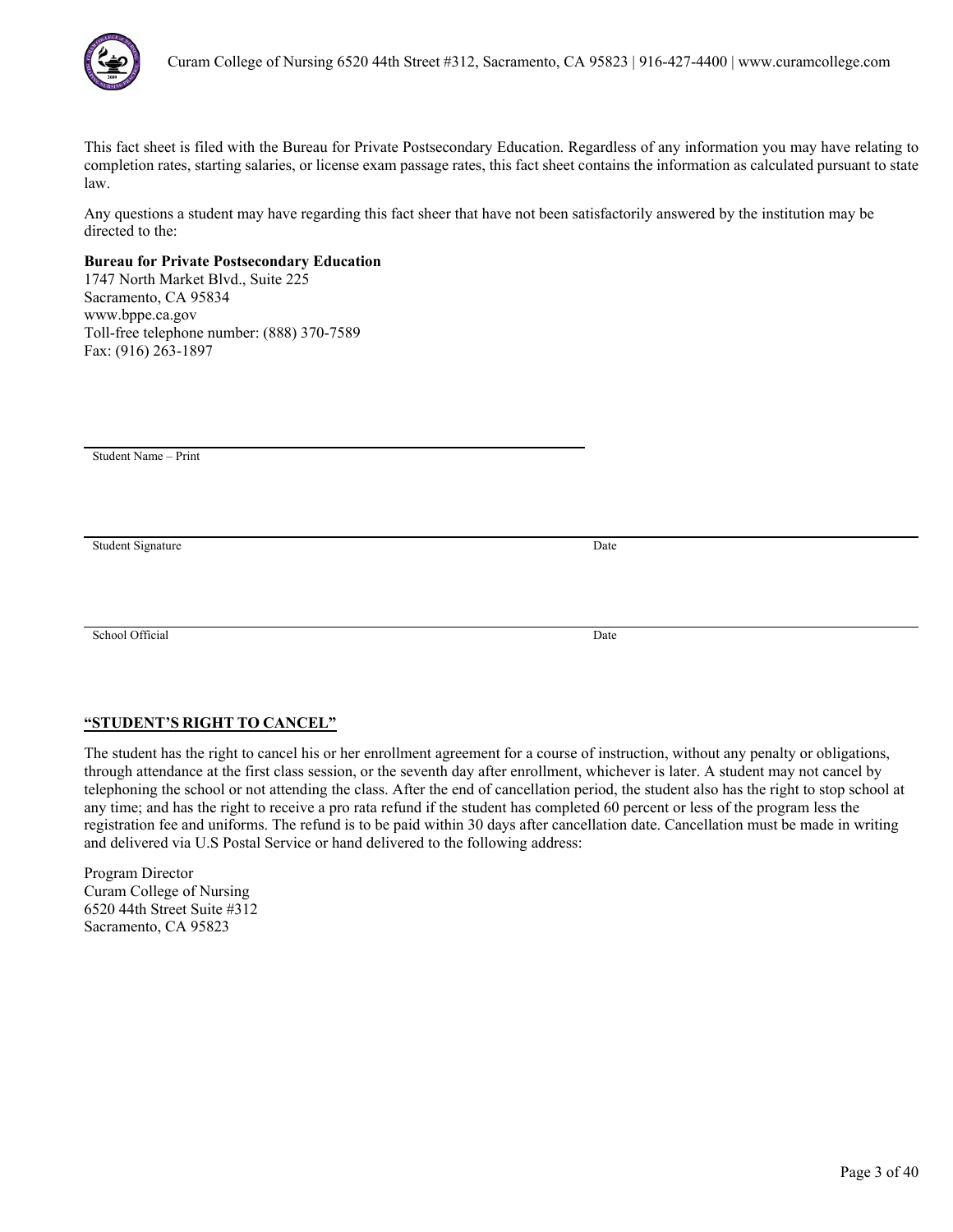

Any questions a student may have regarding this fact sheer that have not been satisfactorily answered by the institution may be directed to the:

# **Bureau for Private Postsecondary Education**

1747 North Market Blvd., Suite 225 Sacramento, CA 95834 www.bppe.ca.gov Toll-free telephone number: (888) 370-7589 Fax: (916) 263-1897

Student Name – Print

Student Signature Date

School Official Date

# **"STUDENT'S RIGHT TO CANCEL"**

The student has the right to cancel his or her enrollment agreement for a course of instruction, without any penalty or obligations, through attendance at the first class session, or the seventh day after enrollment, whichever is later. A student may not cancel by telephoning the school or not attending the class. After the end of cancellation period, the student also has the right to stop school at any time; and has the right to receive a pro rata refund if the student has completed 60 percent or less of the program less the registration fee and uniforms. The refund is to be paid within 30 days after cancellation date. Cancellation must be made in writing and delivered via U.S Postal Service or hand delivered to the following address: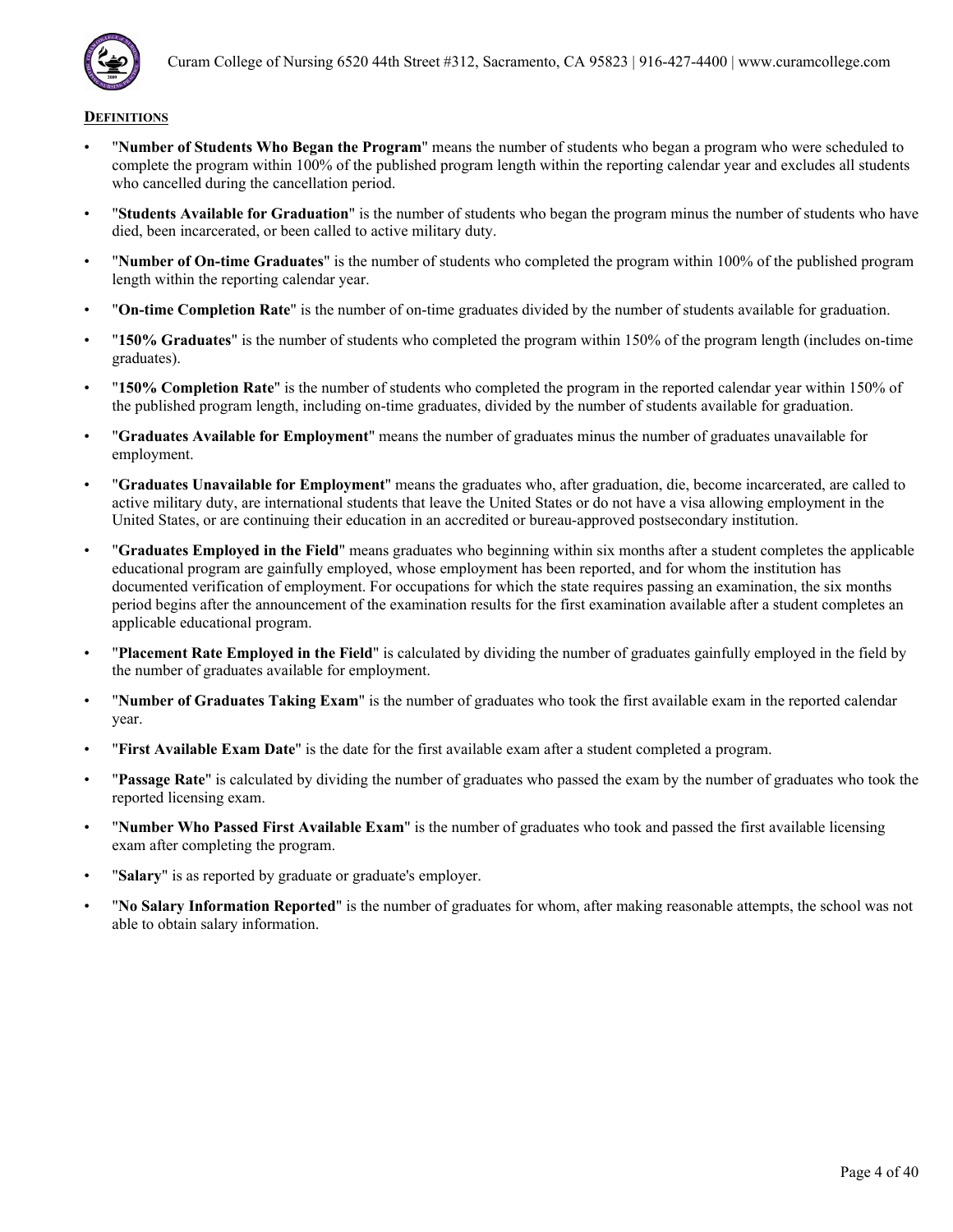

- "**Number of Students Who Began the Program**" means the number of students who began a program who were scheduled to complete the program within 100% of the published program length within the reporting calendar year and excludes all students who cancelled during the cancellation period.
- "**Students Available for Graduation**" is the number of students who began the program minus the number of students who have died, been incarcerated, or been called to active military duty.
- "**Number of On-time Graduates**" is the number of students who completed the program within 100% of the published program length within the reporting calendar year.
- "**On-time Completion Rate**" is the number of on-time graduates divided by the number of students available for graduation.
- "**150% Graduates**" is the number of students who completed the program within 150% of the program length (includes on-time graduates).
- "**150% Completion Rate**" is the number of students who completed the program in the reported calendar year within 150% of the published program length, including on-time graduates, divided by the number of students available for graduation.
- "**Graduates Available for Employment**" means the number of graduates minus the number of graduates unavailable for employment.
- "**Graduates Unavailable for Employment**" means the graduates who, after graduation, die, become incarcerated, are called to active military duty, are international students that leave the United States or do not have a visa allowing employment in the United States, or are continuing their education in an accredited or bureau-approved postsecondary institution.
- "**Graduates Employed in the Field**" means graduates who beginning within six months after a student completes the applicable educational program are gainfully employed, whose employment has been reported, and for whom the institution has documented verification of employment. For occupations for which the state requires passing an examination, the six months period begins after the announcement of the examination results for the first examination available after a student completes an applicable educational program.
- "**Placement Rate Employed in the Field**" is calculated by dividing the number of graduates gainfully employed in the field by the number of graduates available for employment.
- "**Number of Graduates Taking Exam**" is the number of graduates who took the first available exam in the reported calendar year.
- "**First Available Exam Date**" is the date for the first available exam after a student completed a program.
- "**Passage Rate**" is calculated by dividing the number of graduates who passed the exam by the number of graduates who took the reported licensing exam.
- "**Number Who Passed First Available Exam**" is the number of graduates who took and passed the first available licensing exam after completing the program.
- "**Salary**" is as reported by graduate or graduate's employer.
- "**No Salary Information Reported**" is the number of graduates for whom, after making reasonable attempts, the school was not able to obtain salary information.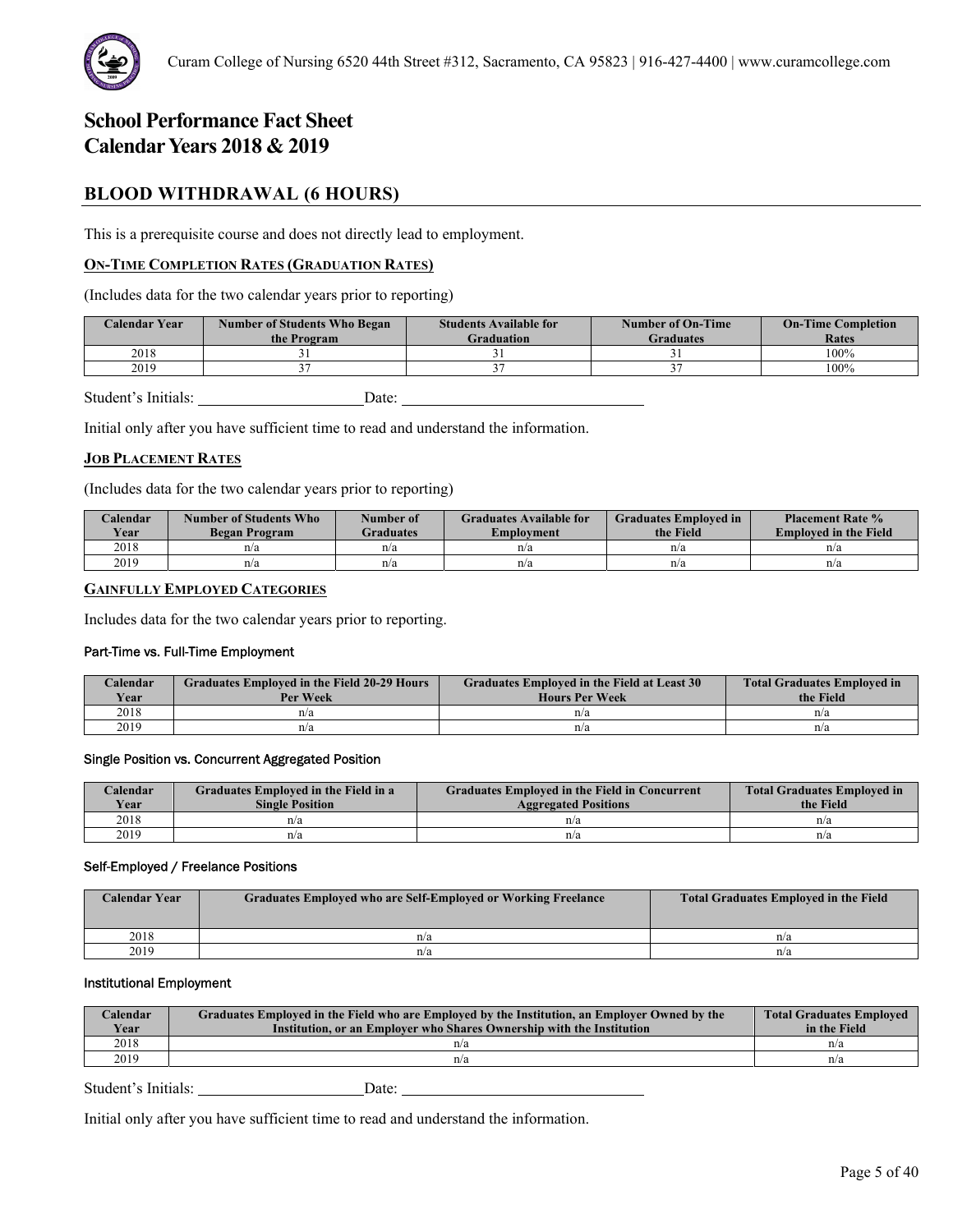

# **BLOOD WITHDRAWAL (6 HOURS)**

This is a prerequisite course and does not directly lead to employment.

# **ON-TIME COMPLETION RATES (GRADUATION RATES)**

(Includes data for the two calendar years prior to reporting)

| <b>Calendar Year</b> | <b>Number of Students Who Began</b><br>the Program | <b>Students Available for</b><br>Graduation | <b>Number of On-Time</b><br>Graduates | <b>On-Time Completion</b><br>Rates |
|----------------------|----------------------------------------------------|---------------------------------------------|---------------------------------------|------------------------------------|
| 2018                 |                                                    |                                             |                                       | $100\%$                            |
| 2019                 |                                                    |                                             |                                       | 100%                               |

Student's Initials: Date:

Initial only after you have sufficient time to read and understand the information.

### **JOB PLACEMENT RATES**

(Includes data for the two calendar years prior to reporting)

| Calendar<br>Year | Number of Students Who<br>Began Program | Number of<br><b>Graduates</b> | <b>Graduates Available for</b><br>Emplovment | <b>Graduates Employed in</b><br>the Field | <b>Placement Rate %</b><br><b>Employed in the Field</b> |
|------------------|-----------------------------------------|-------------------------------|----------------------------------------------|-------------------------------------------|---------------------------------------------------------|
| 2018             | n/a                                     | n/a                           | n/a                                          | n/a                                       | n/a                                                     |
| 2019             | n/a                                     | n/a                           | n/a                                          | n/a                                       | n/a                                                     |

# **GAINFULLY EMPLOYED CATEGORIES**

Includes data for the two calendar years prior to reporting.

#### Part-Time vs. Full-Time Employment

| Calendar<br>Year | <b>Graduates Employed in the Field 20-29 Hours</b><br>Per Week | Graduates Employed in the Field at Least 30<br><b>Hours Per Week</b> | <b>Total Graduates Employed in</b><br>the Field |
|------------------|----------------------------------------------------------------|----------------------------------------------------------------------|-------------------------------------------------|
| 2018             | n/a                                                            | n/a                                                                  | n/a                                             |
| 2019             | n/a                                                            | n/a                                                                  | n/a                                             |

#### Single Position vs. Concurrent Aggregated Position

| Calendar    | Graduates Employed in the Field in a | <b>Graduates Employed in the Field in Concurrent</b> | <b>Total Graduates Employed in</b> |
|-------------|--------------------------------------|------------------------------------------------------|------------------------------------|
| <b>Vear</b> | <b>Single Position</b>               | <b>Aggregated Positions</b>                          | the Field                          |
| 2018        | n/a                                  | n/a                                                  | n/a                                |
| 2019        | n/a                                  | n/a                                                  | n/a                                |

#### Self-Employed / Freelance Positions

| <b>Calendar Year</b> | <b>Graduates Employed who are Self-Employed or Working Freelance</b> | <b>Total Graduates Employed in the Field</b> |
|----------------------|----------------------------------------------------------------------|----------------------------------------------|
| 2018                 | n/a                                                                  | n/a                                          |
| 2019                 | n/a                                                                  | n/a                                          |

# Institutional Employment

| Calendar<br>Year | Graduates Employed in the Field who are Employed by the Institution, an Employer Owned by the<br>Institution, or an Employer who Shares Ownership with the Institution | <b>Total Graduates Employed</b><br>in the Field |
|------------------|------------------------------------------------------------------------------------------------------------------------------------------------------------------------|-------------------------------------------------|
| 2018             | n/a                                                                                                                                                                    | n/a                                             |
| 2019             | n/a                                                                                                                                                                    | n/a                                             |

Student's Initials: Date: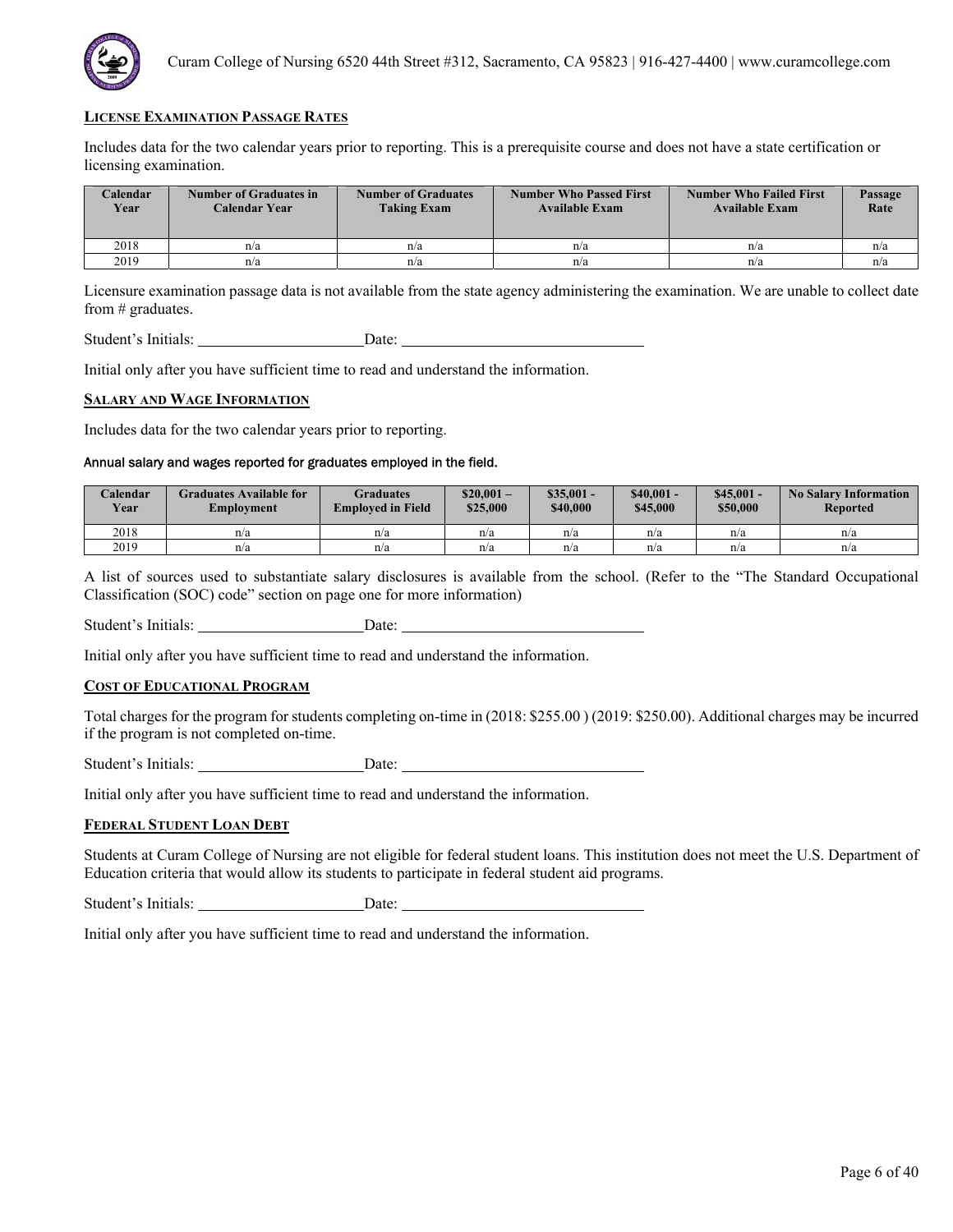

Includes data for the two calendar years prior to reporting. This is a prerequisite course and does not have a state certification or licensing examination.

| <b>Calendar</b><br>Year | Number of Graduates in<br>Calendar Year | <b>Number of Graduates</b><br><b>Taking Exam</b> | <b>Number Who Passed First</b><br><b>Available Exam</b> | <b>Number Who Failed First</b><br><b>Available Exam</b> | Passage<br>Rate |
|-------------------------|-----------------------------------------|--------------------------------------------------|---------------------------------------------------------|---------------------------------------------------------|-----------------|
| 2018                    | n/a                                     | n/a                                              | n/a                                                     | n/a                                                     | n/a             |
| 2019                    | n/a                                     | n/a                                              | n/a                                                     | n/a                                                     | n/a             |

Licensure examination passage data is not available from the state agency administering the examination. We are unable to collect date from # graduates.

Student's Initials: Date: Date:

Initial only after you have sufficient time to read and understand the information.

#### **SALARY AND WAGE INFORMATION**

Includes data for the two calendar years prior to reporting.

# Annual salary and wages reported for graduates employed in the field.

| Calendar<br><b>Year</b> | Graduates Available for<br>Emplovment | Graduates<br><b>Employed in Field</b> | $$20.001-$<br>\$25,000 | $$35,001 -$<br>\$40,000 | $$40.001 -$<br>\$45,000 | \$45,001<br>\$50,000 | <b>No Salary Information</b><br><b>Reported</b> |
|-------------------------|---------------------------------------|---------------------------------------|------------------------|-------------------------|-------------------------|----------------------|-------------------------------------------------|
| 2018                    | n/a                                   | n/a                                   | n/a                    | n/a                     | n/a                     | n/a                  | n/a                                             |
| 2019                    | n/a                                   | n/a                                   | n/a                    | n/a                     | n/a                     | n/a                  | n/a                                             |

A list of sources used to substantiate salary disclosures is available from the school. (Refer to the "The Standard Occupational Classification (SOC) code" section on page one for more information)

Student's Initials: Date:

Initial only after you have sufficient time to read and understand the information.

### **COST OF EDUCATIONAL PROGRAM**

Total charges for the program for students completing on-time in (2018: \$255.00 ) (2019: \$250.00). Additional charges may be incurred if the program is not completed on-time.

Student's Initials: Date:

Initial only after you have sufficient time to read and understand the information.

#### **FEDERAL STUDENT LOAN DEBT**

Students at Curam College of Nursing are not eligible for federal student loans. This institution does not meet the U.S. Department of Education criteria that would allow its students to participate in federal student aid programs.

Student's Initials: Date: Date: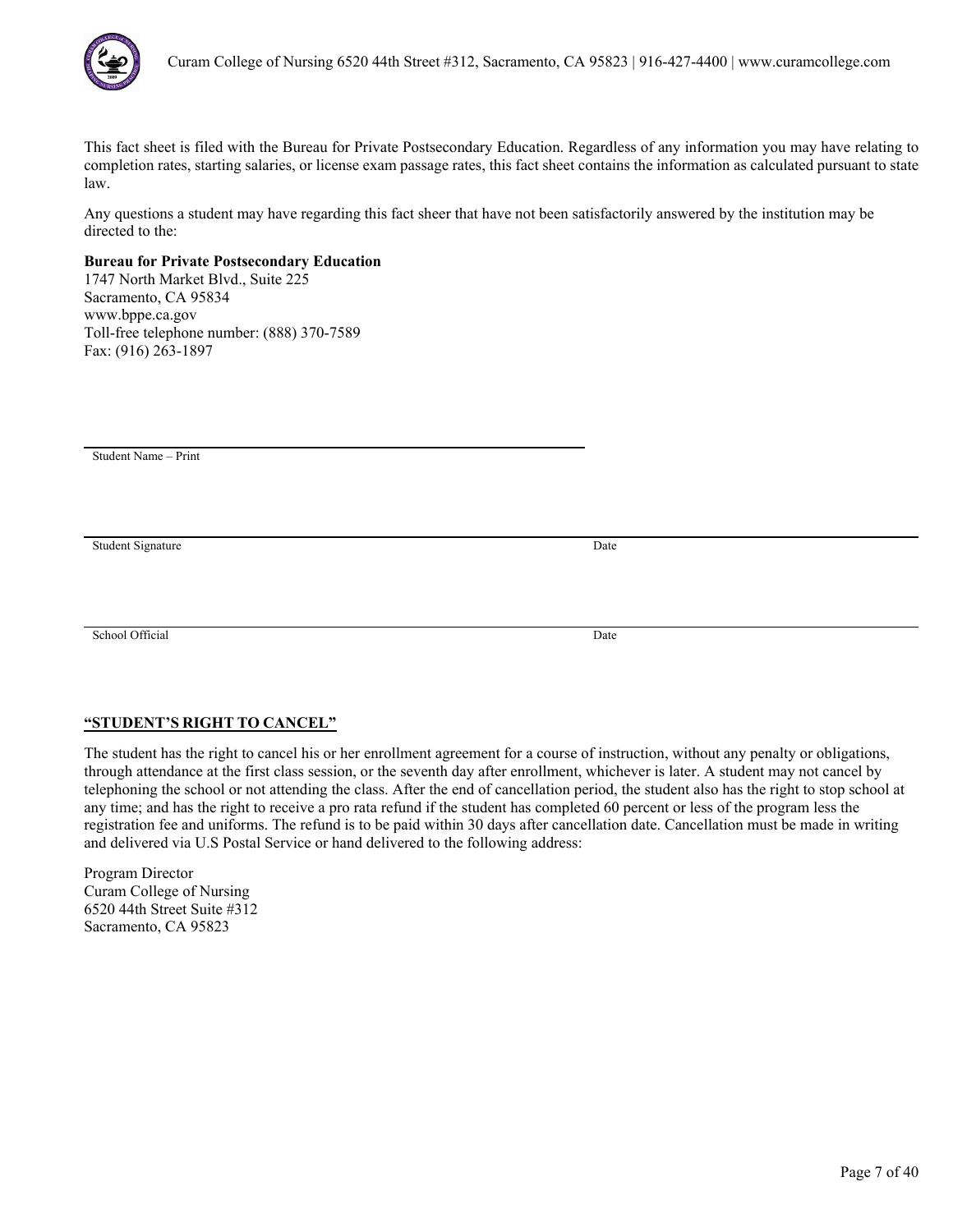

Any questions a student may have regarding this fact sheer that have not been satisfactorily answered by the institution may be directed to the:

# **Bureau for Private Postsecondary Education**

1747 North Market Blvd., Suite 225 Sacramento, CA 95834 www.bppe.ca.gov Toll-free telephone number: (888) 370-7589 Fax: (916) 263-1897

Student Name – Print

Student Signature Date

School Official Date

# **"STUDENT'S RIGHT TO CANCEL"**

The student has the right to cancel his or her enrollment agreement for a course of instruction, without any penalty or obligations, through attendance at the first class session, or the seventh day after enrollment, whichever is later. A student may not cancel by telephoning the school or not attending the class. After the end of cancellation period, the student also has the right to stop school at any time; and has the right to receive a pro rata refund if the student has completed 60 percent or less of the program less the registration fee and uniforms. The refund is to be paid within 30 days after cancellation date. Cancellation must be made in writing and delivered via U.S Postal Service or hand delivered to the following address: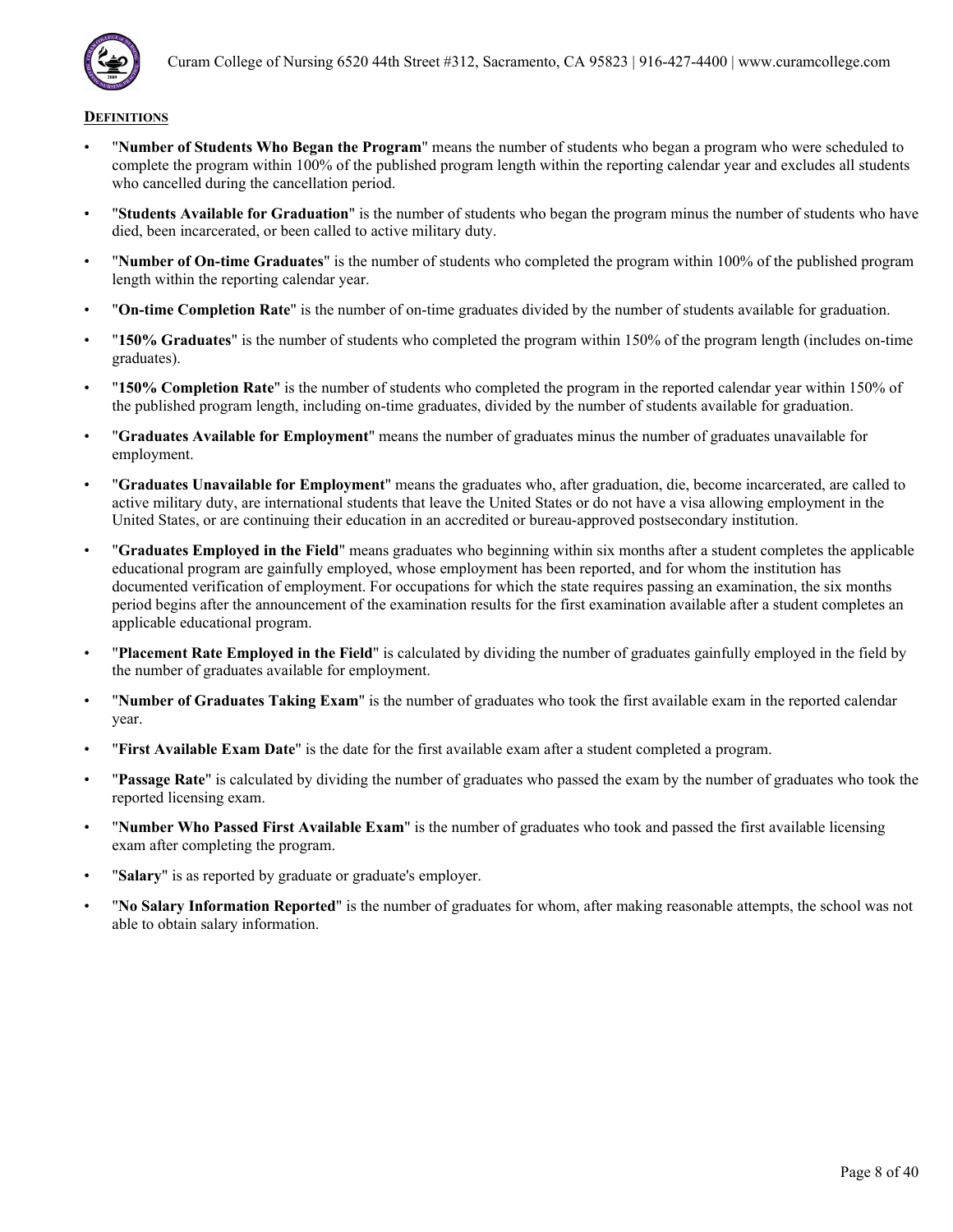

- "**Number of Students Who Began the Program**" means the number of students who began a program who were scheduled to complete the program within 100% of the published program length within the reporting calendar year and excludes all students who cancelled during the cancellation period.
- "**Students Available for Graduation**" is the number of students who began the program minus the number of students who have died, been incarcerated, or been called to active military duty.
- "**Number of On-time Graduates**" is the number of students who completed the program within 100% of the published program length within the reporting calendar year.
- "**On-time Completion Rate**" is the number of on-time graduates divided by the number of students available for graduation.
- "**150% Graduates**" is the number of students who completed the program within 150% of the program length (includes on-time graduates).
- "**150% Completion Rate**" is the number of students who completed the program in the reported calendar year within 150% of the published program length, including on-time graduates, divided by the number of students available for graduation.
- "**Graduates Available for Employment**" means the number of graduates minus the number of graduates unavailable for employment.
- "**Graduates Unavailable for Employment**" means the graduates who, after graduation, die, become incarcerated, are called to active military duty, are international students that leave the United States or do not have a visa allowing employment in the United States, or are continuing their education in an accredited or bureau-approved postsecondary institution.
- "**Graduates Employed in the Field**" means graduates who beginning within six months after a student completes the applicable educational program are gainfully employed, whose employment has been reported, and for whom the institution has documented verification of employment. For occupations for which the state requires passing an examination, the six months period begins after the announcement of the examination results for the first examination available after a student completes an applicable educational program.
- "**Placement Rate Employed in the Field**" is calculated by dividing the number of graduates gainfully employed in the field by the number of graduates available for employment.
- "**Number of Graduates Taking Exam**" is the number of graduates who took the first available exam in the reported calendar year.
- "**First Available Exam Date**" is the date for the first available exam after a student completed a program.
- "**Passage Rate**" is calculated by dividing the number of graduates who passed the exam by the number of graduates who took the reported licensing exam.
- "**Number Who Passed First Available Exam**" is the number of graduates who took and passed the first available licensing exam after completing the program.
- "**Salary**" is as reported by graduate or graduate's employer.
- "**No Salary Information Reported**" is the number of graduates for whom, after making reasonable attempts, the school was not able to obtain salary information.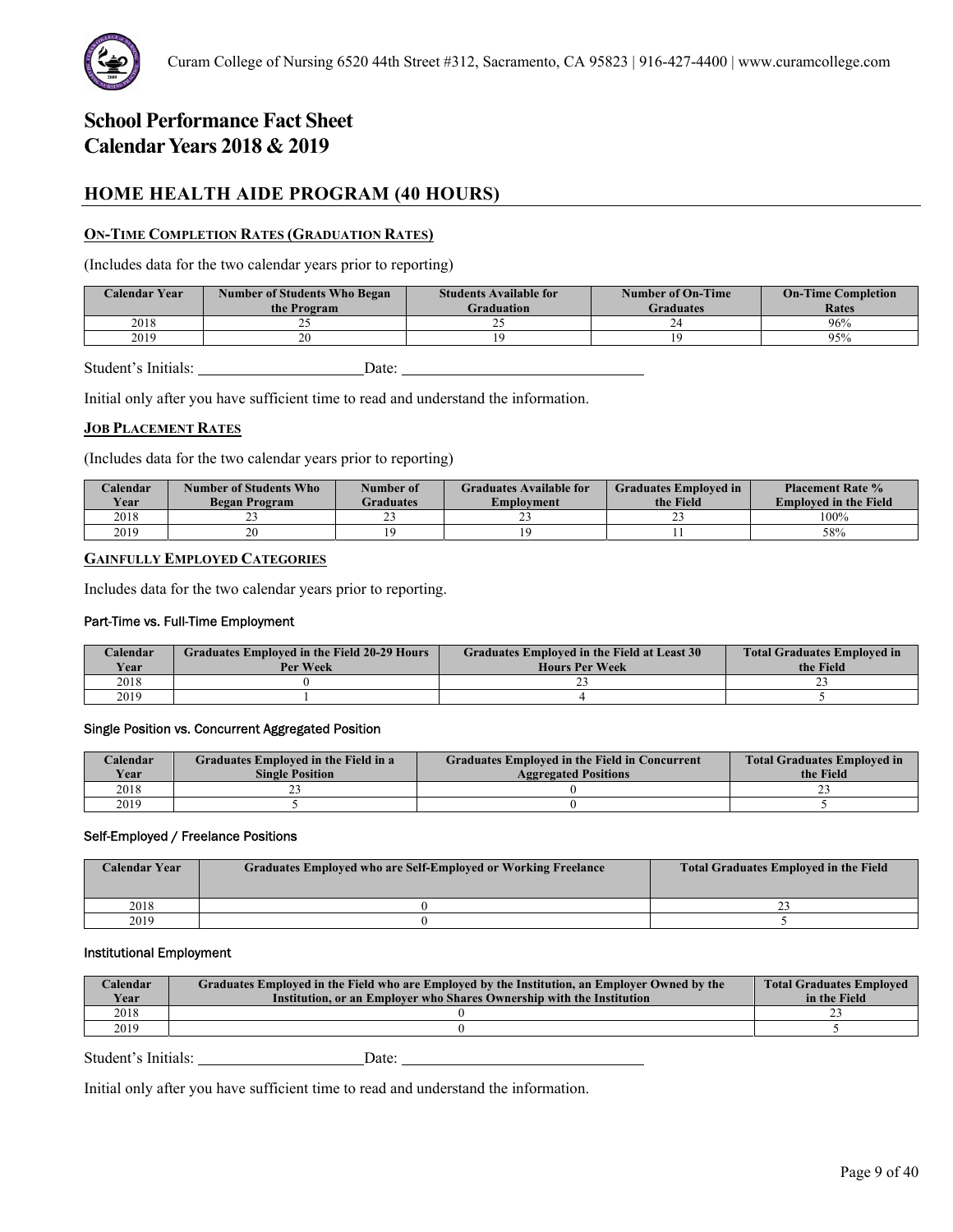# **HOME HEALTH AIDE PROGRAM (40 HOURS)**

# **ON-TIME COMPLETION RATES (GRADUATION RATES)**

(Includes data for the two calendar years prior to reporting)

| <b>Calendar Year</b> | <b>Number of Students Who Began</b><br>the Program | <b>Students Available for</b><br><b>Graduation</b> | Number of On-Time<br><b>Graduates</b> | <b>On-Time Completion</b><br>Rates |
|----------------------|----------------------------------------------------|----------------------------------------------------|---------------------------------------|------------------------------------|
| 2018                 |                                                    |                                                    |                                       | 96%                                |
| 2019                 | o۵                                                 |                                                    |                                       | 95%                                |
|                      |                                                    |                                                    |                                       |                                    |

Student's Initials: Date: Date:

Initial only after you have sufficient time to read and understand the information.

# **JOB PLACEMENT RATES**

(Includes data for the two calendar years prior to reporting)

| <b>Calendar</b><br><b>Year</b> | Number of Students Who<br><b>Began Program</b> | Number of<br><b>Graduates</b> | <b>Graduates Available for</b><br>Employment | <b>Graduates Employed in</b><br>the Field | <b>Placement Rate %</b><br><b>Employed in the Field</b> |
|--------------------------------|------------------------------------------------|-------------------------------|----------------------------------------------|-------------------------------------------|---------------------------------------------------------|
| 2018                           | --                                             |                               | رے                                           |                                           | 100%                                                    |
| 2019                           | 20                                             |                               |                                              |                                           | 58%                                                     |

### **GAINFULLY EMPLOYED CATEGORIES**

Includes data for the two calendar years prior to reporting.

#### Part-Time vs. Full-Time Employment

| Calendar    | <b>Graduates Employed in the Field 20-29 Hours</b> | <b>Graduates Employed in the Field at Least 30</b> | <b>Total Graduates Employed in</b> |
|-------------|----------------------------------------------------|----------------------------------------------------|------------------------------------|
| <b>Year</b> | Per Week                                           | <b>Hours Per Week</b>                              | the Field                          |
| 2018        |                                                    |                                                    |                                    |
| 2019        |                                                    |                                                    |                                    |

#### Single Position vs. Concurrent Aggregated Position

| Calendar    | Graduates Employed in the Field in a | <b>Graduates Employed in the Field in Concurrent</b> | <b>Total Graduates Employed in</b> |
|-------------|--------------------------------------|------------------------------------------------------|------------------------------------|
| <b>Vear</b> | <b>Single Position</b>               | <b>Aggregated Positions</b>                          | the Field                          |
| 2018        |                                      |                                                      | <b>__</b>                          |
| 2019        |                                      |                                                      |                                    |

#### Self-Employed / Freelance Positions

| <b>Calendar Year</b> | Graduates Employed who are Self-Employed or Working Freelance | <b>Total Graduates Employed in the Field</b> |
|----------------------|---------------------------------------------------------------|----------------------------------------------|
| 2018                 |                                                               |                                              |
| 2019                 |                                                               |                                              |

#### Institutional Employment

| Calendar<br>Year | Graduates Employed in the Field who are Employed by the Institution, an Employer Owned by the<br>Institution, or an Employer who Shares Ownership with the Institution | <b>Total Graduates Employed</b><br>in the Field |
|------------------|------------------------------------------------------------------------------------------------------------------------------------------------------------------------|-------------------------------------------------|
| 2018             |                                                                                                                                                                        |                                                 |
| 2019             |                                                                                                                                                                        |                                                 |
|                  |                                                                                                                                                                        |                                                 |

Student's Initials: Date: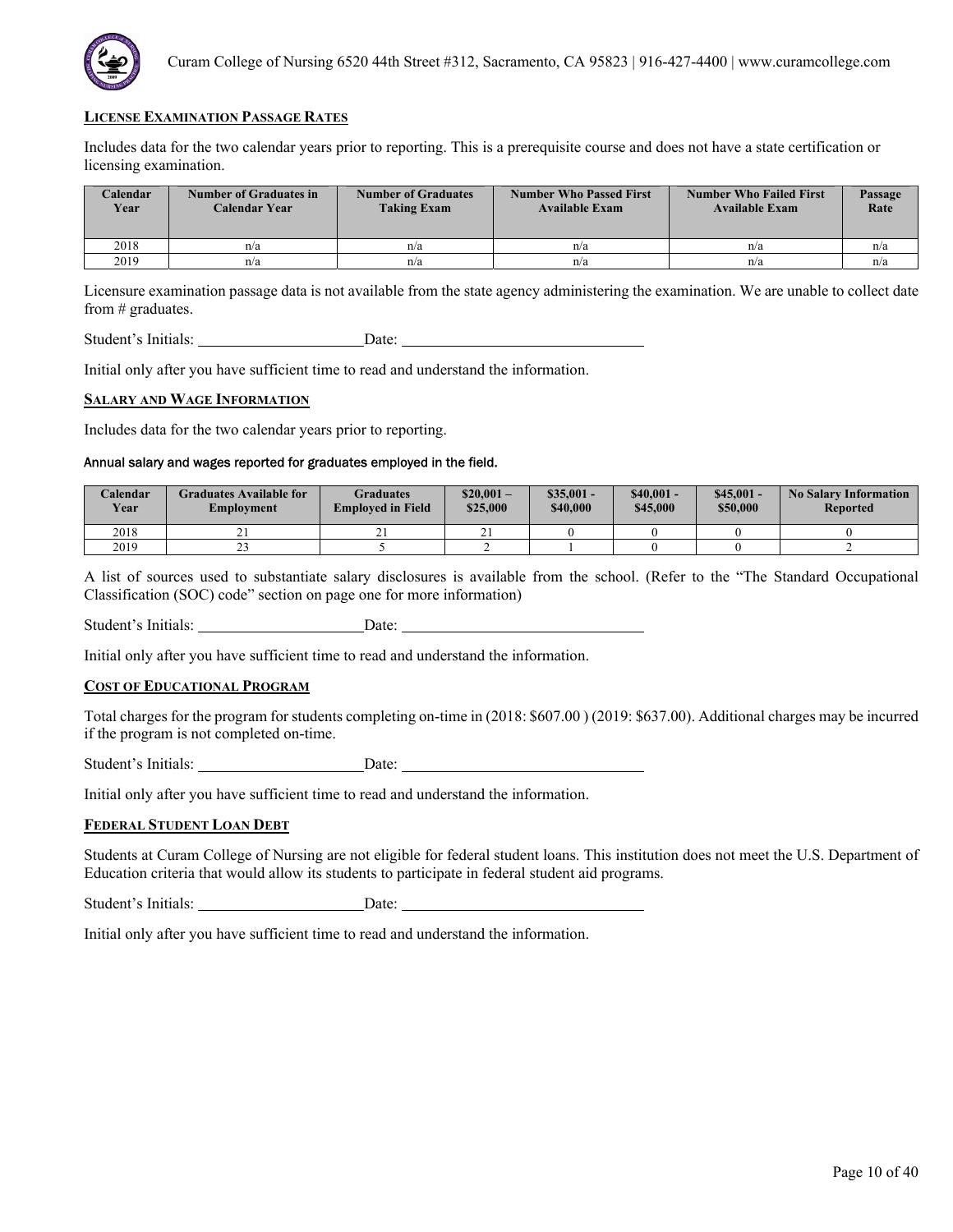

Includes data for the two calendar years prior to reporting. This is a prerequisite course and does not have a state certification or licensing examination.

| <b>Calendar</b><br>Year | Number of Graduates in<br>Calendar Year | <b>Number of Graduates</b><br><b>Taking Exam</b> | <b>Number Who Passed First</b><br><b>Available Exam</b> | <b>Number Who Failed First</b><br><b>Available Exam</b> | Passage<br>Rate |
|-------------------------|-----------------------------------------|--------------------------------------------------|---------------------------------------------------------|---------------------------------------------------------|-----------------|
| 2018                    | n/a                                     | n/a                                              | n/a                                                     | n/a                                                     | n/a             |
| 2019                    | n/a                                     | n/a                                              | n/a                                                     | n/a                                                     | n/a             |

Licensure examination passage data is not available from the state agency administering the examination. We are unable to collect date from # graduates.

Student's Initials: Date: Date:

Initial only after you have sufficient time to read and understand the information.

#### **SALARY AND WAGE INFORMATION**

Includes data for the two calendar years prior to reporting.

# Annual salary and wages reported for graduates employed in the field.

| Calendar<br><b>Year</b> | Graduates Available for<br>Employment | Graduates<br><b>Employed in Field</b> | $$20.001-$<br>\$25,000 | $$35,001 -$<br>\$40,000 | $$40,001-$<br>\$45,000 | $$45.001 -$<br>\$50,000 | <b>No Salary Information</b><br><b>Reported</b> |
|-------------------------|---------------------------------------|---------------------------------------|------------------------|-------------------------|------------------------|-------------------------|-------------------------------------------------|
| 2018                    | <u>∠ 1</u>                            | $\sim$<br>້⊥                          | $\sim$ 1               |                         |                        |                         |                                                 |
| 2019                    | رے                                    |                                       |                        |                         |                        |                         |                                                 |

A list of sources used to substantiate salary disclosures is available from the school. (Refer to the "The Standard Occupational Classification (SOC) code" section on page one for more information)

Student's Initials: Date:

Initial only after you have sufficient time to read and understand the information.

### **COST OF EDUCATIONAL PROGRAM**

Total charges for the program for students completing on-time in (2018: \$607.00 ) (2019: \$637.00). Additional charges may be incurred if the program is not completed on-time.

Student's Initials: Date:

Initial only after you have sufficient time to read and understand the information.

#### **FEDERAL STUDENT LOAN DEBT**

Students at Curam College of Nursing are not eligible for federal student loans. This institution does not meet the U.S. Department of Education criteria that would allow its students to participate in federal student aid programs.

Student's Initials: Date: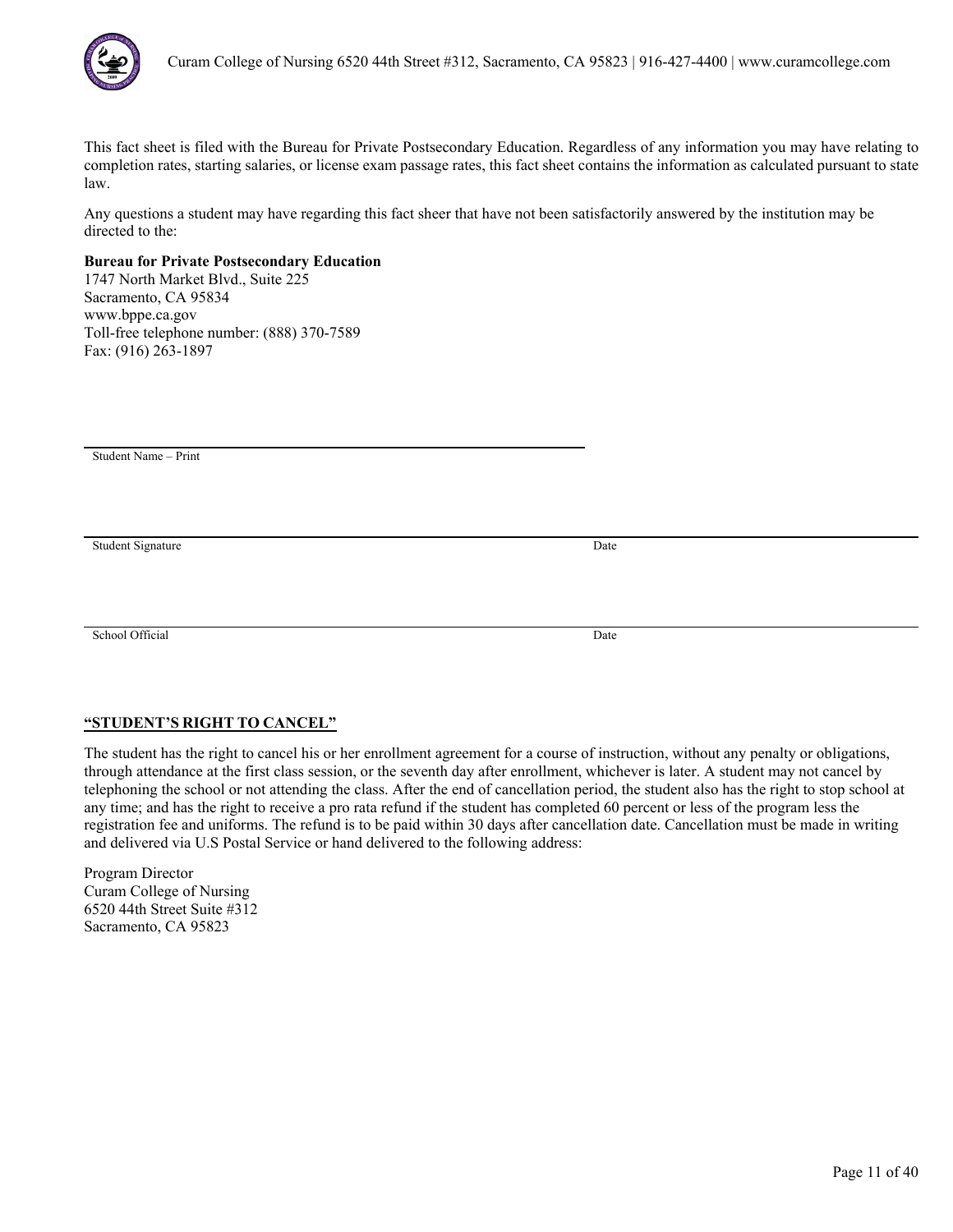

Any questions a student may have regarding this fact sheer that have not been satisfactorily answered by the institution may be directed to the:

# **Bureau for Private Postsecondary Education**

1747 North Market Blvd., Suite 225 Sacramento, CA 95834 www.bppe.ca.gov Toll-free telephone number: (888) 370-7589 Fax: (916) 263-1897

Student Name – Print

Student Signature Date

School Official Date

# **"STUDENT'S RIGHT TO CANCEL"**

The student has the right to cancel his or her enrollment agreement for a course of instruction, without any penalty or obligations, through attendance at the first class session, or the seventh day after enrollment, whichever is later. A student may not cancel by telephoning the school or not attending the class. After the end of cancellation period, the student also has the right to stop school at any time; and has the right to receive a pro rata refund if the student has completed 60 percent or less of the program less the registration fee and uniforms. The refund is to be paid within 30 days after cancellation date. Cancellation must be made in writing and delivered via U.S Postal Service or hand delivered to the following address: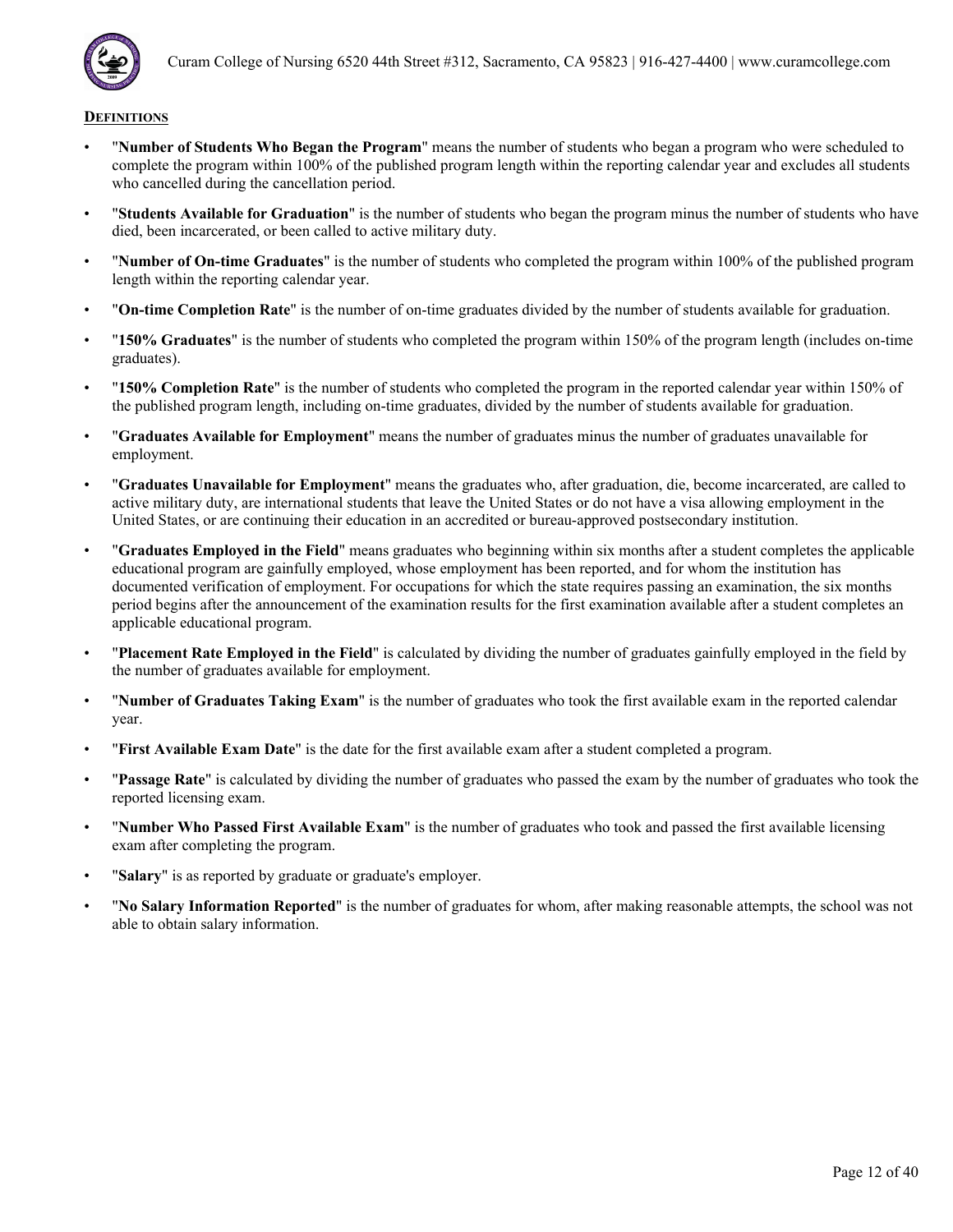

- "**Number of Students Who Began the Program**" means the number of students who began a program who were scheduled to complete the program within 100% of the published program length within the reporting calendar year and excludes all students who cancelled during the cancellation period.
- "**Students Available for Graduation**" is the number of students who began the program minus the number of students who have died, been incarcerated, or been called to active military duty.
- "**Number of On-time Graduates**" is the number of students who completed the program within 100% of the published program length within the reporting calendar year.
- "**On-time Completion Rate**" is the number of on-time graduates divided by the number of students available for graduation.
- "**150% Graduates**" is the number of students who completed the program within 150% of the program length (includes on-time graduates).
- "**150% Completion Rate**" is the number of students who completed the program in the reported calendar year within 150% of the published program length, including on-time graduates, divided by the number of students available for graduation.
- "**Graduates Available for Employment**" means the number of graduates minus the number of graduates unavailable for employment.
- "**Graduates Unavailable for Employment**" means the graduates who, after graduation, die, become incarcerated, are called to active military duty, are international students that leave the United States or do not have a visa allowing employment in the United States, or are continuing their education in an accredited or bureau-approved postsecondary institution.
- "**Graduates Employed in the Field**" means graduates who beginning within six months after a student completes the applicable educational program are gainfully employed, whose employment has been reported, and for whom the institution has documented verification of employment. For occupations for which the state requires passing an examination, the six months period begins after the announcement of the examination results for the first examination available after a student completes an applicable educational program.
- "**Placement Rate Employed in the Field**" is calculated by dividing the number of graduates gainfully employed in the field by the number of graduates available for employment.
- "**Number of Graduates Taking Exam**" is the number of graduates who took the first available exam in the reported calendar year.
- "**First Available Exam Date**" is the date for the first available exam after a student completed a program.
- "**Passage Rate**" is calculated by dividing the number of graduates who passed the exam by the number of graduates who took the reported licensing exam.
- "**Number Who Passed First Available Exam**" is the number of graduates who took and passed the first available licensing exam after completing the program.
- "**Salary**" is as reported by graduate or graduate's employer.
- "**No Salary Information Reported**" is the number of graduates for whom, after making reasonable attempts, the school was not able to obtain salary information.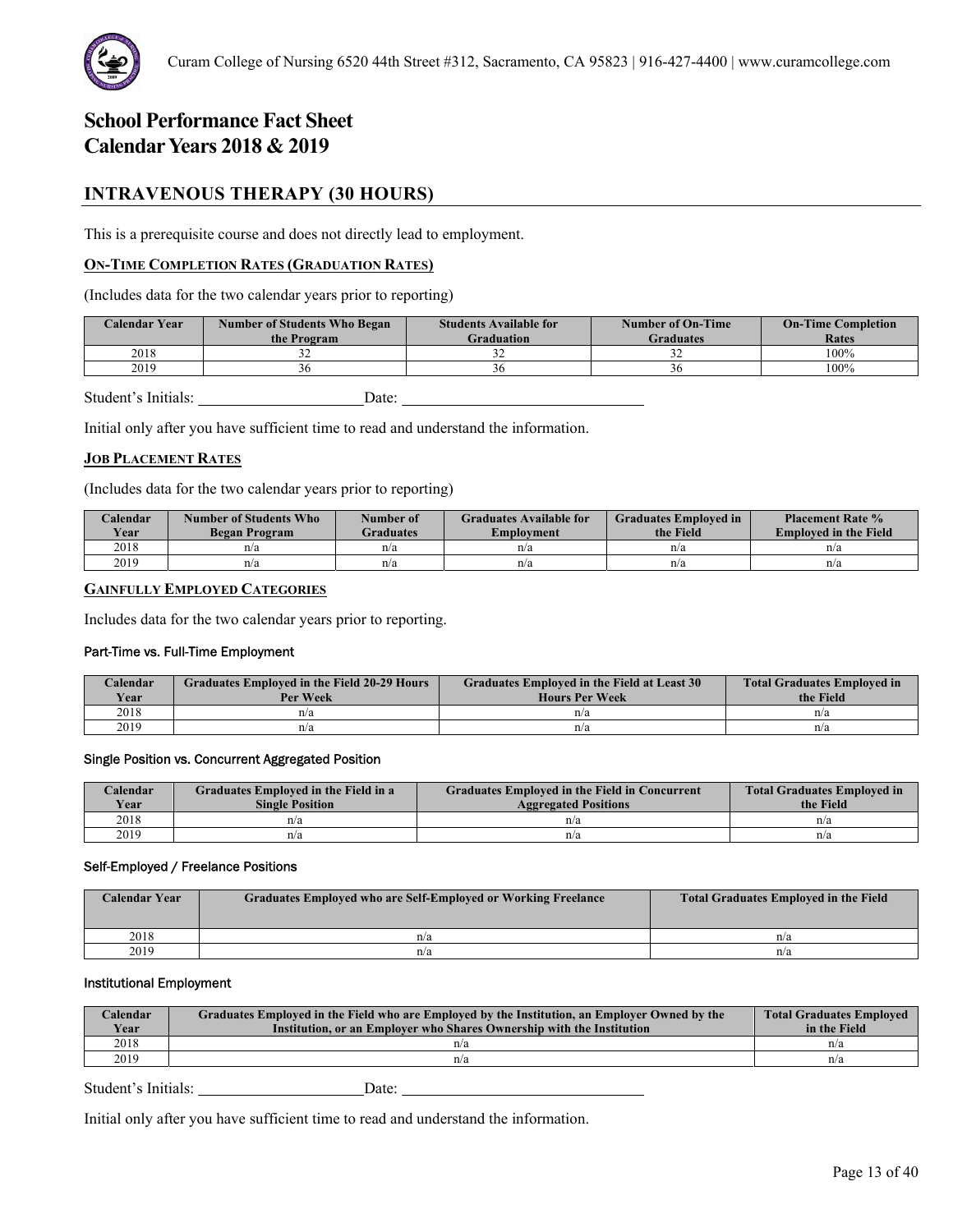

# **INTRAVENOUS THERAPY (30 HOURS)**

This is a prerequisite course and does not directly lead to employment.

# **ON-TIME COMPLETION RATES (GRADUATION RATES)**

(Includes data for the two calendar years prior to reporting)

| <b>Calendar Year</b> | <b>Number of Students Who Began</b><br>the Program | <b>Students Available for</b><br><b>Graduation</b> | <b>Number of On-Time</b><br><b>Graduates</b> | <b>On-Time Completion</b><br>Rates |
|----------------------|----------------------------------------------------|----------------------------------------------------|----------------------------------------------|------------------------------------|
| 2018                 | ے ر                                                | - -                                                |                                              | 100%                               |
| 2019                 |                                                    |                                                    | эc                                           | 100%                               |

Student's Initials: Date:

Initial only after you have sufficient time to read and understand the information.

#### **JOB PLACEMENT RATES**

(Includes data for the two calendar years prior to reporting)

| Calendar<br>Year | Number of Students Who<br>Began Program | Number of<br><b>Graduates</b> | <b>Graduates Available for</b><br>Emplovment | <b>Graduates Employed in</b><br>the Field | <b>Placement Rate %</b><br><b>Employed in the Field</b> |
|------------------|-----------------------------------------|-------------------------------|----------------------------------------------|-------------------------------------------|---------------------------------------------------------|
| 2018             | n/a                                     | n/a                           | n/a                                          | n/a                                       | n/a                                                     |
| 2019             | n/a                                     | n/a                           | n/a                                          | n/a                                       | n/a                                                     |

# **GAINFULLY EMPLOYED CATEGORIES**

Includes data for the two calendar years prior to reporting.

#### Part-Time vs. Full-Time Employment

| Calendar<br>Year | <b>Graduates Employed in the Field 20-29 Hours</b><br>Per Week | Graduates Employed in the Field at Least 30<br><b>Hours Per Week</b> | <b>Total Graduates Employed in</b><br>the Field |
|------------------|----------------------------------------------------------------|----------------------------------------------------------------------|-------------------------------------------------|
| 2018             | n/a                                                            | n/a                                                                  | n/a                                             |
| 2019             | n/a                                                            | n/a                                                                  | n/a                                             |

#### Single Position vs. Concurrent Aggregated Position

| Calendar    | Graduates Employed in the Field in a | <b>Graduates Employed in the Field in Concurrent</b> | <b>Total Graduates Employed in</b> |
|-------------|--------------------------------------|------------------------------------------------------|------------------------------------|
| <b>Vear</b> | <b>Single Position</b>               | <b>Aggregated Positions</b>                          | the Field                          |
| 2018        | n/a                                  | n/a                                                  | n/a                                |
| 2019        | n/a                                  | n/a                                                  | n/a                                |

#### Self-Employed / Freelance Positions

| <b>Calendar Year</b> | <b>Graduates Employed who are Self-Employed or Working Freelance</b> | <b>Total Graduates Employed in the Field</b> |
|----------------------|----------------------------------------------------------------------|----------------------------------------------|
| 2018                 | n/a                                                                  | n/a                                          |
| 2019                 | n/a                                                                  | n/a                                          |

# Institutional Employment

| Calendar<br>Year | Graduates Employed in the Field who are Employed by the Institution, an Employer Owned by the<br>Institution, or an Employer who Shares Ownership with the Institution | <b>Total Graduates Employed</b><br>in the Field |
|------------------|------------------------------------------------------------------------------------------------------------------------------------------------------------------------|-------------------------------------------------|
| 2018             | n/a                                                                                                                                                                    | n/a                                             |
| 2019             | n/a                                                                                                                                                                    | n/a                                             |

Student's Initials: Date: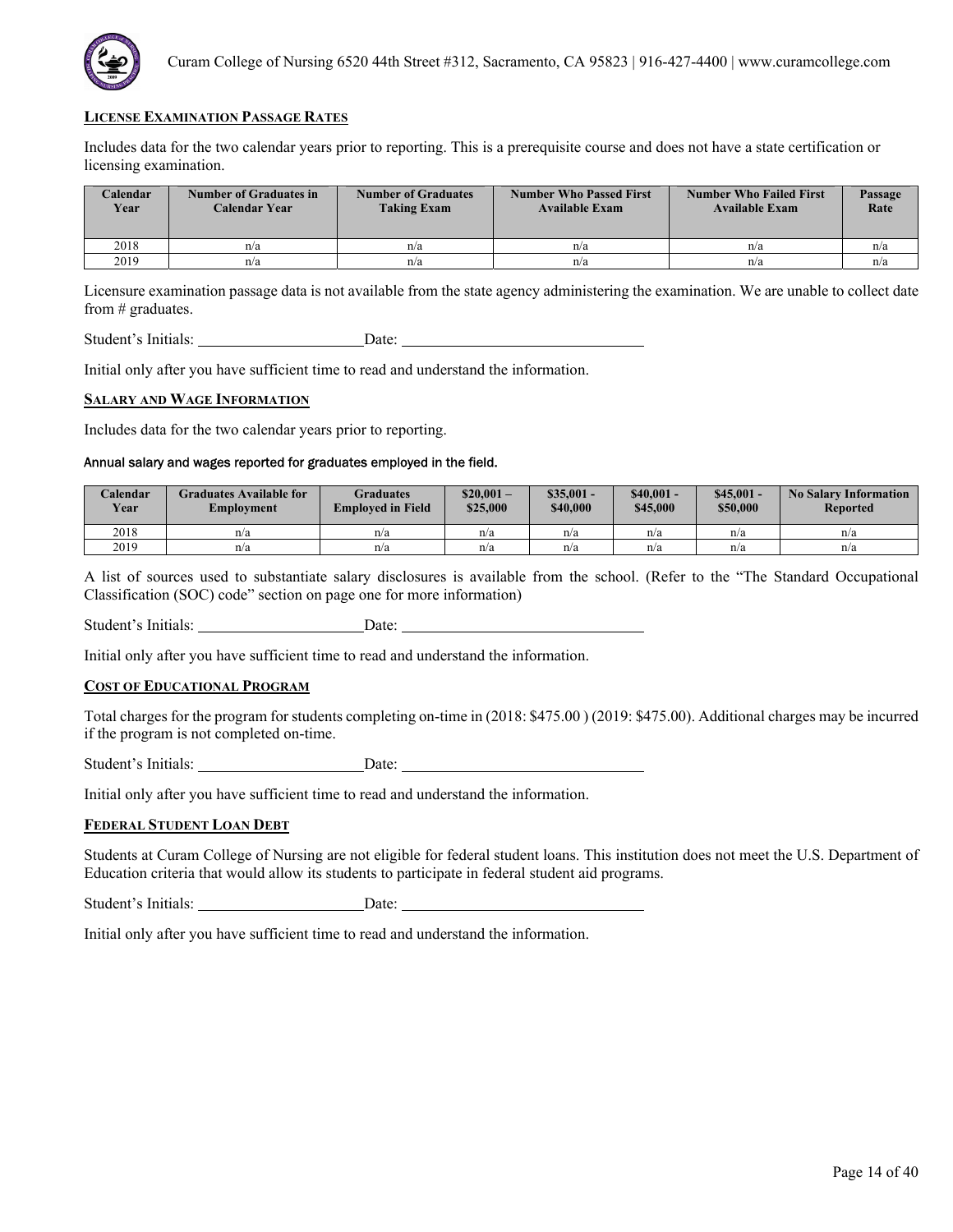

Includes data for the two calendar years prior to reporting. This is a prerequisite course and does not have a state certification or licensing examination.

| <b>Calendar</b><br>Year | Number of Graduates in<br>Calendar Year | <b>Number of Graduates</b><br><b>Taking Exam</b> | <b>Number Who Passed First</b><br><b>Available Exam</b> | <b>Number Who Failed First</b><br><b>Available Exam</b> | Passage<br>Rate |
|-------------------------|-----------------------------------------|--------------------------------------------------|---------------------------------------------------------|---------------------------------------------------------|-----------------|
| 2018                    | n/a                                     | n/a                                              | n/a                                                     | n/a                                                     | n/a             |
| 2019                    | n/a                                     | n/a                                              | n/a                                                     | n/a                                                     | n/a             |

Licensure examination passage data is not available from the state agency administering the examination. We are unable to collect date from # graduates.

Student's Initials: Date: Date:

Initial only after you have sufficient time to read and understand the information.

#### **SALARY AND WAGE INFORMATION**

Includes data for the two calendar years prior to reporting.

# Annual salary and wages reported for graduates employed in the field.

| Calendar<br><b>Year</b> | Graduates Available for<br>Employment | Graduates<br><b>Employed in Field</b> | $$20.001-$<br>\$25,000 | $\$35.001 -$<br>\$40,000 | $$40.001 -$<br>\$45,000 | $$45,001 -$<br>\$50,000 | <b>No Salary Information</b><br><b>Reported</b> |
|-------------------------|---------------------------------------|---------------------------------------|------------------------|--------------------------|-------------------------|-------------------------|-------------------------------------------------|
| 2018                    | n/a                                   | n/a                                   | n/a                    | n/a                      | n/a                     | n/a                     | n/a                                             |
| 2019                    | n/a                                   | n/a                                   | n/a                    | n/a                      | n/a                     | n/a                     | n/a                                             |

A list of sources used to substantiate salary disclosures is available from the school. (Refer to the "The Standard Occupational Classification (SOC) code" section on page one for more information)

Student's Initials: Date:

Initial only after you have sufficient time to read and understand the information.

### **COST OF EDUCATIONAL PROGRAM**

Total charges for the program for students completing on-time in (2018: \$475.00 ) (2019: \$475.00). Additional charges may be incurred if the program is not completed on-time.

Student's Initials: Date:

Initial only after you have sufficient time to read and understand the information.

#### **FEDERAL STUDENT LOAN DEBT**

Students at Curam College of Nursing are not eligible for federal student loans. This institution does not meet the U.S. Department of Education criteria that would allow its students to participate in federal student aid programs.

Student's Initials: Date: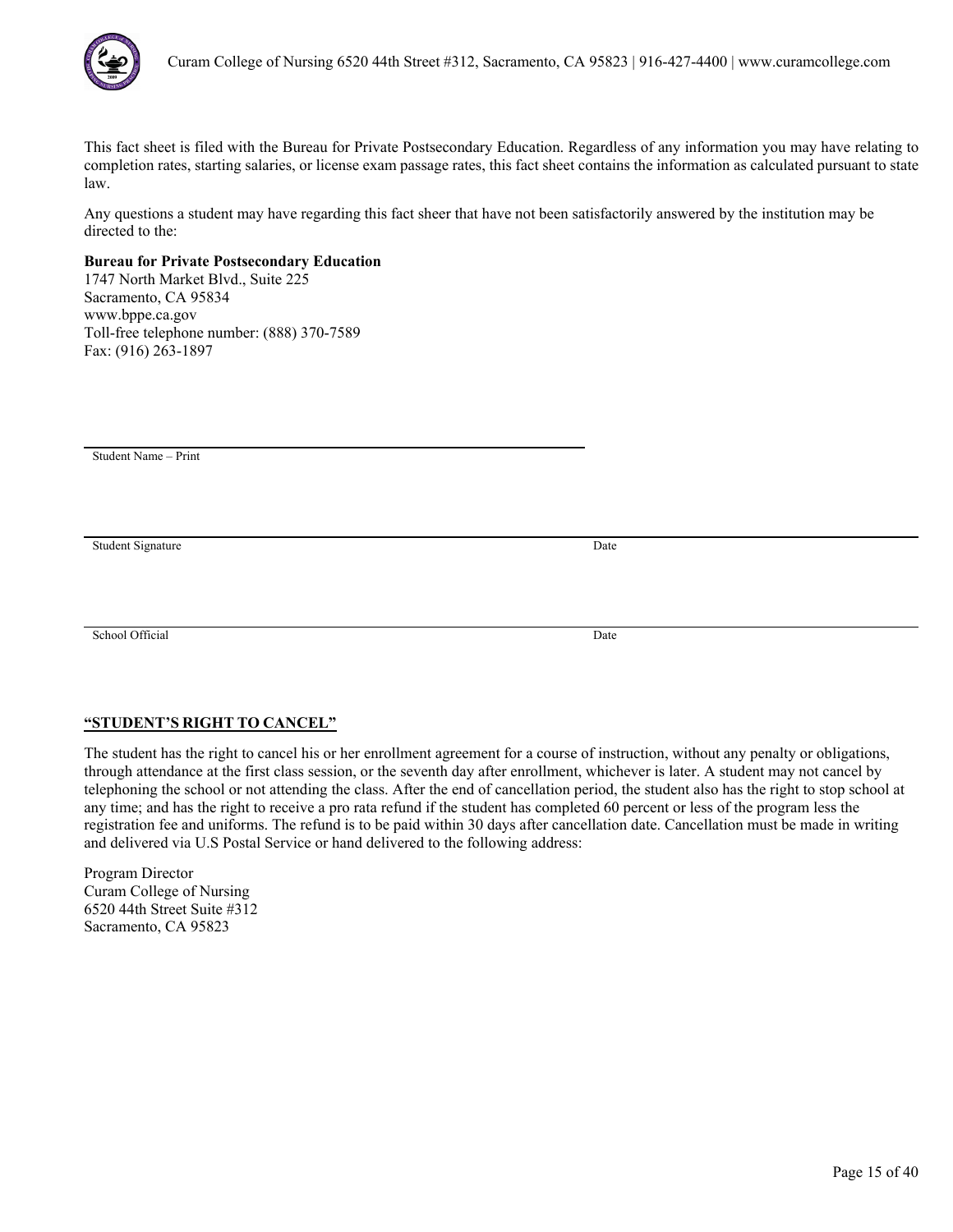

Any questions a student may have regarding this fact sheer that have not been satisfactorily answered by the institution may be directed to the:

# **Bureau for Private Postsecondary Education**

1747 North Market Blvd., Suite 225 Sacramento, CA 95834 www.bppe.ca.gov Toll-free telephone number: (888) 370-7589 Fax: (916) 263-1897

Student Name – Print

Student Signature Date

School Official Date

# **"STUDENT'S RIGHT TO CANCEL"**

The student has the right to cancel his or her enrollment agreement for a course of instruction, without any penalty or obligations, through attendance at the first class session, or the seventh day after enrollment, whichever is later. A student may not cancel by telephoning the school or not attending the class. After the end of cancellation period, the student also has the right to stop school at any time; and has the right to receive a pro rata refund if the student has completed 60 percent or less of the program less the registration fee and uniforms. The refund is to be paid within 30 days after cancellation date. Cancellation must be made in writing and delivered via U.S Postal Service or hand delivered to the following address: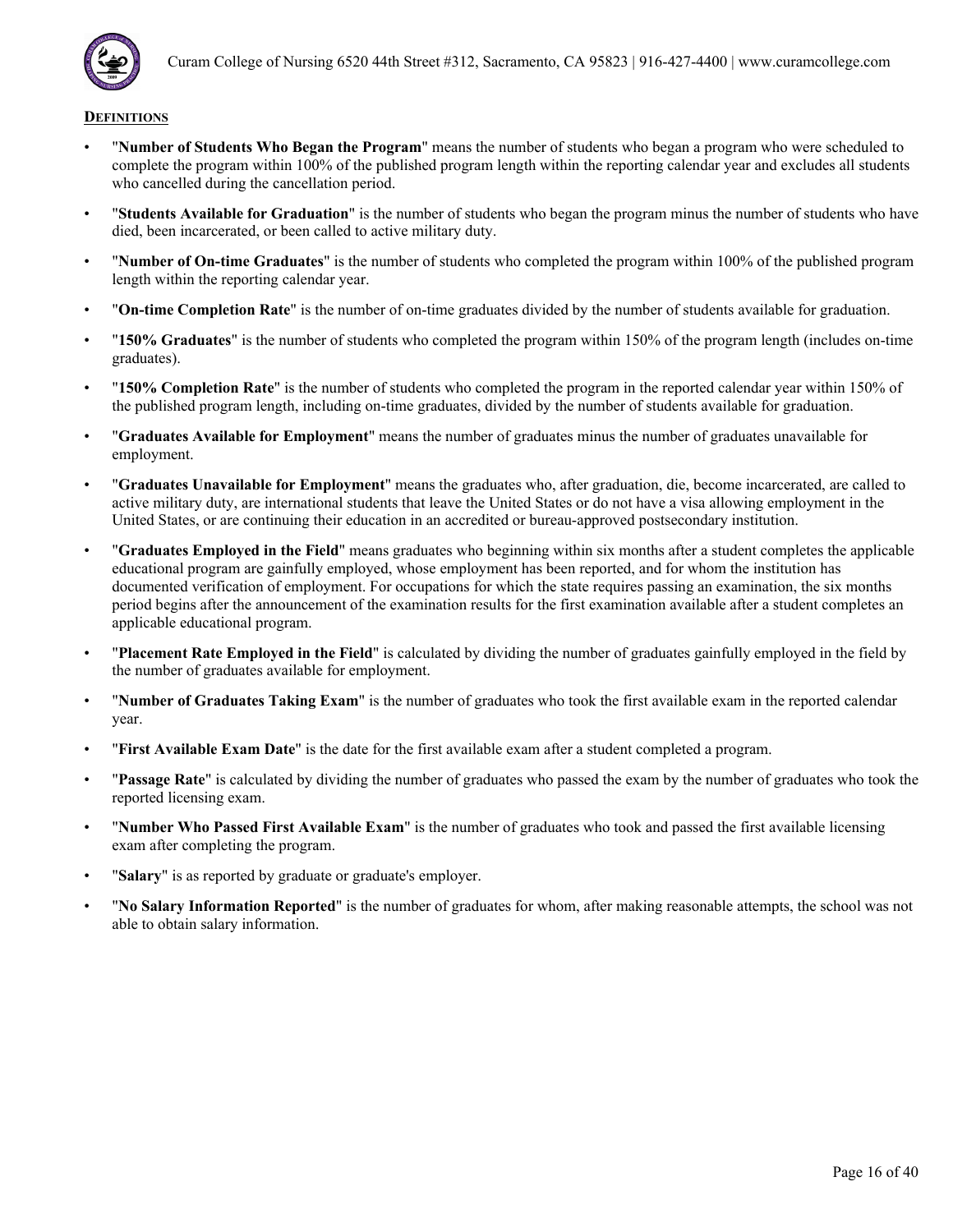

- "**Number of Students Who Began the Program**" means the number of students who began a program who were scheduled to complete the program within 100% of the published program length within the reporting calendar year and excludes all students who cancelled during the cancellation period.
- "**Students Available for Graduation**" is the number of students who began the program minus the number of students who have died, been incarcerated, or been called to active military duty.
- "**Number of On-time Graduates**" is the number of students who completed the program within 100% of the published program length within the reporting calendar year.
- "**On-time Completion Rate**" is the number of on-time graduates divided by the number of students available for graduation.
- "**150% Graduates**" is the number of students who completed the program within 150% of the program length (includes on-time graduates).
- "**150% Completion Rate**" is the number of students who completed the program in the reported calendar year within 150% of the published program length, including on-time graduates, divided by the number of students available for graduation.
- "**Graduates Available for Employment**" means the number of graduates minus the number of graduates unavailable for employment.
- "**Graduates Unavailable for Employment**" means the graduates who, after graduation, die, become incarcerated, are called to active military duty, are international students that leave the United States or do not have a visa allowing employment in the United States, or are continuing their education in an accredited or bureau-approved postsecondary institution.
- "**Graduates Employed in the Field**" means graduates who beginning within six months after a student completes the applicable educational program are gainfully employed, whose employment has been reported, and for whom the institution has documented verification of employment. For occupations for which the state requires passing an examination, the six months period begins after the announcement of the examination results for the first examination available after a student completes an applicable educational program.
- "**Placement Rate Employed in the Field**" is calculated by dividing the number of graduates gainfully employed in the field by the number of graduates available for employment.
- "**Number of Graduates Taking Exam**" is the number of graduates who took the first available exam in the reported calendar year.
- "**First Available Exam Date**" is the date for the first available exam after a student completed a program.
- "**Passage Rate**" is calculated by dividing the number of graduates who passed the exam by the number of graduates who took the reported licensing exam.
- "**Number Who Passed First Available Exam**" is the number of graduates who took and passed the first available licensing exam after completing the program.
- "**Salary**" is as reported by graduate or graduate's employer.
- "**No Salary Information Reported**" is the number of graduates for whom, after making reasonable attempts, the school was not able to obtain salary information.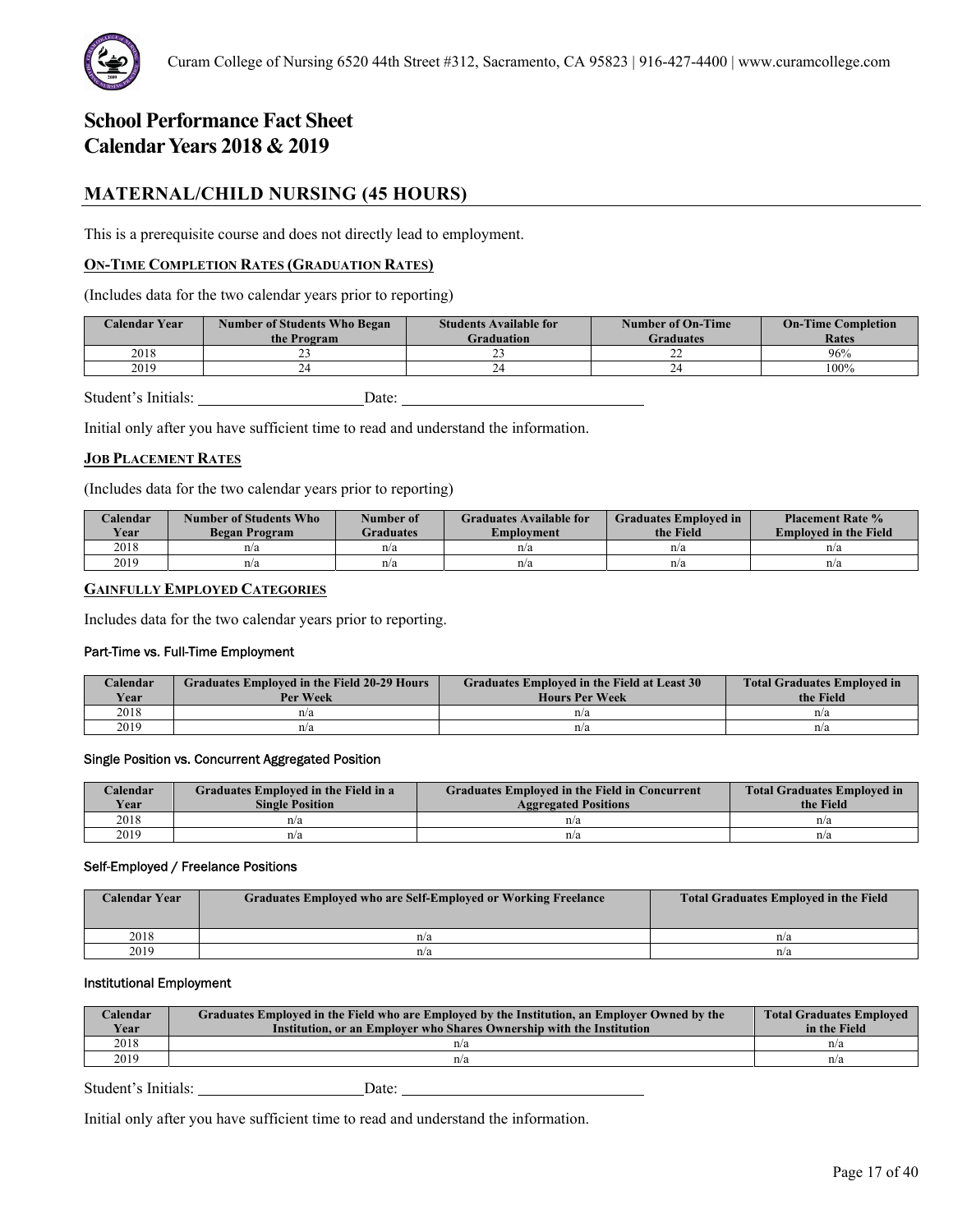

# **MATERNAL/CHILD NURSING (45 HOURS)**

This is a prerequisite course and does not directly lead to employment.

# **ON-TIME COMPLETION RATES (GRADUATION RATES)**

(Includes data for the two calendar years prior to reporting)

| Calendar Year | <b>Number of Students Who Began</b><br>the Program | <b>Students Available for</b><br>Graduation | <b>Number of On-Time</b><br>Graduates | <b>On-Time Completion</b><br>Rates |
|---------------|----------------------------------------------------|---------------------------------------------|---------------------------------------|------------------------------------|
| 2018          |                                                    |                                             | <u>_</u>                              | 96%                                |
| 2019          |                                                    |                                             |                                       | 100%                               |

Student's Initials: Date:

Initial only after you have sufficient time to read and understand the information.

#### **JOB PLACEMENT RATES**

(Includes data for the two calendar years prior to reporting)

| Calendar<br>Year | Number of Students Who<br>Began Program | Number of<br><b>Graduates</b> | <b>Graduates Available for</b><br>Emplovment | <b>Graduates Employed in</b><br>the Field | <b>Placement Rate %</b><br><b>Employed in the Field</b> |
|------------------|-----------------------------------------|-------------------------------|----------------------------------------------|-------------------------------------------|---------------------------------------------------------|
| 2018             | n/a                                     | n/a                           | n/a                                          | n/a                                       | n/a                                                     |
| 2019             | n/a                                     | n/a                           | n/a                                          | n/a                                       | n/a                                                     |

# **GAINFULLY EMPLOYED CATEGORIES**

Includes data for the two calendar years prior to reporting.

#### Part-Time vs. Full-Time Employment

| Calendar<br><b>Year</b> | <b>Graduates Employed in the Field 20-29 Hours</b><br>Per Week | Graduates Employed in the Field at Least 30<br><b>Hours Per Week</b> | <b>Total Graduates Employed in</b><br>the Field |
|-------------------------|----------------------------------------------------------------|----------------------------------------------------------------------|-------------------------------------------------|
| 2018                    | n/a                                                            | n/a                                                                  | n/a                                             |
| 2019                    | n/a                                                            | n/a                                                                  | n/a                                             |

#### Single Position vs. Concurrent Aggregated Position

| Calendar    | Graduates Employed in the Field in a | <b>Graduates Employed in the Field in Concurrent</b> | <b>Total Graduates Employed in</b> |
|-------------|--------------------------------------|------------------------------------------------------|------------------------------------|
| <b>Vear</b> | <b>Single Position</b>               | <b>Aggregated Positions</b>                          | the Field                          |
| 2018        | n/a                                  | n/a                                                  | n/a                                |
| 2019        | n/a                                  | n/a                                                  | n/a                                |

#### Self-Employed / Freelance Positions

| <b>Calendar Year</b> | <b>Graduates Employed who are Self-Employed or Working Freelance</b> | <b>Total Graduates Employed in the Field</b> |
|----------------------|----------------------------------------------------------------------|----------------------------------------------|
| 2018                 | n/a                                                                  | n/a                                          |
| 2019                 | n/a                                                                  | n/a                                          |

#### Institutional Employment

| Calendar<br>Year | Graduates Employed in the Field who are Employed by the Institution, an Employer Owned by the<br>Institution, or an Employer who Shares Ownership with the Institution | <b>Total Graduates Employed</b><br>in the Field |
|------------------|------------------------------------------------------------------------------------------------------------------------------------------------------------------------|-------------------------------------------------|
| 2018             | n/a                                                                                                                                                                    | n/a                                             |
| 2019             | n/a                                                                                                                                                                    | n/a                                             |

Student's Initials: Date: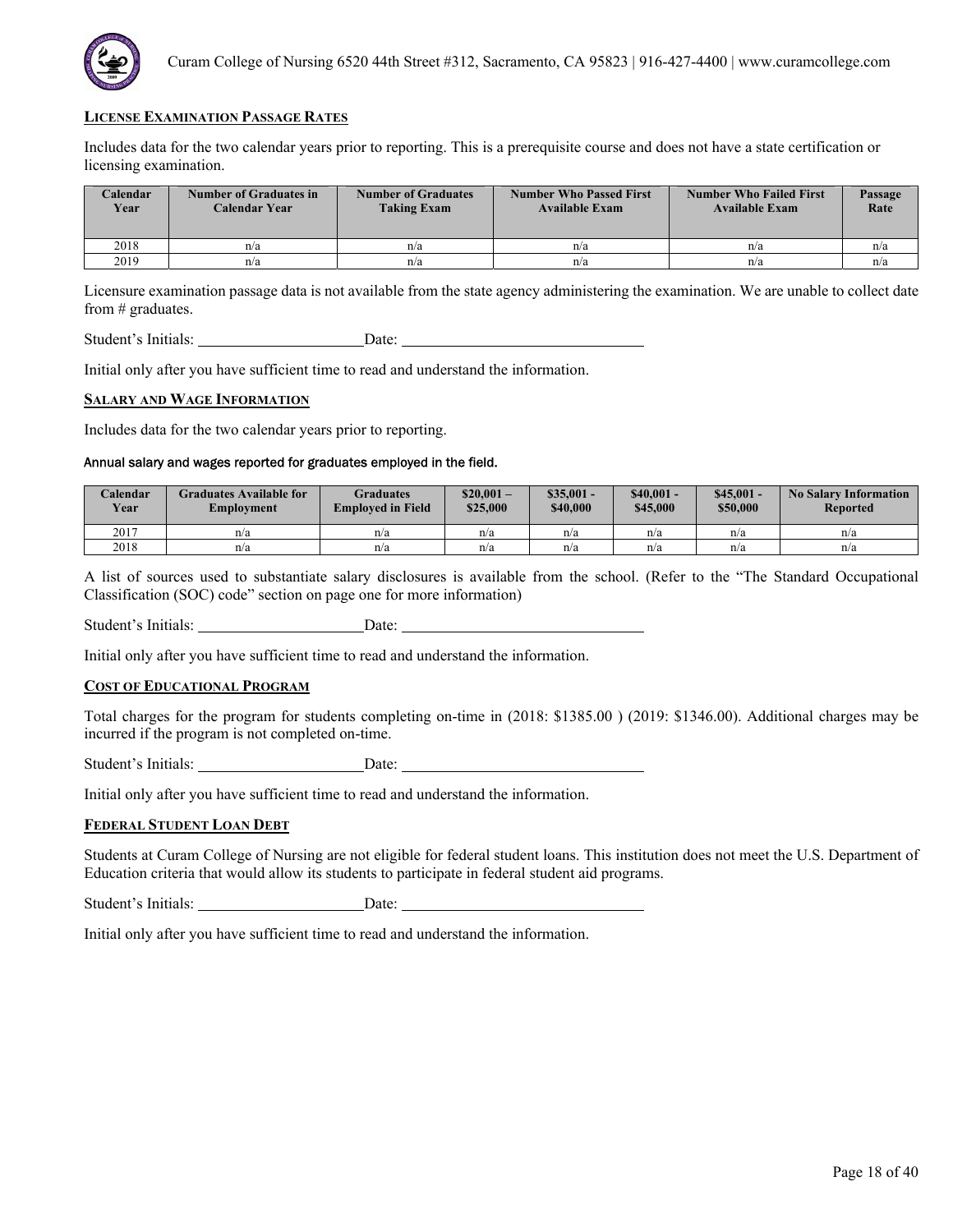

Includes data for the two calendar years prior to reporting. This is a prerequisite course and does not have a state certification or licensing examination.

| <b>Calendar</b><br>Year | <b>Number of Graduates in</b><br>Calendar Year | <b>Number of Graduates</b><br><b>Taking Exam</b> | <b>Number Who Passed First</b><br><b>Available Exam</b> | <b>Number Who Failed First</b><br><b>Available Exam</b> | Passage<br>Rate |
|-------------------------|------------------------------------------------|--------------------------------------------------|---------------------------------------------------------|---------------------------------------------------------|-----------------|
| 2018                    | n/a                                            | n/a                                              | n/a                                                     | n/a                                                     | n/a             |
| 2019                    | n/a                                            | n/a                                              | n/a                                                     | n/a                                                     | n/a             |

Licensure examination passage data is not available from the state agency administering the examination. We are unable to collect date from # graduates.

Student's Initials: Date: Date:

Initial only after you have sufficient time to read and understand the information.

#### **SALARY AND WAGE INFORMATION**

Includes data for the two calendar years prior to reporting.

# Annual salary and wages reported for graduates employed in the field.

| Calendar<br><b>Year</b> | Graduates Available for<br>Employment | Graduates<br><b>Employed in Field</b> | $$20.001-$<br>\$25,000 | $$35.001 -$<br>\$40,000 | $$40.001 -$<br>\$45,000 | $$45,001 -$<br>\$50,000 | <b>No Salary Information</b><br>Reported |
|-------------------------|---------------------------------------|---------------------------------------|------------------------|-------------------------|-------------------------|-------------------------|------------------------------------------|
| 2017                    | n/a                                   | n/a                                   | n/a                    | n/a                     | n/a                     | n/a                     | n/a                                      |
| 2018                    | n/a                                   | n/a                                   | n/a                    | n/a                     | n/a                     | n/a                     | n/a                                      |

A list of sources used to substantiate salary disclosures is available from the school. (Refer to the "The Standard Occupational Classification (SOC) code" section on page one for more information)

Student's Initials: Date:

Initial only after you have sufficient time to read and understand the information.

### **COST OF EDUCATIONAL PROGRAM**

Total charges for the program for students completing on-time in (2018: \$1385.00 ) (2019: \$1346.00). Additional charges may be incurred if the program is not completed on-time.

Student's Initials: Date:

Initial only after you have sufficient time to read and understand the information.

#### **FEDERAL STUDENT LOAN DEBT**

Students at Curam College of Nursing are not eligible for federal student loans. This institution does not meet the U.S. Department of Education criteria that would allow its students to participate in federal student aid programs.

Student's Initials: Date: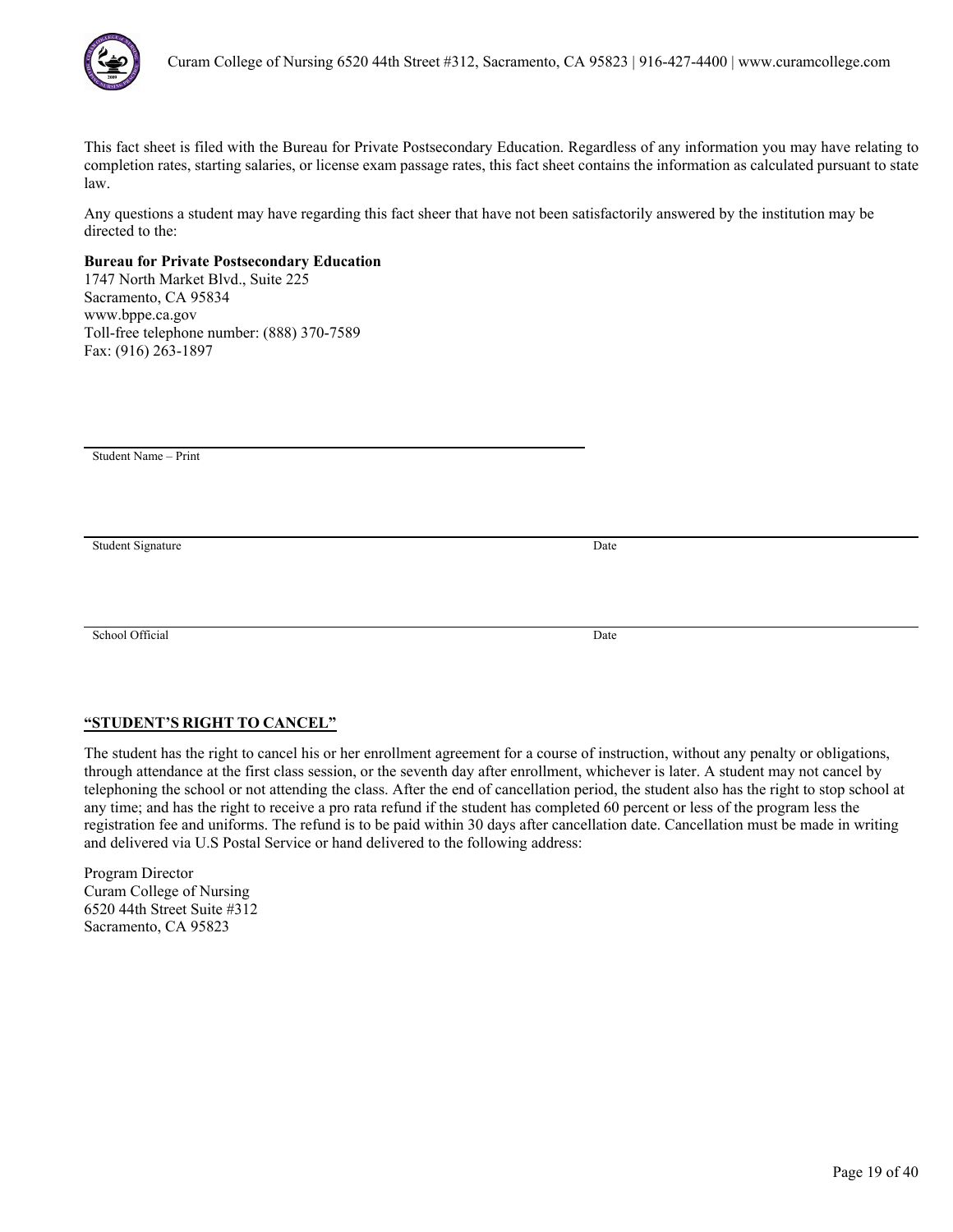

Any questions a student may have regarding this fact sheer that have not been satisfactorily answered by the institution may be directed to the:

# **Bureau for Private Postsecondary Education**

1747 North Market Blvd., Suite 225 Sacramento, CA 95834 www.bppe.ca.gov Toll-free telephone number: (888) 370-7589 Fax: (916) 263-1897

Student Name – Print

Student Signature Date

School Official Date

# **"STUDENT'S RIGHT TO CANCEL"**

The student has the right to cancel his or her enrollment agreement for a course of instruction, without any penalty or obligations, through attendance at the first class session, or the seventh day after enrollment, whichever is later. A student may not cancel by telephoning the school or not attending the class. After the end of cancellation period, the student also has the right to stop school at any time; and has the right to receive a pro rata refund if the student has completed 60 percent or less of the program less the registration fee and uniforms. The refund is to be paid within 30 days after cancellation date. Cancellation must be made in writing and delivered via U.S Postal Service or hand delivered to the following address: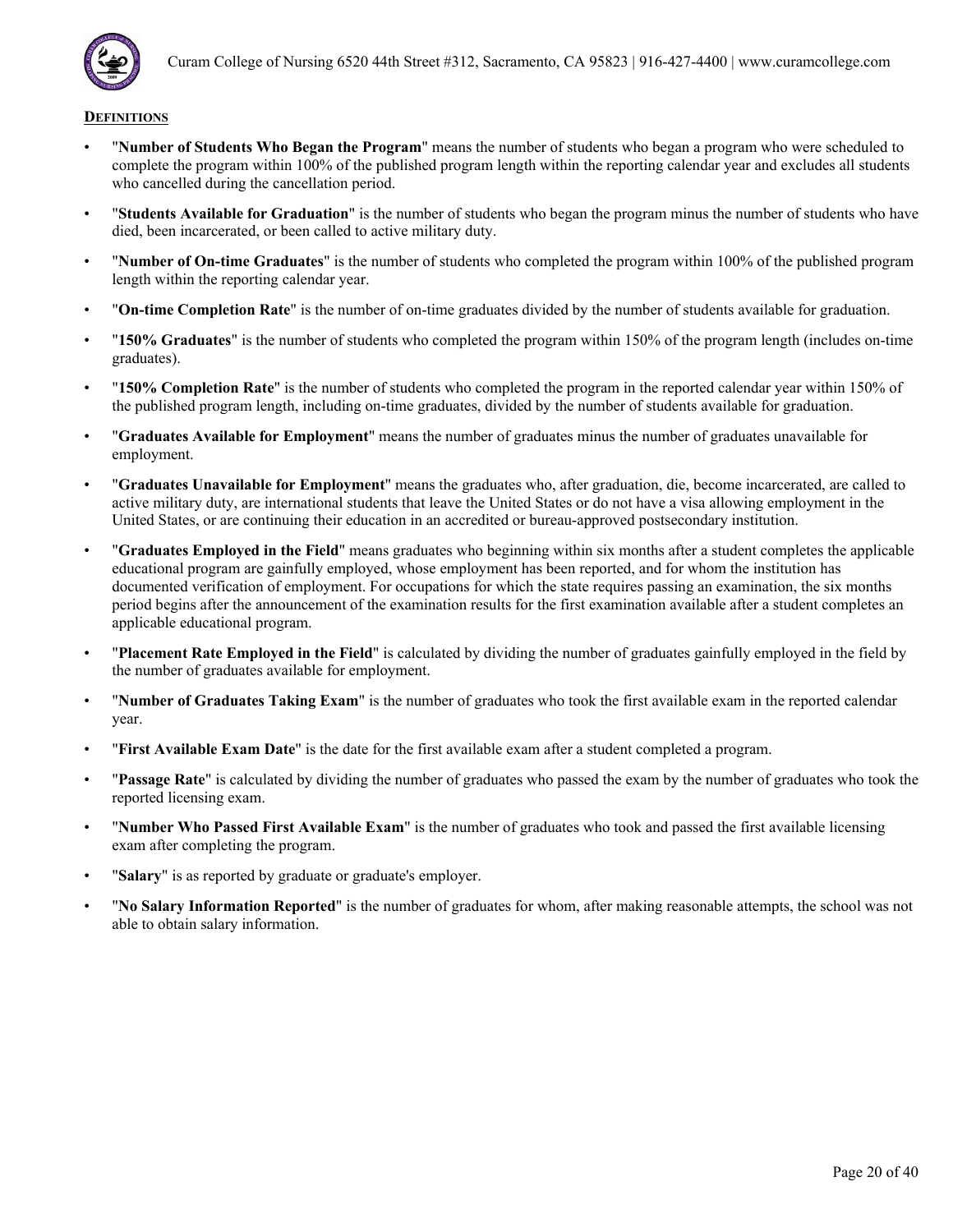

- "**Number of Students Who Began the Program**" means the number of students who began a program who were scheduled to complete the program within 100% of the published program length within the reporting calendar year and excludes all students who cancelled during the cancellation period.
- "**Students Available for Graduation**" is the number of students who began the program minus the number of students who have died, been incarcerated, or been called to active military duty.
- "**Number of On-time Graduates**" is the number of students who completed the program within 100% of the published program length within the reporting calendar year.
- "**On-time Completion Rate**" is the number of on-time graduates divided by the number of students available for graduation.
- "**150% Graduates**" is the number of students who completed the program within 150% of the program length (includes on-time graduates).
- "**150% Completion Rate**" is the number of students who completed the program in the reported calendar year within 150% of the published program length, including on-time graduates, divided by the number of students available for graduation.
- "**Graduates Available for Employment**" means the number of graduates minus the number of graduates unavailable for employment.
- "**Graduates Unavailable for Employment**" means the graduates who, after graduation, die, become incarcerated, are called to active military duty, are international students that leave the United States or do not have a visa allowing employment in the United States, or are continuing their education in an accredited or bureau-approved postsecondary institution.
- "**Graduates Employed in the Field**" means graduates who beginning within six months after a student completes the applicable educational program are gainfully employed, whose employment has been reported, and for whom the institution has documented verification of employment. For occupations for which the state requires passing an examination, the six months period begins after the announcement of the examination results for the first examination available after a student completes an applicable educational program.
- "**Placement Rate Employed in the Field**" is calculated by dividing the number of graduates gainfully employed in the field by the number of graduates available for employment.
- "**Number of Graduates Taking Exam**" is the number of graduates who took the first available exam in the reported calendar year.
- "**First Available Exam Date**" is the date for the first available exam after a student completed a program.
- "**Passage Rate**" is calculated by dividing the number of graduates who passed the exam by the number of graduates who took the reported licensing exam.
- "**Number Who Passed First Available Exam**" is the number of graduates who took and passed the first available licensing exam after completing the program.
- "**Salary**" is as reported by graduate or graduate's employer.
- "**No Salary Information Reported**" is the number of graduates for whom, after making reasonable attempts, the school was not able to obtain salary information.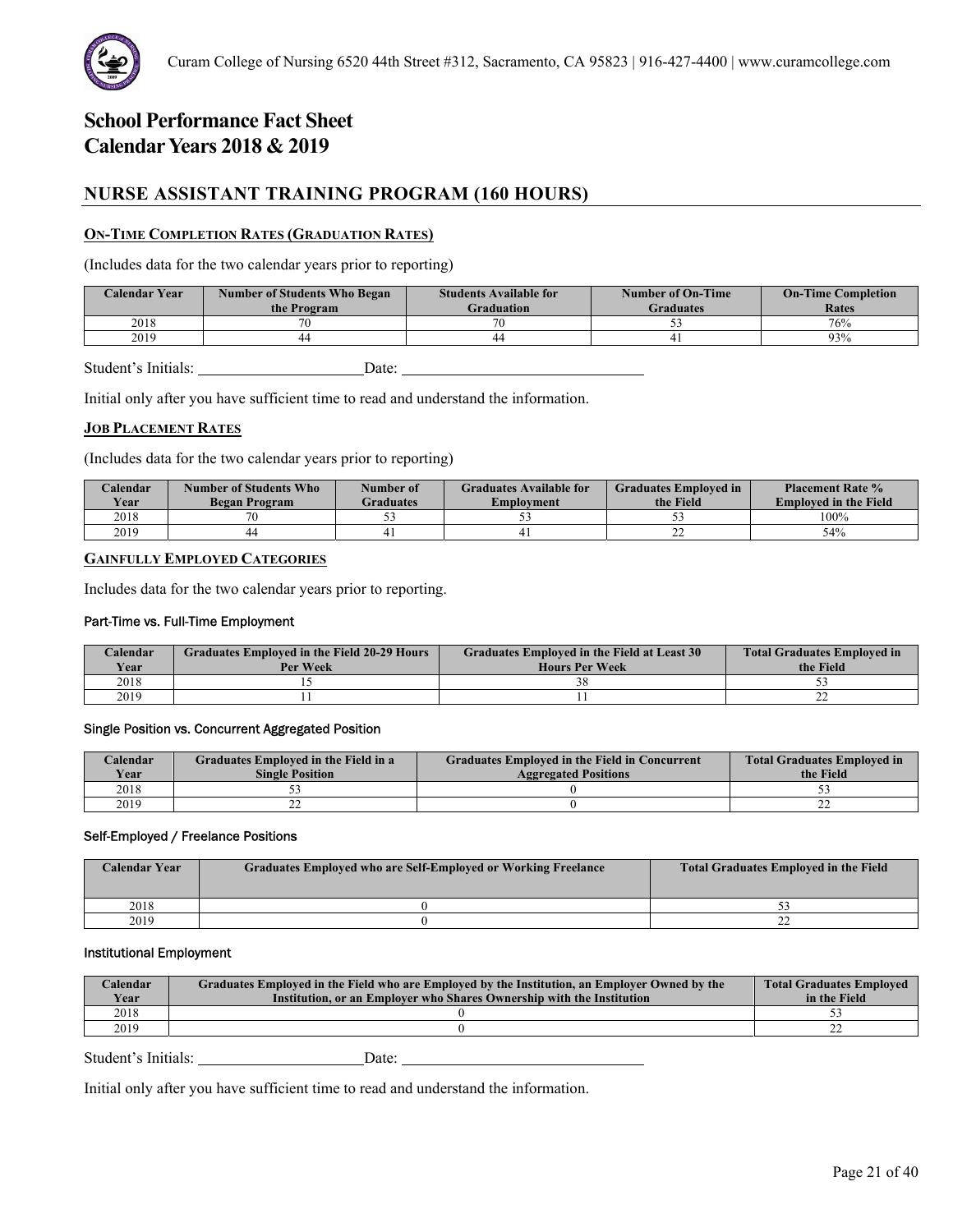# **NURSE ASSISTANT TRAINING PROGRAM (160 HOURS)**

# **ON-TIME COMPLETION RATES (GRADUATION RATES)**

(Includes data for the two calendar years prior to reporting)

| <b>Calendar Year</b> | <b>Number of Students Who Began</b><br>the Program | <b>Students Available for</b><br>Graduation | <b>Number of On-Time</b><br><b>Graduates</b> | <b>On-Time Completion</b><br><b>Rates</b> |
|----------------------|----------------------------------------------------|---------------------------------------------|----------------------------------------------|-------------------------------------------|
| 2018                 | 70                                                 | 70                                          |                                              | 76%                                       |
| 2019                 | 44                                                 | 44                                          |                                              | 93%                                       |
|                      |                                                    |                                             |                                              |                                           |

Student's Initials: Date: Date:

Initial only after you have sufficient time to read and understand the information.

# **JOB PLACEMENT RATES**

(Includes data for the two calendar years prior to reporting)

| Calendar<br>Year | Number of Students Who<br><b>Began Program</b> | Number of<br><b>Graduates</b> | <b>Graduates Available for</b><br>Emplovment | <b>Graduates Employed in</b><br>the Field | <b>Placement Rate %</b><br><b>Employed in the Field</b> |
|------------------|------------------------------------------------|-------------------------------|----------------------------------------------|-------------------------------------------|---------------------------------------------------------|
| 2018             |                                                |                               | ◡                                            |                                           | 100%                                                    |
| 2019             | 44                                             |                               |                                              | --                                        | 54%                                                     |

# **GAINFULLY EMPLOYED CATEGORIES**

Includes data for the two calendar years prior to reporting.

### Part-Time vs. Full-Time Employment

| Calendar<br><b>Year</b> | <b>Graduates Employed in the Field 20-29 Hours</b><br>Per Week | <b>Graduates Employed in the Field at Least 30</b><br><b>Hours Per Week</b> | <b>Total Graduates Employed in</b><br>the Field |
|-------------------------|----------------------------------------------------------------|-----------------------------------------------------------------------------|-------------------------------------------------|
| 2018                    |                                                                |                                                                             |                                                 |
| 2019                    |                                                                |                                                                             | --                                              |

# Single Position vs. Concurrent Aggregated Position

| Calendar    | Graduates Employed in the Field in a | <b>Graduates Employed in the Field in Concurrent</b> | <b>Total Graduates Employed in</b> |
|-------------|--------------------------------------|------------------------------------------------------|------------------------------------|
| <b>Vear</b> | <b>Single Position</b>               | <b>Aggregated Positions</b>                          | the Field                          |
| 2018        |                                      |                                                      |                                    |
| 2019        | --                                   |                                                      | --                                 |

### Self-Employed / Freelance Positions

| <b>Calendar Year</b> | Graduates Employed who are Self-Employed or Working Freelance | <b>Total Graduates Employed in the Field</b> |
|----------------------|---------------------------------------------------------------|----------------------------------------------|
| 2018                 |                                                               |                                              |
| 2019                 |                                                               | --                                           |

### Institutional Employment

| 2018 | Calendar<br>Year | Graduates Employed in the Field who are Employed by the Institution, an Employer Owned by the<br>Institution, or an Employer who Shares Ownership with the Institution | <b>Total Graduates Employed</b><br>in the Field |
|------|------------------|------------------------------------------------------------------------------------------------------------------------------------------------------------------------|-------------------------------------------------|
|      |                  |                                                                                                                                                                        |                                                 |
|      | 2019             |                                                                                                                                                                        |                                                 |

Student's Initials: Date: Date: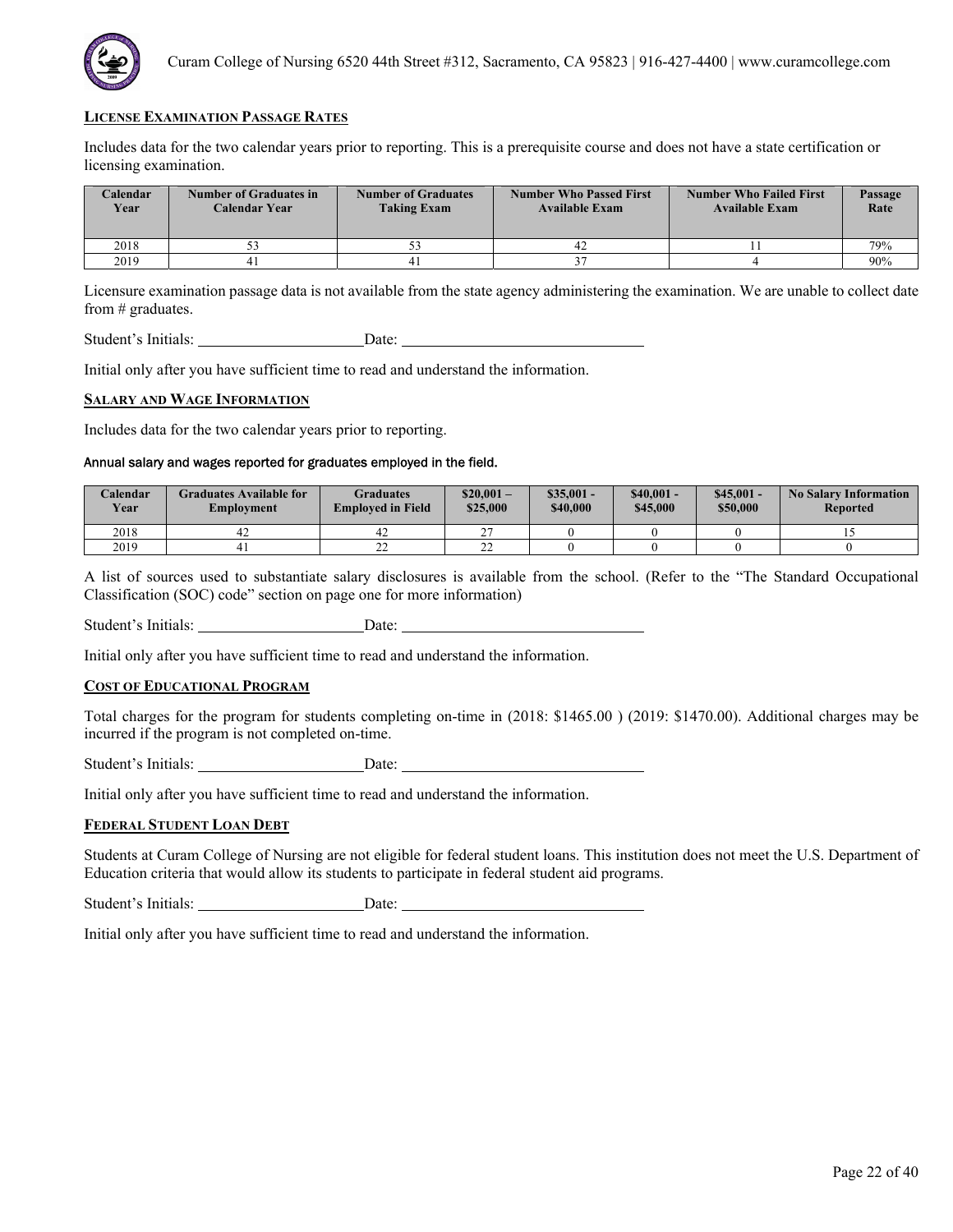

Includes data for the two calendar years prior to reporting. This is a prerequisite course and does not have a state certification or licensing examination.

| <b>Calendar</b><br>Year | <b>Number of Graduates in</b><br>Calendar Year | <b>Number of Graduates</b><br><b>Taking Exam</b> | <b>Number Who Passed First</b><br><b>Available Exam</b> | <b>Number Who Failed First</b><br><b>Available Exam</b> | <b>Passage</b><br>Rate |
|-------------------------|------------------------------------------------|--------------------------------------------------|---------------------------------------------------------|---------------------------------------------------------|------------------------|
| 2018                    |                                                |                                                  | 42                                                      |                                                         | 79%                    |
| 2019                    |                                                |                                                  |                                                         |                                                         | 90%                    |

Licensure examination passage data is not available from the state agency administering the examination. We are unable to collect date from # graduates.

Student's Initials: Date: Date:

Initial only after you have sufficient time to read and understand the information.

#### **SALARY AND WAGE INFORMATION**

Includes data for the two calendar years prior to reporting.

# Annual salary and wages reported for graduates employed in the field.

| Calendar<br><b>Year</b> | Graduates Available for<br>Employment | Graduates<br><b>Employed in Field</b> | $$20.001-$<br>\$25,000 | $$35,001 -$<br>\$40,000 | $$40,001 -$<br>\$45,000 | $$45.001 -$<br>\$50,000 | <b>No Salary Information</b><br><b>Reported</b> |
|-------------------------|---------------------------------------|---------------------------------------|------------------------|-------------------------|-------------------------|-------------------------|-------------------------------------------------|
| 2018                    | 44                                    | 42                                    | $\sim$                 |                         |                         |                         |                                                 |
| 2019                    |                                       | n n<br>∸                              | $\sim$<br>∸∸           |                         |                         |                         |                                                 |

A list of sources used to substantiate salary disclosures is available from the school. (Refer to the "The Standard Occupational Classification (SOC) code" section on page one for more information)

Student's Initials: Date:

Initial only after you have sufficient time to read and understand the information.

### **COST OF EDUCATIONAL PROGRAM**

Total charges for the program for students completing on-time in (2018: \$1465.00 ) (2019: \$1470.00). Additional charges may be incurred if the program is not completed on-time.

Student's Initials: Date:

Initial only after you have sufficient time to read and understand the information.

#### **FEDERAL STUDENT LOAN DEBT**

Students at Curam College of Nursing are not eligible for federal student loans. This institution does not meet the U.S. Department of Education criteria that would allow its students to participate in federal student aid programs.

Student's Initials: Date: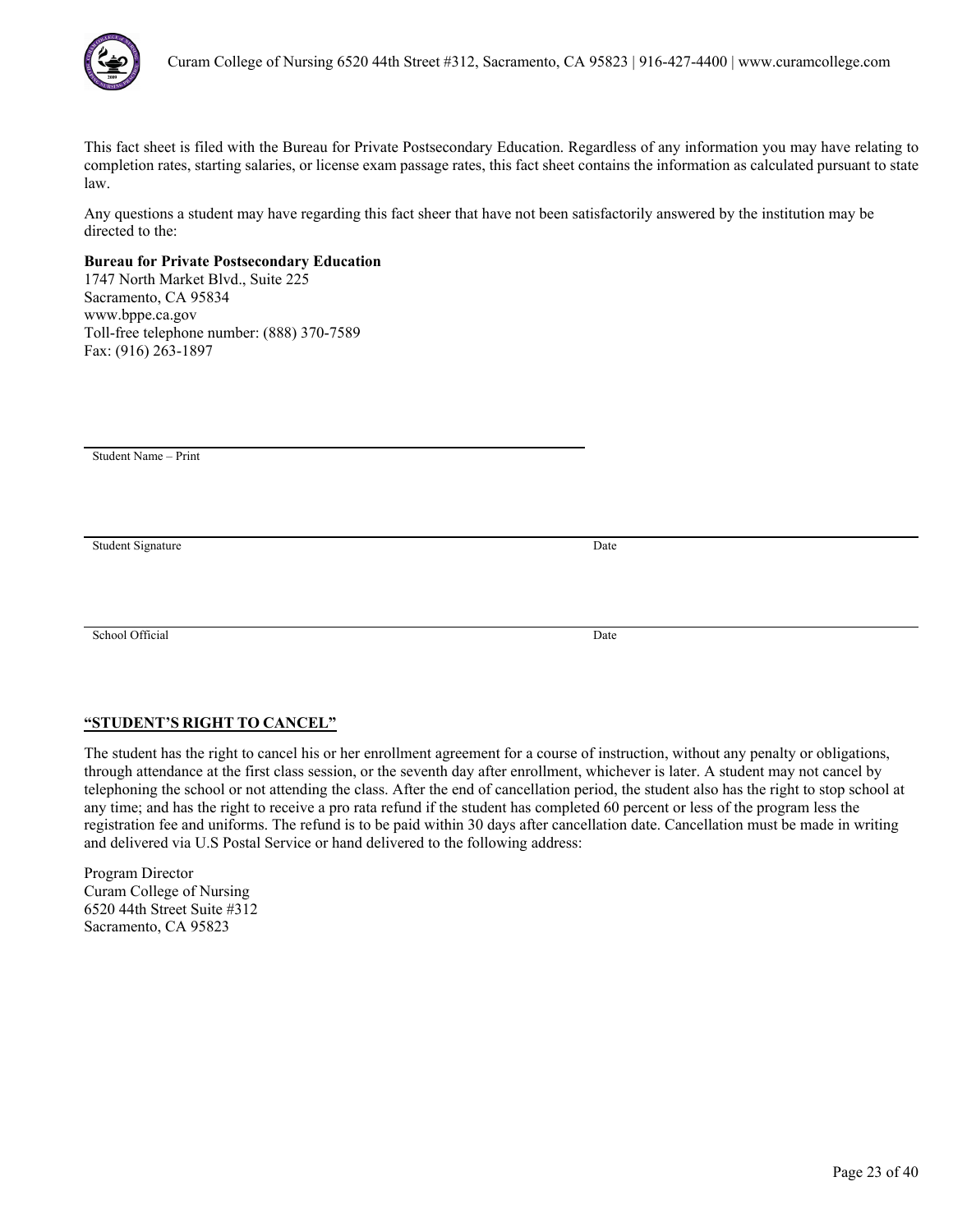

Any questions a student may have regarding this fact sheer that have not been satisfactorily answered by the institution may be directed to the:

# **Bureau for Private Postsecondary Education**

1747 North Market Blvd., Suite 225 Sacramento, CA 95834 www.bppe.ca.gov Toll-free telephone number: (888) 370-7589 Fax: (916) 263-1897

Student Name – Print

Student Signature Date

School Official Date

# **"STUDENT'S RIGHT TO CANCEL"**

The student has the right to cancel his or her enrollment agreement for a course of instruction, without any penalty or obligations, through attendance at the first class session, or the seventh day after enrollment, whichever is later. A student may not cancel by telephoning the school or not attending the class. After the end of cancellation period, the student also has the right to stop school at any time; and has the right to receive a pro rata refund if the student has completed 60 percent or less of the program less the registration fee and uniforms. The refund is to be paid within 30 days after cancellation date. Cancellation must be made in writing and delivered via U.S Postal Service or hand delivered to the following address: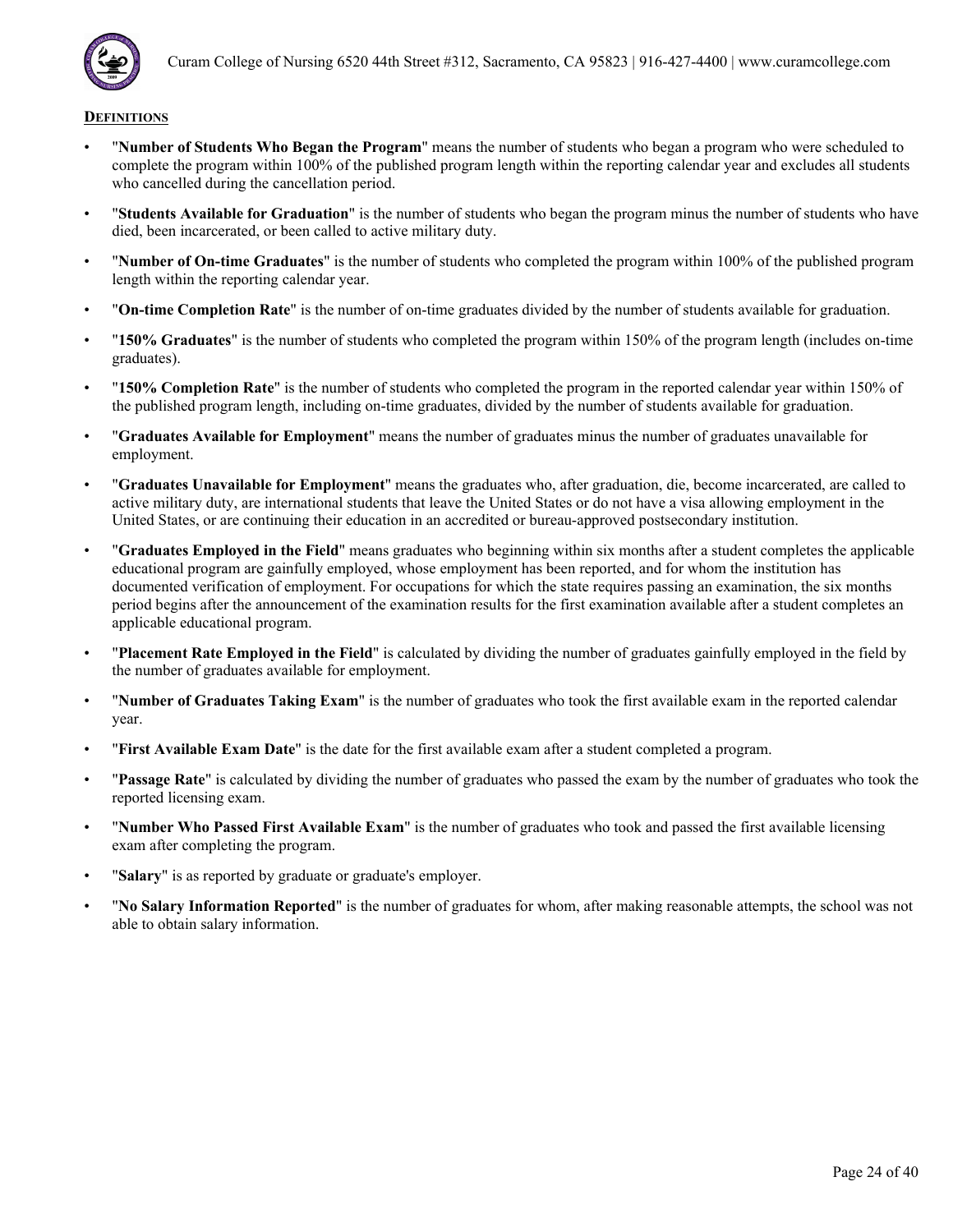

- "**Number of Students Who Began the Program**" means the number of students who began a program who were scheduled to complete the program within 100% of the published program length within the reporting calendar year and excludes all students who cancelled during the cancellation period.
- "**Students Available for Graduation**" is the number of students who began the program minus the number of students who have died, been incarcerated, or been called to active military duty.
- "**Number of On-time Graduates**" is the number of students who completed the program within 100% of the published program length within the reporting calendar year.
- "**On-time Completion Rate**" is the number of on-time graduates divided by the number of students available for graduation.
- "**150% Graduates**" is the number of students who completed the program within 150% of the program length (includes on-time graduates).
- "**150% Completion Rate**" is the number of students who completed the program in the reported calendar year within 150% of the published program length, including on-time graduates, divided by the number of students available for graduation.
- "**Graduates Available for Employment**" means the number of graduates minus the number of graduates unavailable for employment.
- "**Graduates Unavailable for Employment**" means the graduates who, after graduation, die, become incarcerated, are called to active military duty, are international students that leave the United States or do not have a visa allowing employment in the United States, or are continuing their education in an accredited or bureau-approved postsecondary institution.
- "**Graduates Employed in the Field**" means graduates who beginning within six months after a student completes the applicable educational program are gainfully employed, whose employment has been reported, and for whom the institution has documented verification of employment. For occupations for which the state requires passing an examination, the six months period begins after the announcement of the examination results for the first examination available after a student completes an applicable educational program.
- "**Placement Rate Employed in the Field**" is calculated by dividing the number of graduates gainfully employed in the field by the number of graduates available for employment.
- "**Number of Graduates Taking Exam**" is the number of graduates who took the first available exam in the reported calendar year.
- "**First Available Exam Date**" is the date for the first available exam after a student completed a program.
- "**Passage Rate**" is calculated by dividing the number of graduates who passed the exam by the number of graduates who took the reported licensing exam.
- "**Number Who Passed First Available Exam**" is the number of graduates who took and passed the first available licensing exam after completing the program.
- "**Salary**" is as reported by graduate or graduate's employer.
- "**No Salary Information Reported**" is the number of graduates for whom, after making reasonable attempts, the school was not able to obtain salary information.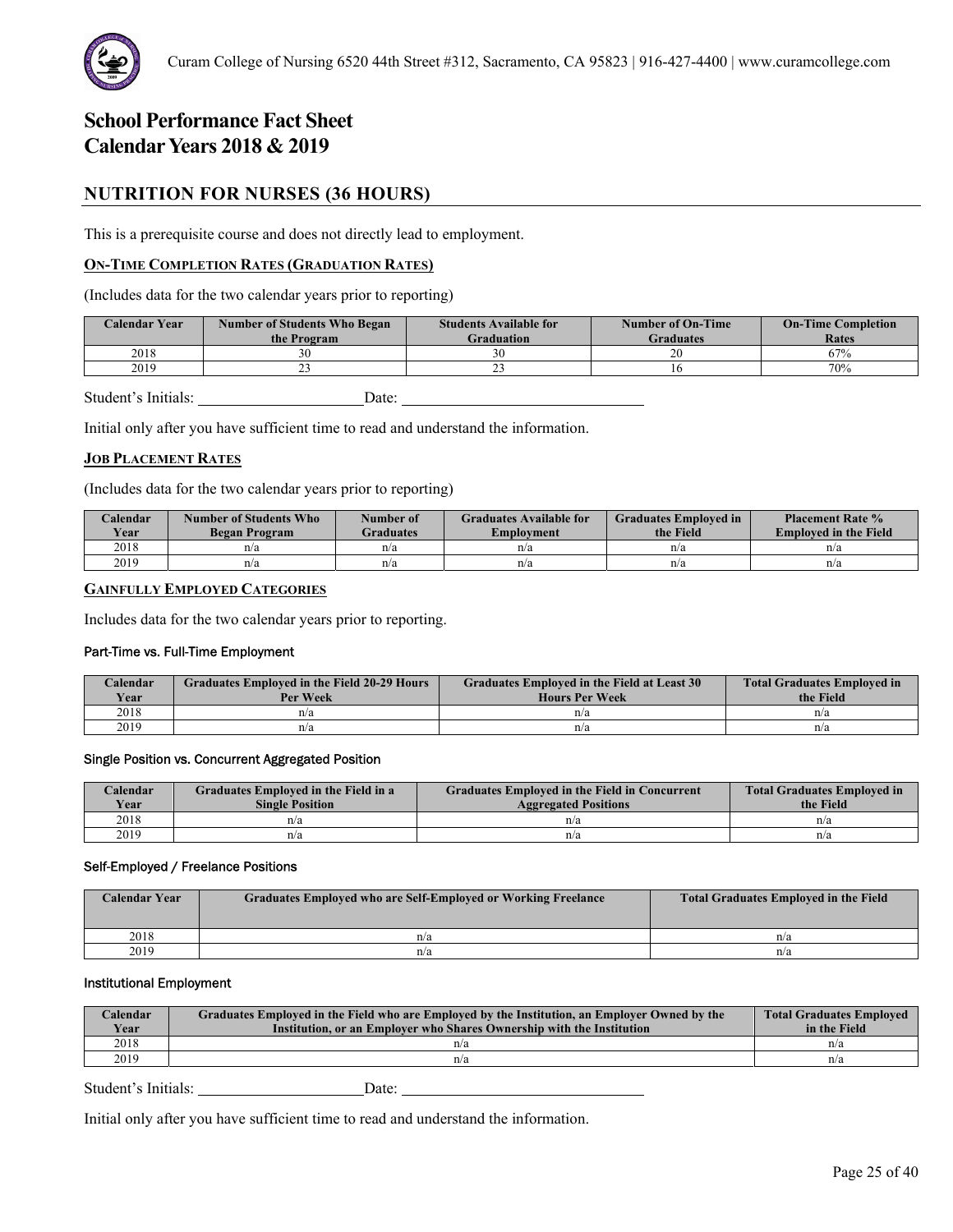

# **NUTRITION FOR NURSES (36 HOURS)**

This is a prerequisite course and does not directly lead to employment.

# **ON-TIME COMPLETION RATES (GRADUATION RATES)**

(Includes data for the two calendar years prior to reporting)

| <b>Calendar Year</b> | <b>Number of Students Who Began</b><br>the Program | <b>Students Available for</b><br><b>Graduation</b> | <b>Number of On-Time</b><br><b>Graduates</b> | <b>On-Time Completion</b><br>Rates |
|----------------------|----------------------------------------------------|----------------------------------------------------|----------------------------------------------|------------------------------------|
| 2018                 |                                                    |                                                    | 20                                           | 67%                                |
| 2019                 | --                                                 | --                                                 |                                              | 70%                                |

Student's Initials: Date:

Initial only after you have sufficient time to read and understand the information.

### **JOB PLACEMENT RATES**

(Includes data for the two calendar years prior to reporting)

| Calendar<br>Year | Number of Students Who<br>Began Program | Number of<br><b>Graduates</b> | <b>Graduates Available for</b><br>Emplovment | <b>Graduates Employed in</b><br>the Field | <b>Placement Rate %</b><br><b>Employed in the Field</b> |
|------------------|-----------------------------------------|-------------------------------|----------------------------------------------|-------------------------------------------|---------------------------------------------------------|
| 2018             | n/a                                     | n/a                           | n/a                                          | n/a                                       | n/a                                                     |
| 2019             | n/a                                     | n/a                           | n/a                                          | n/a                                       | n/a                                                     |

# **GAINFULLY EMPLOYED CATEGORIES**

Includes data for the two calendar years prior to reporting.

#### Part-Time vs. Full-Time Employment

| Calendar<br>Year | <b>Graduates Employed in the Field 20-29 Hours</b><br>Per Week | Graduates Employed in the Field at Least 30<br><b>Hours Per Week</b> | <b>Total Graduates Employed in</b><br>the Field |
|------------------|----------------------------------------------------------------|----------------------------------------------------------------------|-------------------------------------------------|
| 2018             | n/a                                                            | n/a                                                                  | n/a                                             |
| 2019             | n/a                                                            | n/a                                                                  | n/a                                             |

#### Single Position vs. Concurrent Aggregated Position

| Calendar    | Graduates Employed in the Field in a | <b>Graduates Employed in the Field in Concurrent</b> | <b>Total Graduates Employed in</b> |
|-------------|--------------------------------------|------------------------------------------------------|------------------------------------|
| <b>Year</b> | <b>Single Position</b>               | <b>Aggregated Positions</b>                          | the Field                          |
| 2018        | n/a                                  | n/a                                                  | n/a                                |
| 2019        | n/a                                  | n/a                                                  | n/a                                |

#### Self-Employed / Freelance Positions

| <b>Calendar Year</b> | <b>Graduates Employed who are Self-Employed or Working Freelance</b> | <b>Total Graduates Employed in the Field</b> |
|----------------------|----------------------------------------------------------------------|----------------------------------------------|
| 2018                 | n/a                                                                  | n/a                                          |
| 2019                 | n/a                                                                  | n/a                                          |

# Institutional Employment

| Calendar<br>Year | Graduates Employed in the Field who are Employed by the Institution, an Employer Owned by the<br>Institution, or an Employer who Shares Ownership with the Institution | <b>Total Graduates Employed</b><br>in the Field |
|------------------|------------------------------------------------------------------------------------------------------------------------------------------------------------------------|-------------------------------------------------|
| 2018             | n/a                                                                                                                                                                    | n/a                                             |
| 2019             | n/a                                                                                                                                                                    | n/a                                             |

Student's Initials: Date: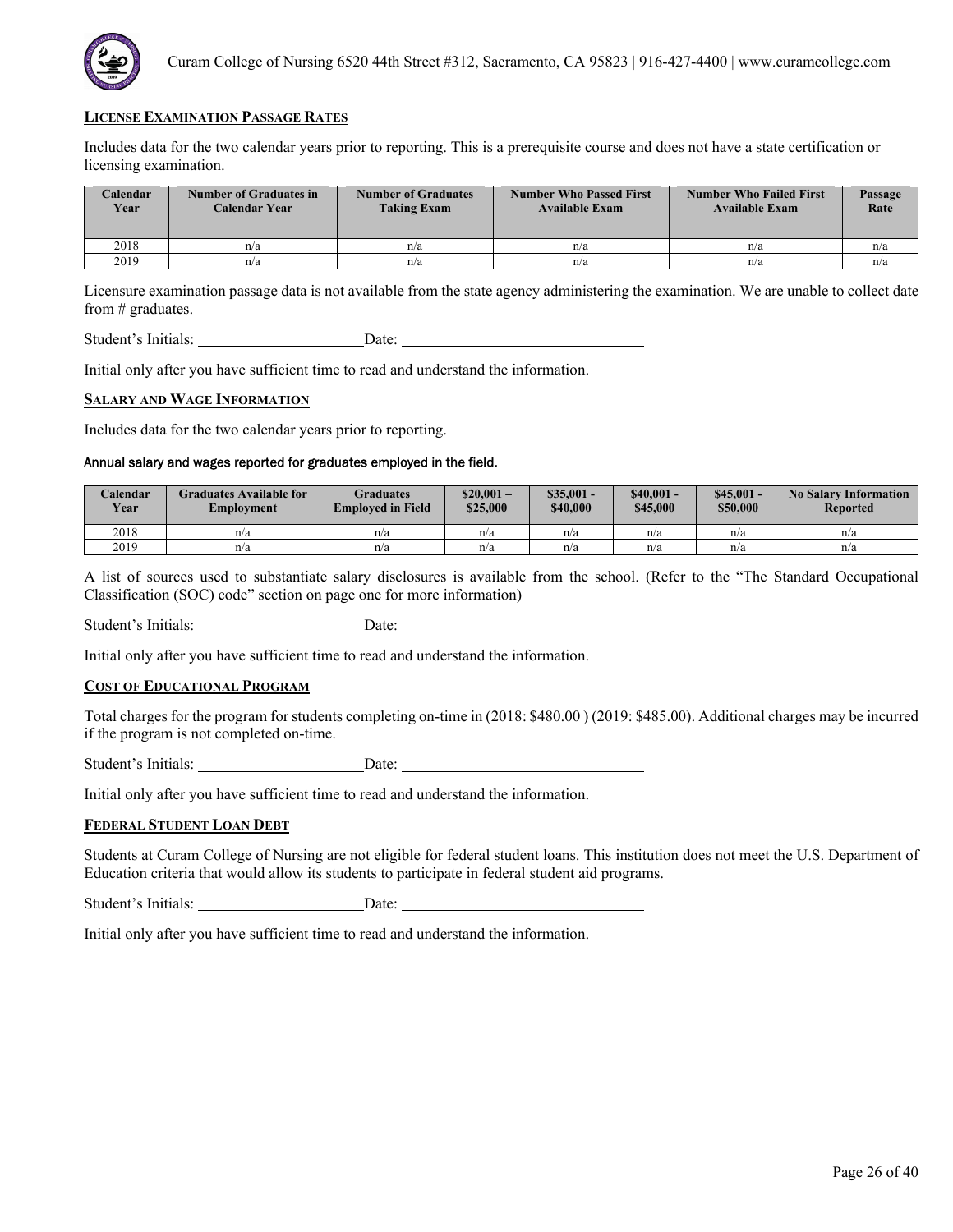

Includes data for the two calendar years prior to reporting. This is a prerequisite course and does not have a state certification or licensing examination.

| <b>Calendar</b><br>Year | Number of Graduates in<br>Calendar Year | <b>Number of Graduates</b><br><b>Taking Exam</b> | <b>Number Who Passed First</b><br><b>Available Exam</b> | <b>Number Who Failed First</b><br><b>Available Exam</b> | Passage<br>Rate |
|-------------------------|-----------------------------------------|--------------------------------------------------|---------------------------------------------------------|---------------------------------------------------------|-----------------|
| 2018                    | n/a                                     | n/a                                              | n/a                                                     | n/a                                                     | n/a             |
| 2019                    | n/a                                     | n/a                                              | n/a                                                     | n/a                                                     | n/a             |

Licensure examination passage data is not available from the state agency administering the examination. We are unable to collect date from # graduates.

Student's Initials: Date: Date:

Initial only after you have sufficient time to read and understand the information.

#### **SALARY AND WAGE INFORMATION**

Includes data for the two calendar years prior to reporting.

# Annual salary and wages reported for graduates employed in the field.

| Calendar<br><b>Year</b> | Graduates Available for<br>Employment | Graduates<br><b>Employed in Field</b> | $$20.001-$<br>\$25,000 | $\$35.001 -$<br>\$40,000 | $$40.001 -$<br>\$45,000 | $$45,001 -$<br>\$50,000 | <b>No Salary Information</b><br><b>Reported</b> |
|-------------------------|---------------------------------------|---------------------------------------|------------------------|--------------------------|-------------------------|-------------------------|-------------------------------------------------|
| 2018                    | n/a                                   | n/a                                   | n/a                    | n/a                      | n/a                     | n/a                     | n/a                                             |
| 2019                    | n/a                                   | n/a                                   | n/a                    | n/a                      | n/a                     | n/a                     | n/a                                             |

A list of sources used to substantiate salary disclosures is available from the school. (Refer to the "The Standard Occupational Classification (SOC) code" section on page one for more information)

Student's Initials: Date:

Initial only after you have sufficient time to read and understand the information.

### **COST OF EDUCATIONAL PROGRAM**

Total charges for the program for students completing on-time in (2018: \$480.00 ) (2019: \$485.00). Additional charges may be incurred if the program is not completed on-time.

Student's Initials: Date:

Initial only after you have sufficient time to read and understand the information.

#### **FEDERAL STUDENT LOAN DEBT**

Students at Curam College of Nursing are not eligible for federal student loans. This institution does not meet the U.S. Department of Education criteria that would allow its students to participate in federal student aid programs.

Student's Initials: Date: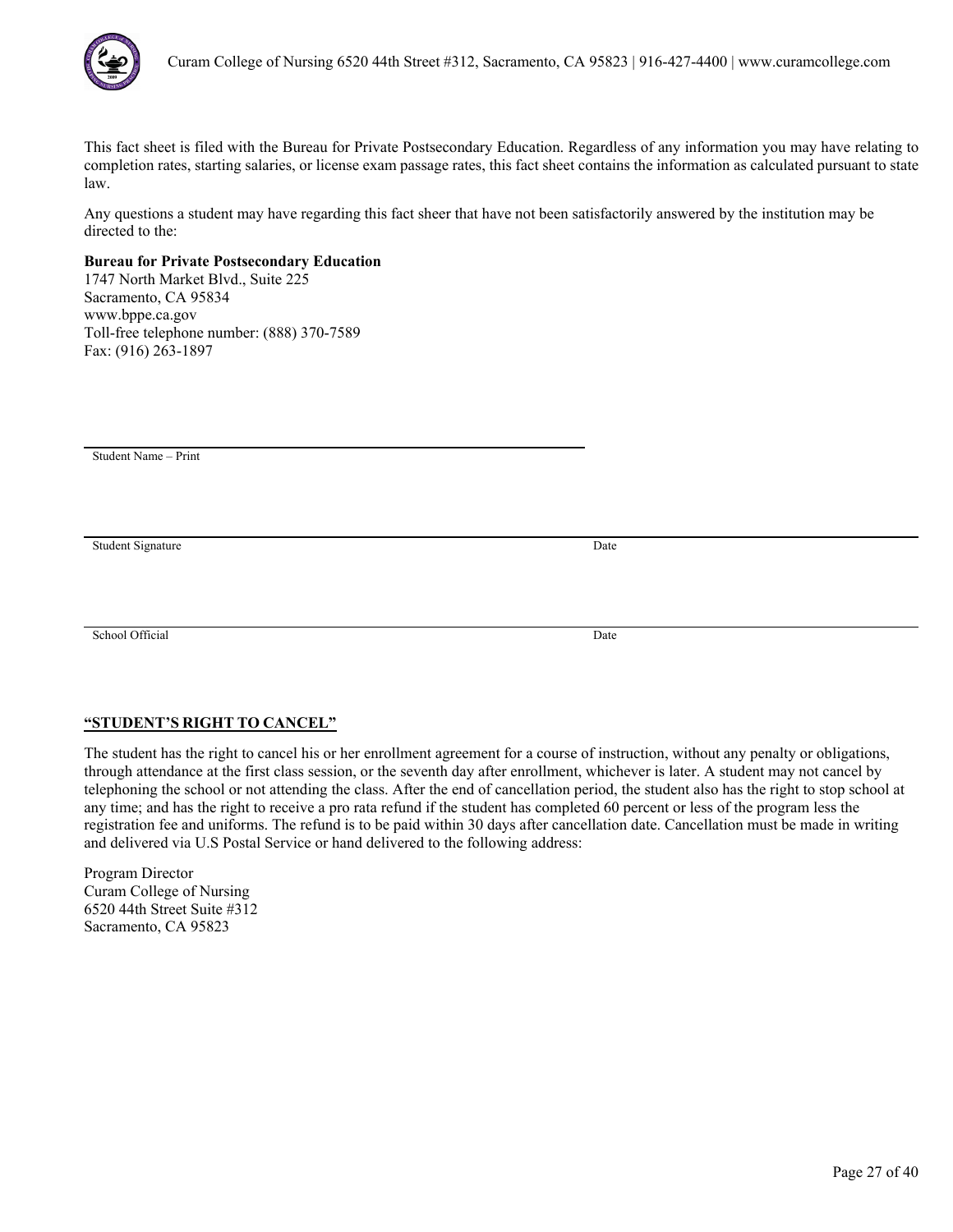

Any questions a student may have regarding this fact sheer that have not been satisfactorily answered by the institution may be directed to the:

# **Bureau for Private Postsecondary Education**

1747 North Market Blvd., Suite 225 Sacramento, CA 95834 www.bppe.ca.gov Toll-free telephone number: (888) 370-7589 Fax: (916) 263-1897

Student Name – Print

Student Signature Date

School Official Date

# **"STUDENT'S RIGHT TO CANCEL"**

The student has the right to cancel his or her enrollment agreement for a course of instruction, without any penalty or obligations, through attendance at the first class session, or the seventh day after enrollment, whichever is later. A student may not cancel by telephoning the school or not attending the class. After the end of cancellation period, the student also has the right to stop school at any time; and has the right to receive a pro rata refund if the student has completed 60 percent or less of the program less the registration fee and uniforms. The refund is to be paid within 30 days after cancellation date. Cancellation must be made in writing and delivered via U.S Postal Service or hand delivered to the following address: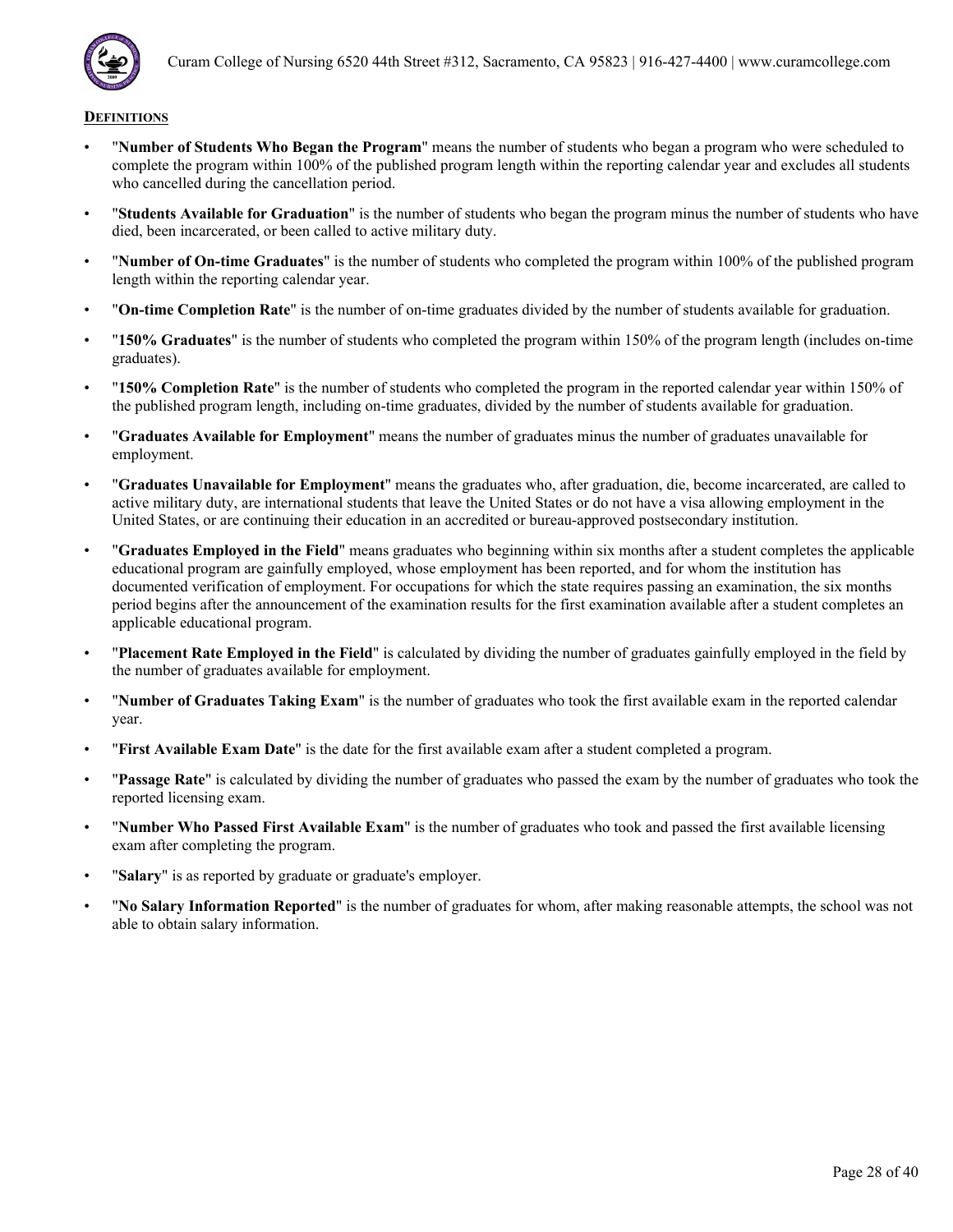

- "**Number of Students Who Began the Program**" means the number of students who began a program who were scheduled to complete the program within 100% of the published program length within the reporting calendar year and excludes all students who cancelled during the cancellation period.
- "**Students Available for Graduation**" is the number of students who began the program minus the number of students who have died, been incarcerated, or been called to active military duty.
- "**Number of On-time Graduates**" is the number of students who completed the program within 100% of the published program length within the reporting calendar year.
- "**On-time Completion Rate**" is the number of on-time graduates divided by the number of students available for graduation.
- "**150% Graduates**" is the number of students who completed the program within 150% of the program length (includes on-time graduates).
- "**150% Completion Rate**" is the number of students who completed the program in the reported calendar year within 150% of the published program length, including on-time graduates, divided by the number of students available for graduation.
- "**Graduates Available for Employment**" means the number of graduates minus the number of graduates unavailable for employment.
- "**Graduates Unavailable for Employment**" means the graduates who, after graduation, die, become incarcerated, are called to active military duty, are international students that leave the United States or do not have a visa allowing employment in the United States, or are continuing their education in an accredited or bureau-approved postsecondary institution.
- "**Graduates Employed in the Field**" means graduates who beginning within six months after a student completes the applicable educational program are gainfully employed, whose employment has been reported, and for whom the institution has documented verification of employment. For occupations for which the state requires passing an examination, the six months period begins after the announcement of the examination results for the first examination available after a student completes an applicable educational program.
- "**Placement Rate Employed in the Field**" is calculated by dividing the number of graduates gainfully employed in the field by the number of graduates available for employment.
- "**Number of Graduates Taking Exam**" is the number of graduates who took the first available exam in the reported calendar year.
- "**First Available Exam Date**" is the date for the first available exam after a student completed a program.
- "**Passage Rate**" is calculated by dividing the number of graduates who passed the exam by the number of graduates who took the reported licensing exam.
- "**Number Who Passed First Available Exam**" is the number of graduates who took and passed the first available licensing exam after completing the program.
- "**Salary**" is as reported by graduate or graduate's employer.
- "**No Salary Information Reported**" is the number of graduates for whom, after making reasonable attempts, the school was not able to obtain salary information.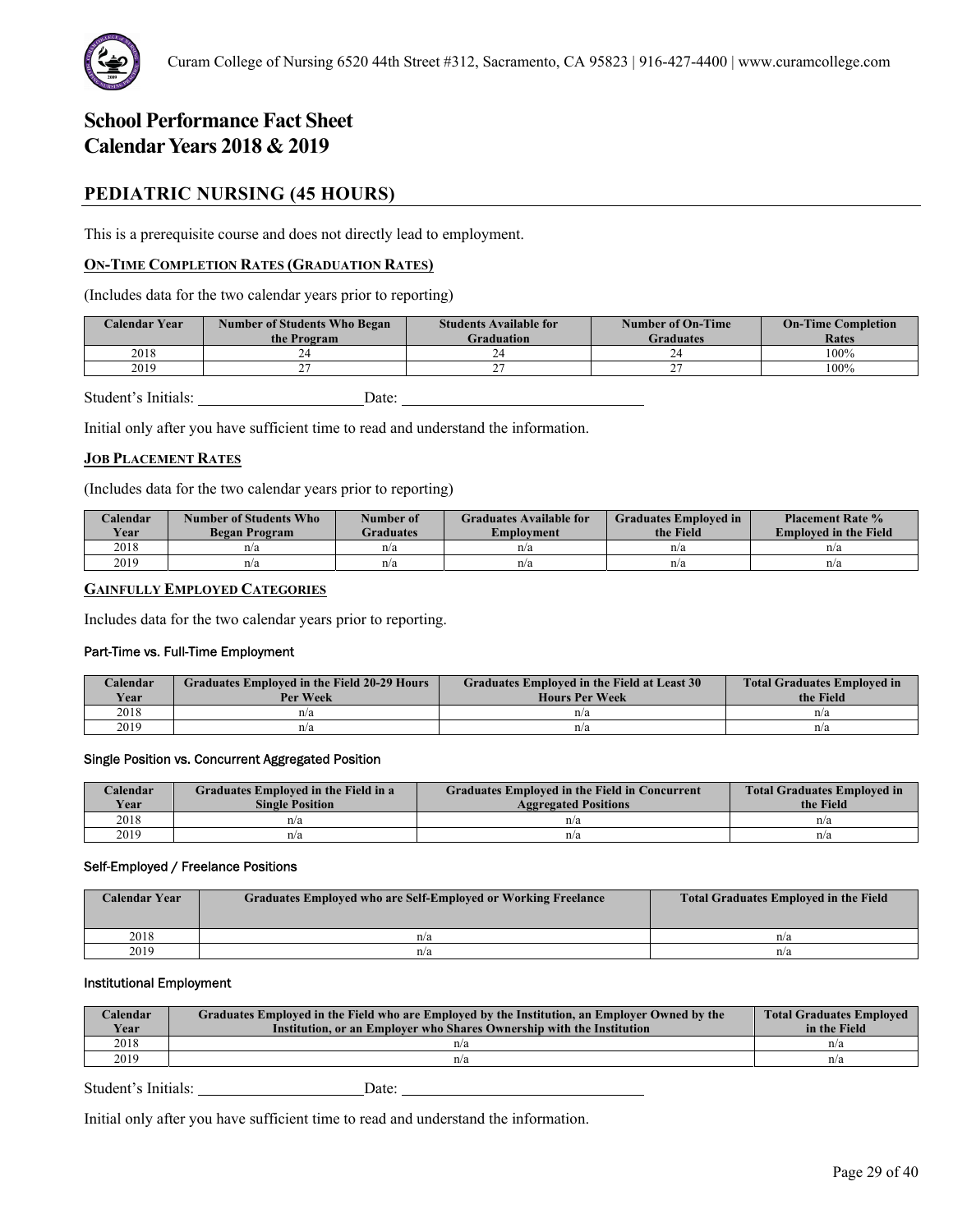# **PEDIATRIC NURSING (45 HOURS)**

This is a prerequisite course and does not directly lead to employment.

# **ON-TIME COMPLETION RATES (GRADUATION RATES)**

(Includes data for the two calendar years prior to reporting)

| <b>Calendar Year</b> | <b>Number of Students Who Began</b><br>the Program | <b>Students Available for</b><br><b>Graduation</b> | <b>Number of On-Time</b><br><b>Graduates</b> | <b>On-Time Completion</b><br>Rates |
|----------------------|----------------------------------------------------|----------------------------------------------------|----------------------------------------------|------------------------------------|
| 2018                 |                                                    |                                                    |                                              | 100%                               |
| 2019                 |                                                    |                                                    |                                              | 100%                               |

Student's Initials: Date:

Initial only after you have sufficient time to read and understand the information.

# **JOB PLACEMENT RATES**

(Includes data for the two calendar years prior to reporting)

| Calendar<br><b>Year</b> | Number of Students Who<br>Began Program | Number of<br>Graduates | <b>Graduates Available for</b><br>Employment | <b>Graduates Employed in</b><br>the Field | <b>Placement Rate %</b><br><b>Employed in the Field</b> |
|-------------------------|-----------------------------------------|------------------------|----------------------------------------------|-------------------------------------------|---------------------------------------------------------|
| 2018                    | n/a                                     | n/a                    | n/a                                          | n/a                                       | n/a                                                     |
| 2019                    | n/a                                     | n/a                    | n/a                                          | n/a                                       | n/a                                                     |

# **GAINFULLY EMPLOYED CATEGORIES**

Includes data for the two calendar years prior to reporting.

### Part-Time vs. Full-Time Employment

| Calendar<br>Year | <b>Graduates Employed in the Field 20-29 Hours</b><br>Per Week | Graduates Employed in the Field at Least 30<br><b>Hours Per Week</b> | <b>Total Graduates Employed in</b><br>the Field |
|------------------|----------------------------------------------------------------|----------------------------------------------------------------------|-------------------------------------------------|
| 2018             | n/a                                                            | n/a                                                                  | n/a                                             |
| 2019             | n/a                                                            | n/a                                                                  | n/a                                             |

### Single Position vs. Concurrent Aggregated Position

| Calendar    | Graduates Employed in the Field in a | <b>Graduates Employed in the Field in Concurrent</b> | <b>Total Graduates Employed in</b> |
|-------------|--------------------------------------|------------------------------------------------------|------------------------------------|
| <b>Year</b> | <b>Single Position</b>               | <b>Aggregated Positions</b>                          | the Field                          |
| 2018        | n/a                                  | n/a                                                  | n/a                                |
| 2019        | n/a                                  | n/a                                                  | n/a                                |

### Self-Employed / Freelance Positions

| <b>Calendar Year</b> | Graduates Employed who are Self-Employed or Working Freelance | <b>Total Graduates Employed in the Field</b> |
|----------------------|---------------------------------------------------------------|----------------------------------------------|
| 2018                 | n/a                                                           | n/a                                          |
| 2019                 | n/a                                                           | n/a                                          |

# Institutional Employment

| Calendar<br>Year | Graduates Employed in the Field who are Employed by the Institution, an Employer Owned by the<br>Institution, or an Employer who Shares Ownership with the Institution | <b>Total Graduates Employed</b><br>in the Field |
|------------------|------------------------------------------------------------------------------------------------------------------------------------------------------------------------|-------------------------------------------------|
| 2018             | n/a                                                                                                                                                                    | n/a                                             |
| 2019             | n/a                                                                                                                                                                    | n/a                                             |

Student's Initials: Date: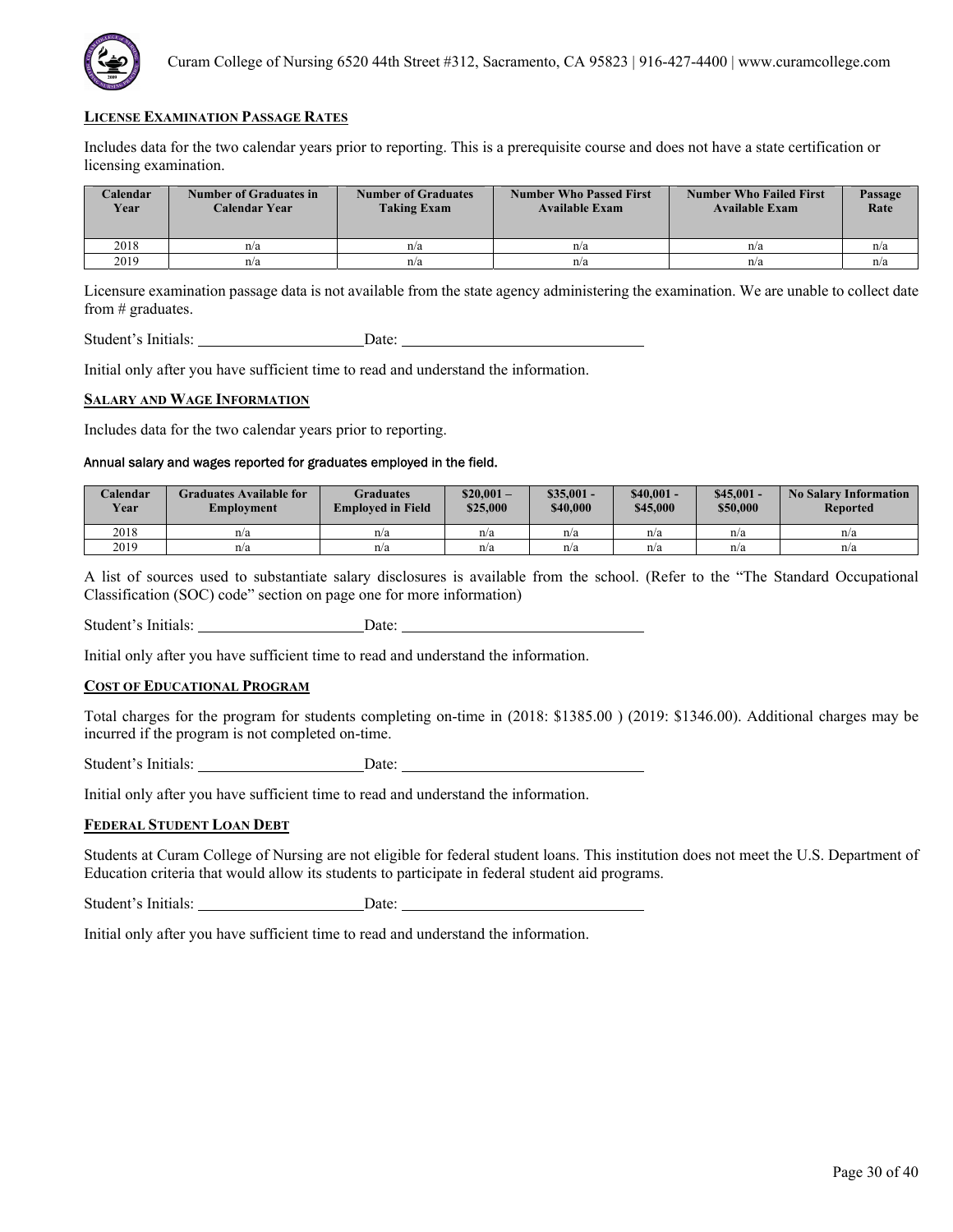

Includes data for the two calendar years prior to reporting. This is a prerequisite course and does not have a state certification or licensing examination.

| <b>Calendar</b><br>Year | <b>Number of Graduates in</b><br>Calendar Year | <b>Number of Graduates</b><br><b>Taking Exam</b> | <b>Number Who Passed First</b><br><b>Available Exam</b> | <b>Number Who Failed First</b><br><b>Available Exam</b> | Passage<br>Rate |
|-------------------------|------------------------------------------------|--------------------------------------------------|---------------------------------------------------------|---------------------------------------------------------|-----------------|
| 2018                    | n/a                                            | n/a                                              | n/a                                                     | n/a                                                     | n/a             |
| 2019                    | n/a                                            | n/a                                              | n/a                                                     | n/a                                                     | n/a             |

Licensure examination passage data is not available from the state agency administering the examination. We are unable to collect date from # graduates.

Student's Initials: Date: Date:

Initial only after you have sufficient time to read and understand the information.

#### **SALARY AND WAGE INFORMATION**

Includes data for the two calendar years prior to reporting.

# Annual salary and wages reported for graduates employed in the field.

| Calendar<br><b>Year</b> | Graduates Available for<br>Employment | Graduates<br><b>Employed in Field</b> | $$20.001-$<br>\$25,000 | $$35.001 -$<br>\$40,000 | $$40.001 -$<br>\$45,000 | $$45,001 -$<br>\$50,000 | <b>No Salary Information</b><br>Reported |
|-------------------------|---------------------------------------|---------------------------------------|------------------------|-------------------------|-------------------------|-------------------------|------------------------------------------|
| 2018                    | n/a                                   | n/a                                   | n/a                    | n/a                     | n/a                     | n/a                     | n/a                                      |
| 2019                    | n/a                                   | n/a                                   | n/a                    | n/a                     | n/a                     | n/a                     | n/a                                      |

A list of sources used to substantiate salary disclosures is available from the school. (Refer to the "The Standard Occupational Classification (SOC) code" section on page one for more information)

Student's Initials: Date:

Initial only after you have sufficient time to read and understand the information.

### **COST OF EDUCATIONAL PROGRAM**

Total charges for the program for students completing on-time in (2018: \$1385.00 ) (2019: \$1346.00). Additional charges may be incurred if the program is not completed on-time.

Student's Initials: Date:

Initial only after you have sufficient time to read and understand the information.

#### **FEDERAL STUDENT LOAN DEBT**

Students at Curam College of Nursing are not eligible for federal student loans. This institution does not meet the U.S. Department of Education criteria that would allow its students to participate in federal student aid programs.

Student's Initials: Date: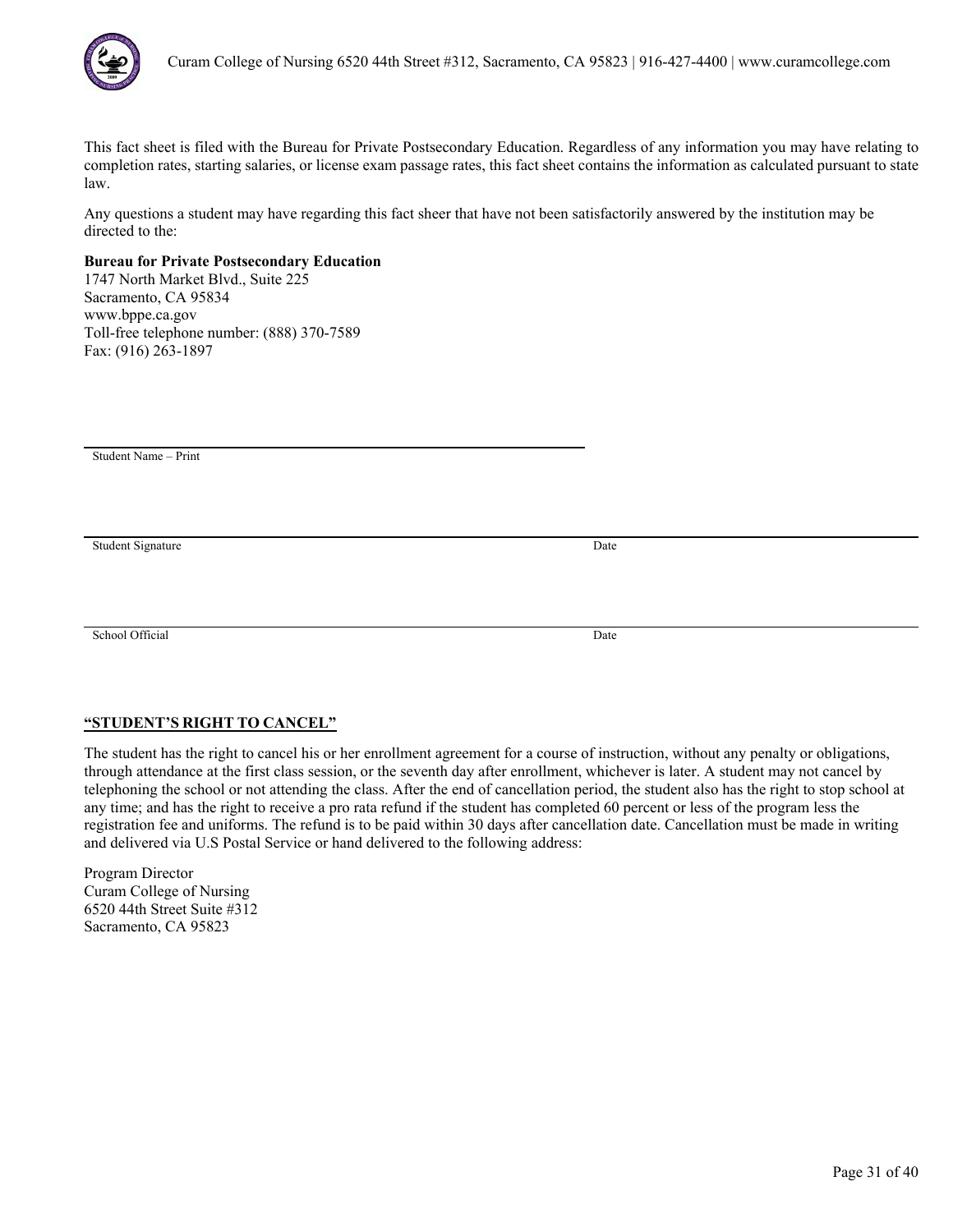

Any questions a student may have regarding this fact sheer that have not been satisfactorily answered by the institution may be directed to the:

# **Bureau for Private Postsecondary Education**

1747 North Market Blvd., Suite 225 Sacramento, CA 95834 www.bppe.ca.gov Toll-free telephone number: (888) 370-7589 Fax: (916) 263-1897

Student Name – Print

Student Signature Date

School Official Date

# **"STUDENT'S RIGHT TO CANCEL"**

The student has the right to cancel his or her enrollment agreement for a course of instruction, without any penalty or obligations, through attendance at the first class session, or the seventh day after enrollment, whichever is later. A student may not cancel by telephoning the school or not attending the class. After the end of cancellation period, the student also has the right to stop school at any time; and has the right to receive a pro rata refund if the student has completed 60 percent or less of the program less the registration fee and uniforms. The refund is to be paid within 30 days after cancellation date. Cancellation must be made in writing and delivered via U.S Postal Service or hand delivered to the following address: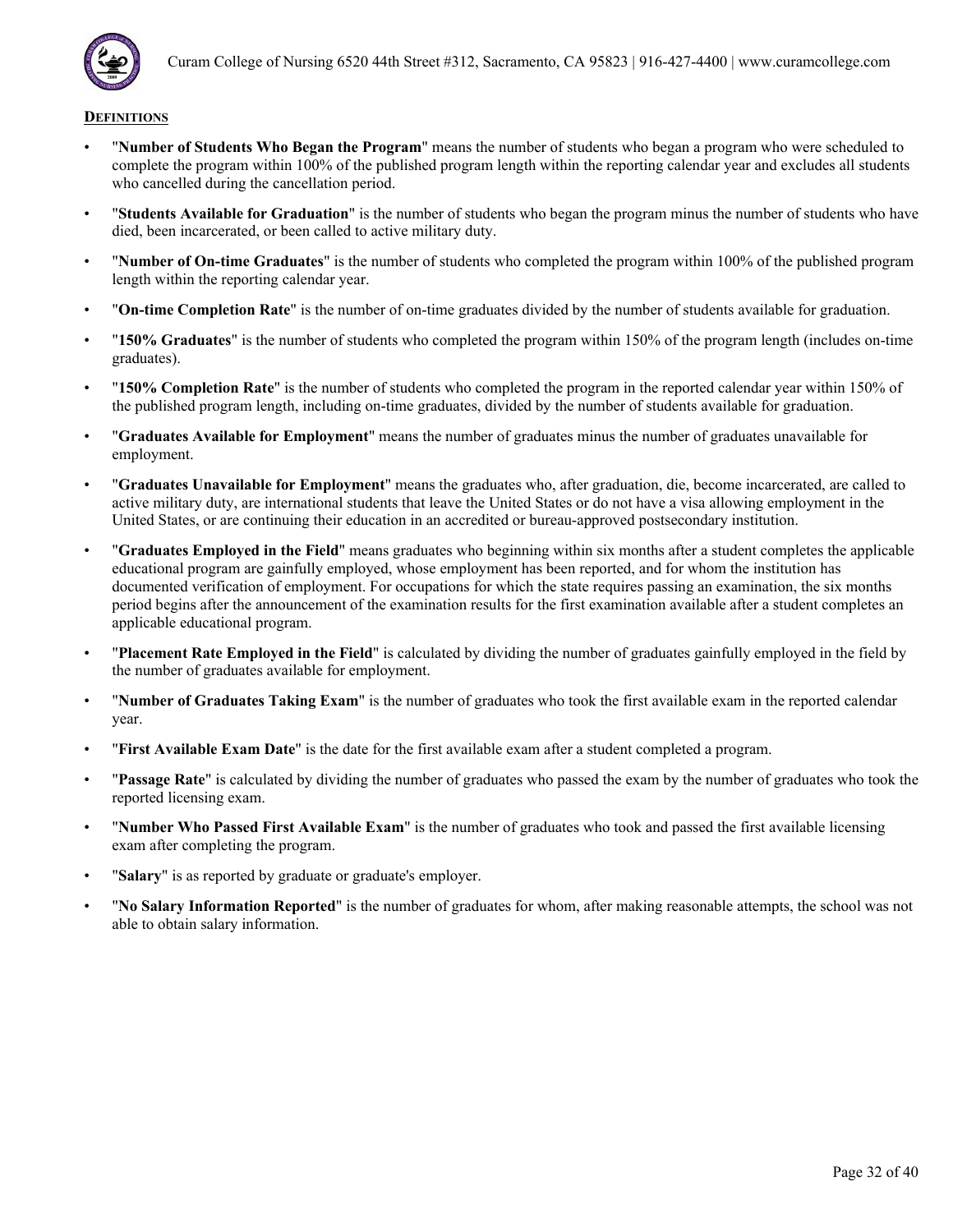

- "**Number of Students Who Began the Program**" means the number of students who began a program who were scheduled to complete the program within 100% of the published program length within the reporting calendar year and excludes all students who cancelled during the cancellation period.
- "**Students Available for Graduation**" is the number of students who began the program minus the number of students who have died, been incarcerated, or been called to active military duty.
- "**Number of On-time Graduates**" is the number of students who completed the program within 100% of the published program length within the reporting calendar year.
- "**On-time Completion Rate**" is the number of on-time graduates divided by the number of students available for graduation.
- "**150% Graduates**" is the number of students who completed the program within 150% of the program length (includes on-time graduates).
- "**150% Completion Rate**" is the number of students who completed the program in the reported calendar year within 150% of the published program length, including on-time graduates, divided by the number of students available for graduation.
- "**Graduates Available for Employment**" means the number of graduates minus the number of graduates unavailable for employment.
- "**Graduates Unavailable for Employment**" means the graduates who, after graduation, die, become incarcerated, are called to active military duty, are international students that leave the United States or do not have a visa allowing employment in the United States, or are continuing their education in an accredited or bureau-approved postsecondary institution.
- "**Graduates Employed in the Field**" means graduates who beginning within six months after a student completes the applicable educational program are gainfully employed, whose employment has been reported, and for whom the institution has documented verification of employment. For occupations for which the state requires passing an examination, the six months period begins after the announcement of the examination results for the first examination available after a student completes an applicable educational program.
- "**Placement Rate Employed in the Field**" is calculated by dividing the number of graduates gainfully employed in the field by the number of graduates available for employment.
- "**Number of Graduates Taking Exam**" is the number of graduates who took the first available exam in the reported calendar year.
- "**First Available Exam Date**" is the date for the first available exam after a student completed a program.
- "**Passage Rate**" is calculated by dividing the number of graduates who passed the exam by the number of graduates who took the reported licensing exam.
- "**Number Who Passed First Available Exam**" is the number of graduates who took and passed the first available licensing exam after completing the program.
- "**Salary**" is as reported by graduate or graduate's employer.
- "**No Salary Information Reported**" is the number of graduates for whom, after making reasonable attempts, the school was not able to obtain salary information.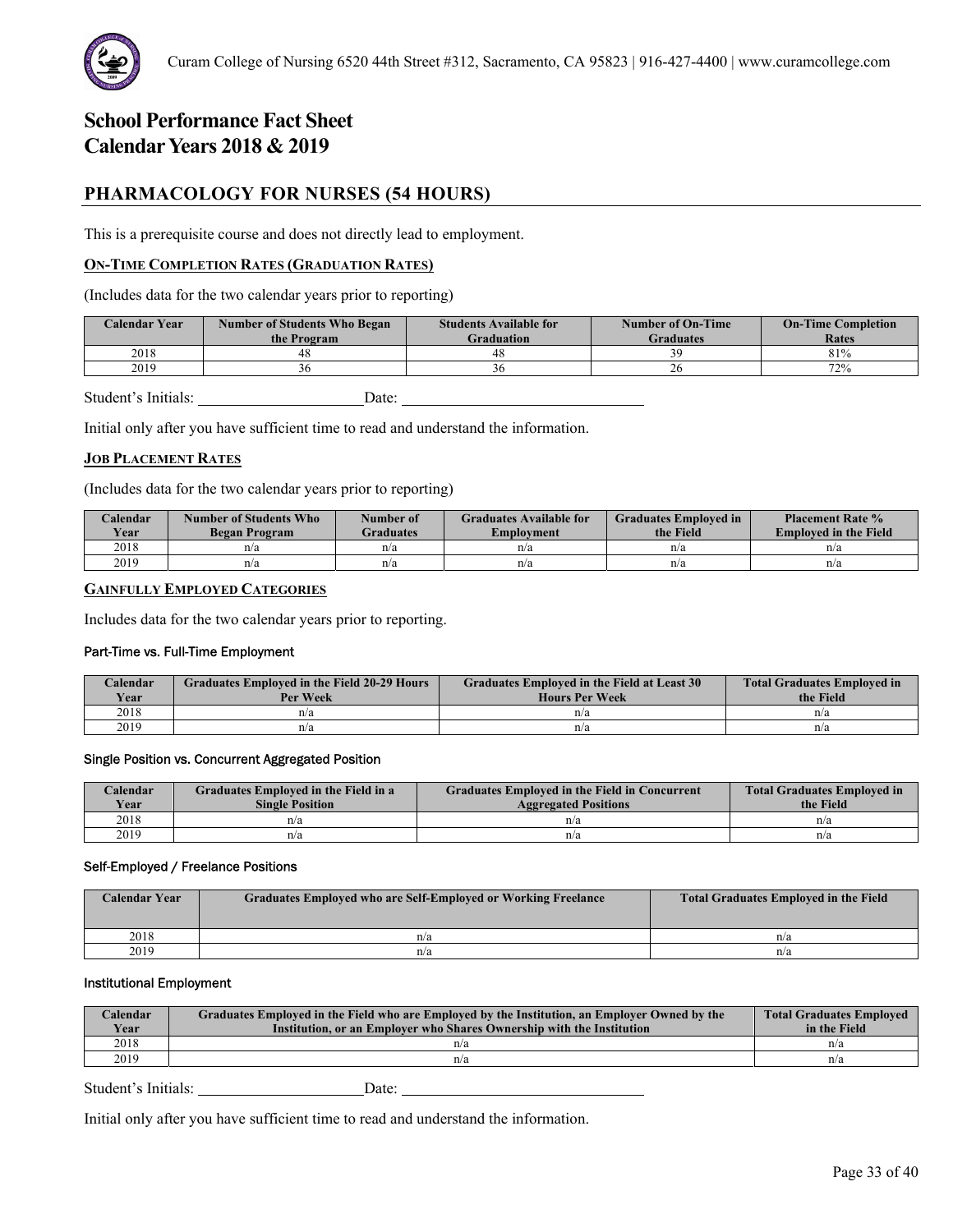

# **PHARMACOLOGY FOR NURSES (54 HOURS)**

This is a prerequisite course and does not directly lead to employment.

# **ON-TIME COMPLETION RATES (GRADUATION RATES)**

(Includes data for the two calendar years prior to reporting)

| <b>Calendar Year</b> | <b>Number of Students Who Began</b><br>the Program | <b>Students Available for</b><br>Graduation | Number of On-Time<br>Graduates | <b>On-Time Completion</b><br>Rates |
|----------------------|----------------------------------------------------|---------------------------------------------|--------------------------------|------------------------------------|
| 2018                 |                                                    | 48                                          |                                | 81%                                |
| 2019                 |                                                    |                                             |                                | 72%                                |

Student's Initials: Date:

Initial only after you have sufficient time to read and understand the information.

### **JOB PLACEMENT RATES**

(Includes data for the two calendar years prior to reporting)

| Calendar<br><b>Year</b> | Number of Students Who<br>Began Program | Number of<br>Graduates | <b>Graduates Available for</b><br>Emplovment | <b>Graduates Employed in</b><br>the Field | <b>Placement Rate %</b><br><b>Employed in the Field</b> |
|-------------------------|-----------------------------------------|------------------------|----------------------------------------------|-------------------------------------------|---------------------------------------------------------|
| 2018                    | n/a                                     | n/a                    | n/a                                          | n/a                                       | n/a                                                     |
| 2019                    | n/a                                     | n/a                    | n/a                                          | n/a                                       | n/a                                                     |

# **GAINFULLY EMPLOYED CATEGORIES**

Includes data for the two calendar years prior to reporting.

#### Part-Time vs. Full-Time Employment

| Calendar<br><b>Year</b> | <b>Graduates Employed in the Field 20-29 Hours</b><br>Per Week | Graduates Employed in the Field at Least 30<br><b>Hours Per Week</b> | <b>Total Graduates Employed in</b><br>the Field |
|-------------------------|----------------------------------------------------------------|----------------------------------------------------------------------|-------------------------------------------------|
| 2018                    | n/a                                                            | n/a                                                                  | n/a                                             |
| 2019                    | n/a                                                            | n/a                                                                  | n/a                                             |

#### Single Position vs. Concurrent Aggregated Position

| Calendar    | Graduates Employed in the Field in a | <b>Graduates Employed in the Field in Concurrent</b> | <b>Total Graduates Employed in</b> |
|-------------|--------------------------------------|------------------------------------------------------|------------------------------------|
| <b>Year</b> | <b>Single Position</b>               | <b>Aggregated Positions</b>                          | the Field                          |
| 2018        | n/a                                  | n/a                                                  | n/a                                |
| 2019        | n/a                                  | n/a                                                  | n/a                                |

#### Self-Employed / Freelance Positions

| <b>Calendar Year</b> | <b>Graduates Employed who are Self-Employed or Working Freelance</b> | <b>Total Graduates Employed in the Field</b> |
|----------------------|----------------------------------------------------------------------|----------------------------------------------|
| 2018                 | n/a                                                                  | n/a                                          |
| 2019                 | n/a                                                                  | n/a                                          |

# Institutional Employment

| Calendar<br>Year | Graduates Employed in the Field who are Employed by the Institution, an Employer Owned by the<br>Institution, or an Employer who Shares Ownership with the Institution | <b>Total Graduates Employed</b><br>in the Field |
|------------------|------------------------------------------------------------------------------------------------------------------------------------------------------------------------|-------------------------------------------------|
| 2018             | n/a                                                                                                                                                                    | n/a                                             |
| 2019             | n/a                                                                                                                                                                    | n/a                                             |

Student's Initials: Date: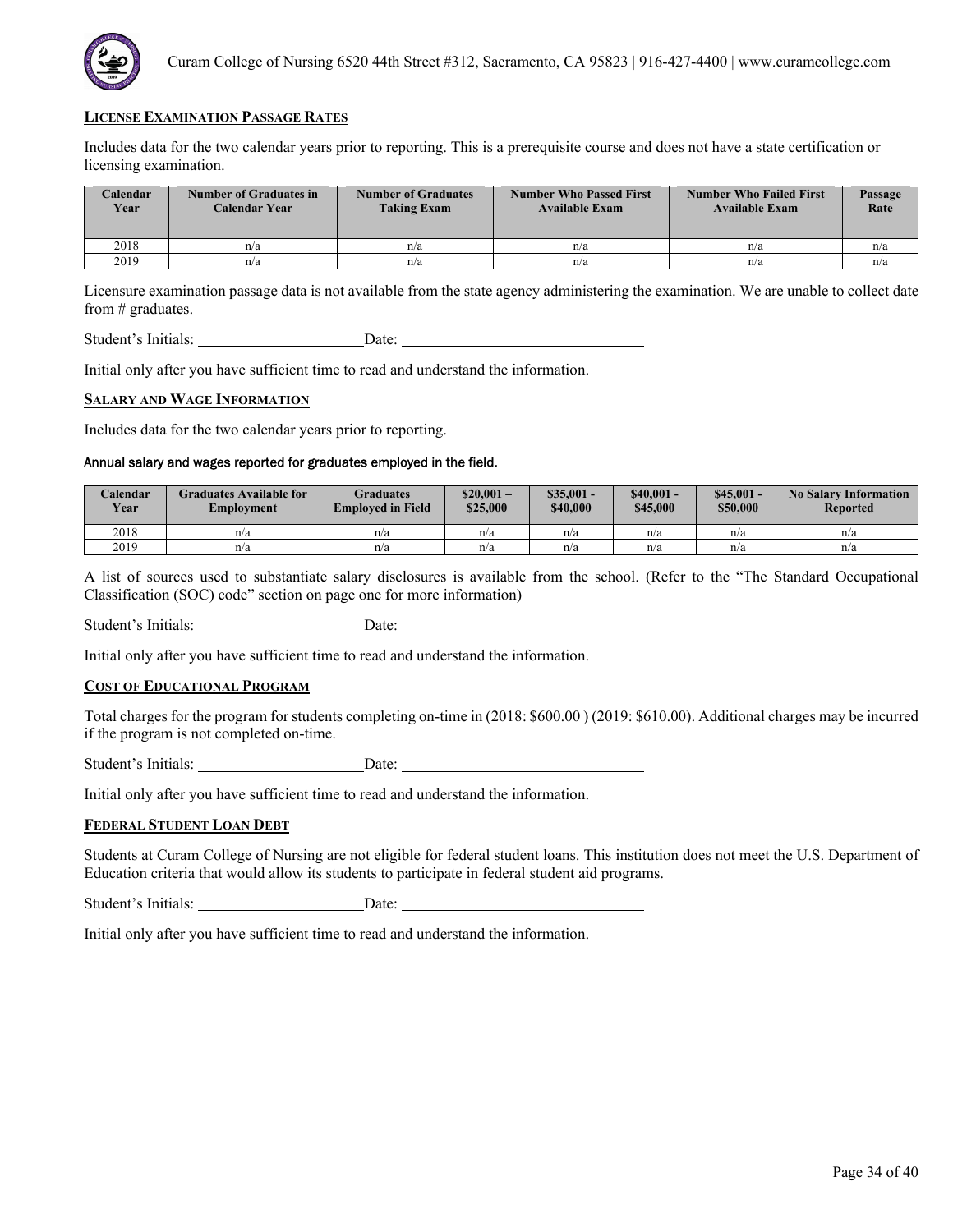

Includes data for the two calendar years prior to reporting. This is a prerequisite course and does not have a state certification or licensing examination.

| <b>Calendar</b><br>Year | Number of Graduates in<br>Calendar Year | <b>Number of Graduates</b><br><b>Taking Exam</b> | <b>Number Who Passed First</b><br><b>Available Exam</b> | <b>Number Who Failed First</b><br><b>Available Exam</b> | Passage<br>Rate |
|-------------------------|-----------------------------------------|--------------------------------------------------|---------------------------------------------------------|---------------------------------------------------------|-----------------|
| 2018                    | n/a                                     | n/a                                              | n/a                                                     | n/a                                                     | n/a             |
| 2019                    | n/a                                     | n/a                                              | n/a                                                     | n/a                                                     | n/a             |

Licensure examination passage data is not available from the state agency administering the examination. We are unable to collect date from # graduates.

Student's Initials: Date: Date:

Initial only after you have sufficient time to read and understand the information.

#### **SALARY AND WAGE INFORMATION**

Includes data for the two calendar years prior to reporting.

# Annual salary and wages reported for graduates employed in the field.

| Calendar<br><b>Year</b> | Graduates Available for<br>Employment | Graduates<br><b>Employed in Field</b> | $$20.001-$<br>\$25,000 | $\$35.001 -$<br>\$40,000 | $$40.001 -$<br>\$45,000 | $$45,001 -$<br>\$50,000 | <b>No Salary Information</b><br><b>Reported</b> |
|-------------------------|---------------------------------------|---------------------------------------|------------------------|--------------------------|-------------------------|-------------------------|-------------------------------------------------|
| 2018                    | n/a                                   | n/a                                   | n/a                    | n/a                      | n/a                     | n/a                     | n/a                                             |
| 2019                    | n/a                                   | n/a                                   | n/a                    | n/a                      | n/a                     | n/a                     | n/a                                             |

A list of sources used to substantiate salary disclosures is available from the school. (Refer to the "The Standard Occupational Classification (SOC) code" section on page one for more information)

Student's Initials: Date:

Initial only after you have sufficient time to read and understand the information.

### **COST OF EDUCATIONAL PROGRAM**

Total charges for the program for students completing on-time in (2018: \$600.00 ) (2019: \$610.00). Additional charges may be incurred if the program is not completed on-time.

Student's Initials: Date:

Initial only after you have sufficient time to read and understand the information.

#### **FEDERAL STUDENT LOAN DEBT**

Students at Curam College of Nursing are not eligible for federal student loans. This institution does not meet the U.S. Department of Education criteria that would allow its students to participate in federal student aid programs.

Student's Initials: Date: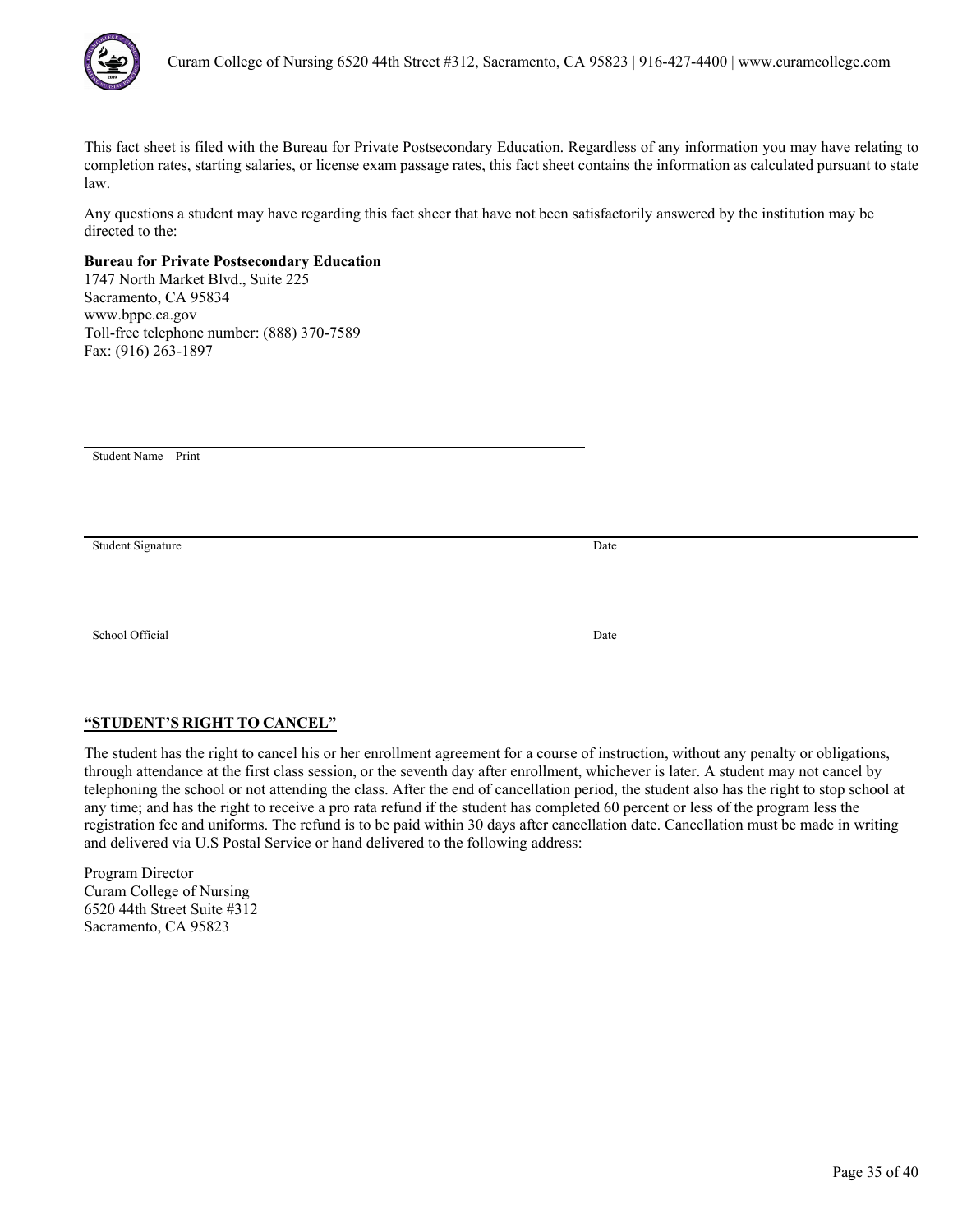

Any questions a student may have regarding this fact sheer that have not been satisfactorily answered by the institution may be directed to the:

# **Bureau for Private Postsecondary Education**

1747 North Market Blvd., Suite 225 Sacramento, CA 95834 www.bppe.ca.gov Toll-free telephone number: (888) 370-7589 Fax: (916) 263-1897

Student Name – Print

Student Signature Date

School Official Date

# **"STUDENT'S RIGHT TO CANCEL"**

The student has the right to cancel his or her enrollment agreement for a course of instruction, without any penalty or obligations, through attendance at the first class session, or the seventh day after enrollment, whichever is later. A student may not cancel by telephoning the school or not attending the class. After the end of cancellation period, the student also has the right to stop school at any time; and has the right to receive a pro rata refund if the student has completed 60 percent or less of the program less the registration fee and uniforms. The refund is to be paid within 30 days after cancellation date. Cancellation must be made in writing and delivered via U.S Postal Service or hand delivered to the following address: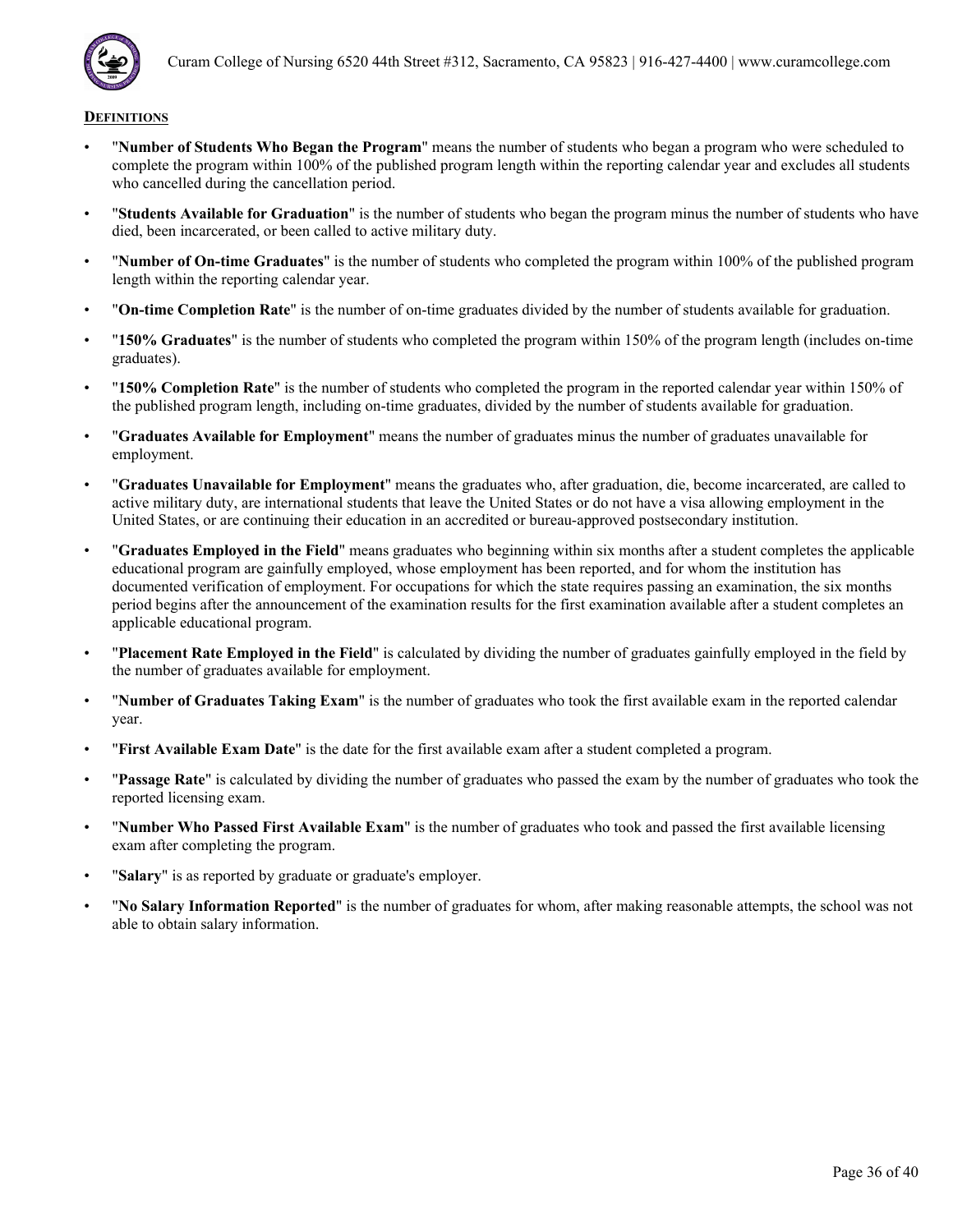

- "**Number of Students Who Began the Program**" means the number of students who began a program who were scheduled to complete the program within 100% of the published program length within the reporting calendar year and excludes all students who cancelled during the cancellation period.
- "**Students Available for Graduation**" is the number of students who began the program minus the number of students who have died, been incarcerated, or been called to active military duty.
- "**Number of On-time Graduates**" is the number of students who completed the program within 100% of the published program length within the reporting calendar year.
- "**On-time Completion Rate**" is the number of on-time graduates divided by the number of students available for graduation.
- "**150% Graduates**" is the number of students who completed the program within 150% of the program length (includes on-time graduates).
- "**150% Completion Rate**" is the number of students who completed the program in the reported calendar year within 150% of the published program length, including on-time graduates, divided by the number of students available for graduation.
- "**Graduates Available for Employment**" means the number of graduates minus the number of graduates unavailable for employment.
- "**Graduates Unavailable for Employment**" means the graduates who, after graduation, die, become incarcerated, are called to active military duty, are international students that leave the United States or do not have a visa allowing employment in the United States, or are continuing their education in an accredited or bureau-approved postsecondary institution.
- "**Graduates Employed in the Field**" means graduates who beginning within six months after a student completes the applicable educational program are gainfully employed, whose employment has been reported, and for whom the institution has documented verification of employment. For occupations for which the state requires passing an examination, the six months period begins after the announcement of the examination results for the first examination available after a student completes an applicable educational program.
- "**Placement Rate Employed in the Field**" is calculated by dividing the number of graduates gainfully employed in the field by the number of graduates available for employment.
- "**Number of Graduates Taking Exam**" is the number of graduates who took the first available exam in the reported calendar year.
- "**First Available Exam Date**" is the date for the first available exam after a student completed a program.
- "**Passage Rate**" is calculated by dividing the number of graduates who passed the exam by the number of graduates who took the reported licensing exam.
- "**Number Who Passed First Available Exam**" is the number of graduates who took and passed the first available licensing exam after completing the program.
- "**Salary**" is as reported by graduate or graduate's employer.
- "**No Salary Information Reported**" is the number of graduates for whom, after making reasonable attempts, the school was not able to obtain salary information.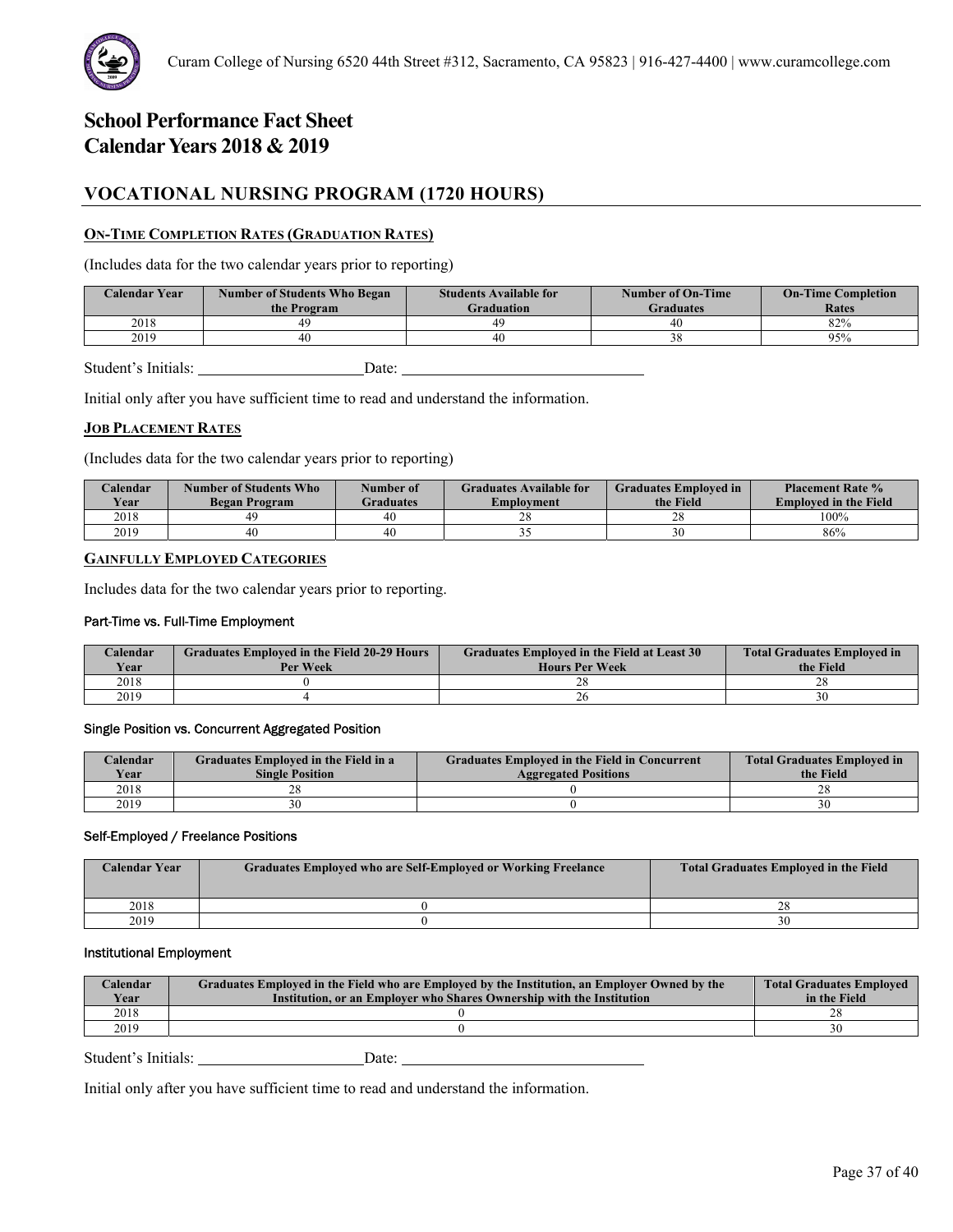# **VOCATIONAL NURSING PROGRAM (1720 HOURS)**

# **ON-TIME COMPLETION RATES (GRADUATION RATES)**

(Includes data for the two calendar years prior to reporting)

| <b>Calendar Year</b> | <b>Number of Students Who Began</b><br>the Program | <b>Students Available for</b><br><b>Graduation</b> | Number of On-Time<br><b>Graduates</b> | <b>On-Time Completion</b><br>Rates |
|----------------------|----------------------------------------------------|----------------------------------------------------|---------------------------------------|------------------------------------|
| 2018                 | 49                                                 | 49                                                 | 40                                    | 82%                                |
| 2019                 | 40                                                 | 40                                                 |                                       | 95%                                |
|                      |                                                    |                                                    |                                       |                                    |

Student's Initials: Date: Date:

Initial only after you have sufficient time to read and understand the information.

# **JOB PLACEMENT RATES**

(Includes data for the two calendar years prior to reporting)

| Calendar<br>Year | Number of Students Who<br><b>Began Program</b> | Number of<br><b>Graduates</b> | <b>Graduates Available for</b><br>Emplovment | <b>Graduates Employed in</b><br>the Field | <b>Placement Rate %</b><br><b>Employed in the Field</b> |
|------------------|------------------------------------------------|-------------------------------|----------------------------------------------|-------------------------------------------|---------------------------------------------------------|
| 2018             | 49.                                            | 40                            | 40                                           | າດ<br>۷Õ                                  | 100%                                                    |
| 2019             | 40                                             | 40                            | <u>. .</u>                                   |                                           | 86%                                                     |

# **GAINFULLY EMPLOYED CATEGORIES**

Includes data for the two calendar years prior to reporting.

### Part-Time vs. Full-Time Employment

| Calendar | <b>Graduates Employed in the Field 20-29 Hours</b> | Graduates Employed in the Field at Least 30 | <b>Total Graduates Employed in</b> |  |
|----------|----------------------------------------------------|---------------------------------------------|------------------------------------|--|
| Year     | Per Week                                           | <b>Hours Per Week</b>                       | the Field                          |  |
| 2018     |                                                    | $\angle$                                    | no                                 |  |
| 2019     |                                                    | 20                                          | 30                                 |  |

# Single Position vs. Concurrent Aggregated Position

| $\angle$ alendar | Graduates Employed in the Field in a | <b>Graduates Employed in the Field in Concurrent</b> | <b>Total Graduates Employed in</b> |  |
|------------------|--------------------------------------|------------------------------------------------------|------------------------------------|--|
| <b>Vear</b>      | <b>Single Position</b>               | <b>Aggregated Positions</b>                          | the Field                          |  |
| 2018             |                                      |                                                      | 20                                 |  |
| 2019             | 30                                   |                                                      |                                    |  |

#### Self-Employed / Freelance Positions

| <b>Calendar Year</b> | Graduates Employed who are Self-Employed or Working Freelance | <b>Total Graduates Employed in the Field</b> |
|----------------------|---------------------------------------------------------------|----------------------------------------------|
| 2018                 |                                                               | ∼                                            |
| 2019                 |                                                               |                                              |

### Institutional Employment

| Year<br>Institution, or an Employer who Shares Ownership with the Institution | in the Field |
|-------------------------------------------------------------------------------|--------------|
| 2018                                                                          |              |
| 2019                                                                          |              |

Student's Initials: Date: Date: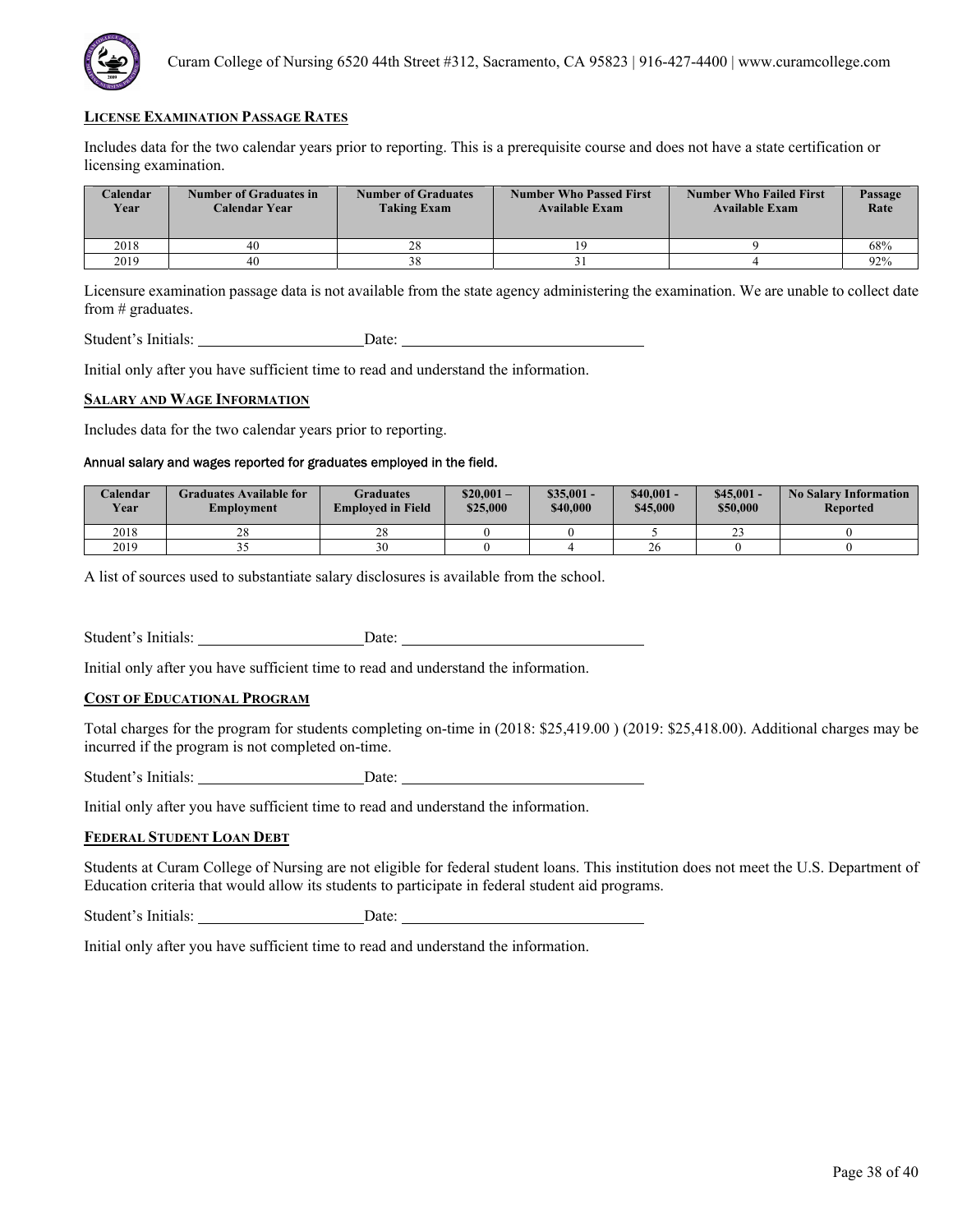

Includes data for the two calendar years prior to reporting. This is a prerequisite course and does not have a state certification or licensing examination.

| <b>Calendar</b><br>Year | <b>Number of Graduates in</b><br>Calendar Year | <b>Number of Graduates</b><br><b>Taking Exam</b> | <b>Number Who Passed First</b><br><b>Available Exam</b> | <b>Number Who Failed First</b><br><b>Available Exam</b> | Passage<br>Rate |
|-------------------------|------------------------------------------------|--------------------------------------------------|---------------------------------------------------------|---------------------------------------------------------|-----------------|
| 2018                    | 40                                             | 28                                               |                                                         |                                                         | 68%             |
| 2019                    | 40                                             |                                                  |                                                         |                                                         | 92%             |

Licensure examination passage data is not available from the state agency administering the examination. We are unable to collect date from # graduates.

Student's Initials: Date:

Initial only after you have sufficient time to read and understand the information.

#### **SALARY AND WAGE INFORMATION**

Includes data for the two calendar years prior to reporting.

# Annual salary and wages reported for graduates employed in the field.

| Calendar<br><b>Year</b> | <b>Graduates Available for</b><br>Employment | Graduates<br><b>Employed in Field</b> | $$20.001 -$<br>\$25,000 | $$35,001 -$<br>\$40,000 | $$40,001-$<br>\$45,000 | $$45,001-$<br>\$50,000 | <b>No Salary Information</b><br><b>Reported</b> |
|-------------------------|----------------------------------------------|---------------------------------------|-------------------------|-------------------------|------------------------|------------------------|-------------------------------------------------|
| 2018                    | 28                                           | $\gamma$<br>20                        |                         |                         |                        | $\sim$<br>ت ک          |                                                 |
| 2019                    | ັ                                            | 30                                    |                         |                         | $\angle 0$             |                        |                                                 |

A list of sources used to substantiate salary disclosures is available from the school.

Student's Initials: Date:

Initial only after you have sufficient time to read and understand the information.

# **COST OF EDUCATIONAL PROGRAM**

Total charges for the program for students completing on-time in (2018: \$25,419.00 ) (2019: \$25,418.00). Additional charges may be incurred if the program is not completed on-time.

Student's Initials: Date:

Initial only after you have sufficient time to read and understand the information.

#### **FEDERAL STUDENT LOAN DEBT**

Students at Curam College of Nursing are not eligible for federal student loans. This institution does not meet the U.S. Department of Education criteria that would allow its students to participate in federal student aid programs.

Student's Initials: Date: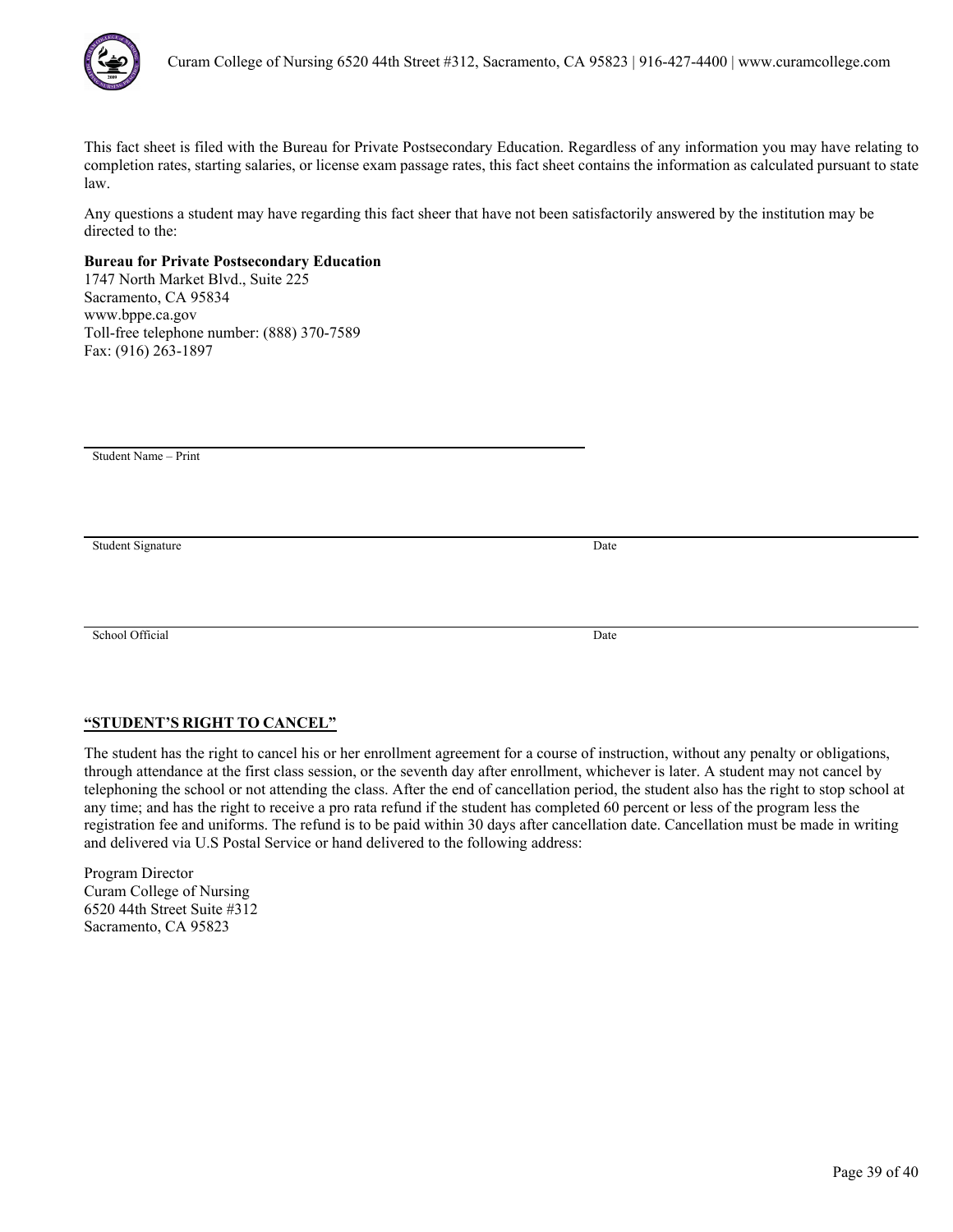

Any questions a student may have regarding this fact sheer that have not been satisfactorily answered by the institution may be directed to the:

# **Bureau for Private Postsecondary Education**

1747 North Market Blvd., Suite 225 Sacramento, CA 95834 www.bppe.ca.gov Toll-free telephone number: (888) 370-7589 Fax: (916) 263-1897

Student Name – Print

Student Signature Date

School Official Date

# **"STUDENT'S RIGHT TO CANCEL"**

The student has the right to cancel his or her enrollment agreement for a course of instruction, without any penalty or obligations, through attendance at the first class session, or the seventh day after enrollment, whichever is later. A student may not cancel by telephoning the school or not attending the class. After the end of cancellation period, the student also has the right to stop school at any time; and has the right to receive a pro rata refund if the student has completed 60 percent or less of the program less the registration fee and uniforms. The refund is to be paid within 30 days after cancellation date. Cancellation must be made in writing and delivered via U.S Postal Service or hand delivered to the following address: